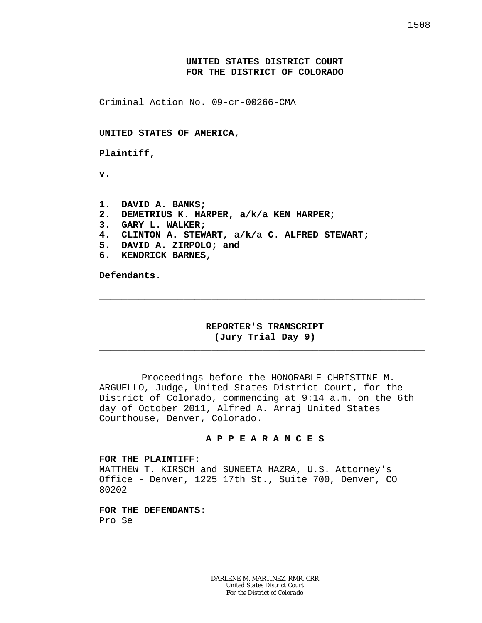# **UNITED STATES DISTRICT COURT FOR THE DISTRICT OF COLORADO**

Criminal Action No. 09-cr-00266-CMA

**UNITED STATES OF AMERICA,**

**Plaintiff,**

**v.**

**1. DAVID A. BANKS; 2. DEMETRIUS K. HARPER, a/k/a KEN HARPER; 3. GARY L. WALKER; 4. CLINTON A. STEWART, a/k/a C. ALFRED STEWART; 5. DAVID A. ZIRPOLO; and 6. KENDRICK BARNES,**

**Defendants.**

# **REPORTER'S TRANSCRIPT (Jury Trial Day 9)**

\_\_\_\_\_\_\_\_\_\_\_\_\_\_\_\_\_\_\_\_\_\_\_\_\_\_\_\_\_\_\_\_\_\_\_\_\_\_\_\_\_\_\_\_\_\_\_\_\_\_\_\_\_\_\_\_\_\_

\_\_\_\_\_\_\_\_\_\_\_\_\_\_\_\_\_\_\_\_\_\_\_\_\_\_\_\_\_\_\_\_\_\_\_\_\_\_\_\_\_\_\_\_\_\_\_\_\_\_\_\_\_\_\_\_\_\_

Proceedings before the HONORABLE CHRISTINE M. ARGUELLO, Judge, United States District Court, for the District of Colorado, commencing at 9:14 a.m. on the 6th day of October 2011, Alfred A. Arraj United States Courthouse, Denver, Colorado.

## **A P P E A R A N C E S**

#### **FOR THE PLAINTIFF:**

MATTHEW T. KIRSCH and SUNEETA HAZRA, U.S. Attorney's Office - Denver, 1225 17th St., Suite 700, Denver, CO 80202

**FOR THE DEFENDANTS:** Pro Se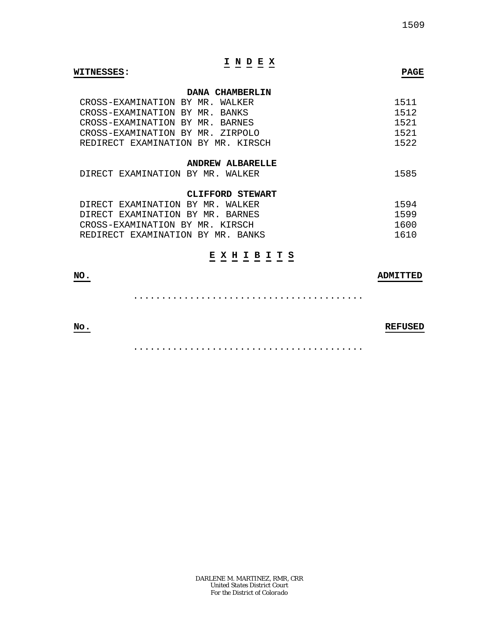# **I N D E X**

#### **WITNESSES: PAGE**

## **DANA CHAMBERLIN**

| CROSS-EXAMINATION BY MR. WALKER    |  | 1511 |
|------------------------------------|--|------|
| CROSS-EXAMINATION BY MR. BANKS     |  | 1512 |
| CROSS-EXAMINATION BY MR. BARNES    |  | 1521 |
| CROSS-EXAMINATION BY MR. ZIRPOLO   |  | 1521 |
| REDIRECT EXAMINATION BY MR. KIRSCH |  | 1522 |

#### **ANDREW ALBARELLE**

| ' EXAMINATION<br>DIRECT<br>BY.<br>MR | WALKER |  |
|--------------------------------------|--------|--|
|--------------------------------------|--------|--|

# **CLIFFORD STEWART**

| DIRECT EXAMINATION BY MR. WALKER  | 1594 |
|-----------------------------------|------|
| DIRECT EXAMINATION BY MR. BARNES  | 1599 |
| CROSS-EXAMINATION BY MR. KIRSCH   | 1600 |
| REDIRECT EXAMINATION BY MR. BANKS | 1610 |

# **E X H I B I T S**

# **NO. ADMITTED**

.........................................

# **No. REFUSED**

.........................................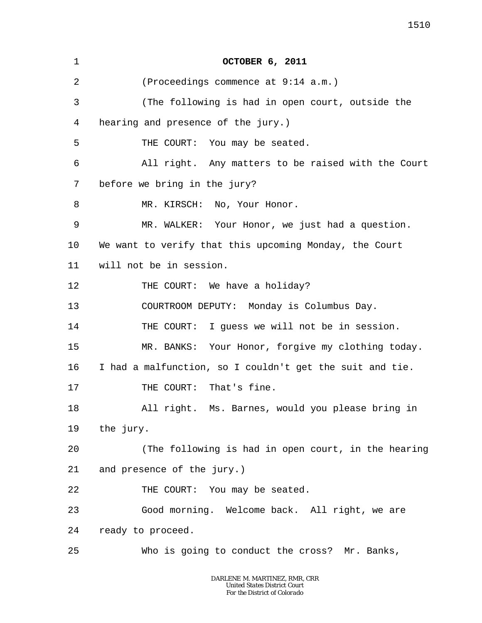| 1  | <b>OCTOBER 6, 2011</b>                                   |
|----|----------------------------------------------------------|
| 2  | (Proceedings commence at 9:14 a.m.)                      |
| 3  | (The following is had in open court, outside the         |
| 4  | hearing and presence of the jury.)                       |
| 5  | THE COURT: You may be seated.                            |
| 6  | All right. Any matters to be raised with the Court       |
| 7  | before we bring in the jury?                             |
| 8  | MR. KIRSCH: No, Your Honor.                              |
| 9  | MR. WALKER: Your Honor, we just had a question.          |
| 10 | We want to verify that this upcoming Monday, the Court   |
| 11 | will not be in session.                                  |
| 12 | THE COURT: We have a holiday?                            |
| 13 | COURTROOM DEPUTY: Monday is Columbus Day.                |
| 14 | THE COURT: I guess we will not be in session.            |
| 15 | MR. BANKS: Your Honor, forgive my clothing today.        |
| 16 | I had a malfunction, so I couldn't get the suit and tie. |
| 17 | THE COURT: That's fine.                                  |
| 18 | All right. Ms. Barnes, would you please bring in         |
| 19 | the jury.                                                |
| 20 | (The following is had in open court, in the hearing      |
| 21 | and presence of the jury.)                               |
| 22 | THE COURT: You may be seated.                            |
| 23 | Good morning. Welcome back. All right, we are            |
| 24 | ready to proceed.                                        |
| 25 | Who is going to conduct the cross? Mr. Banks,            |
|    |                                                          |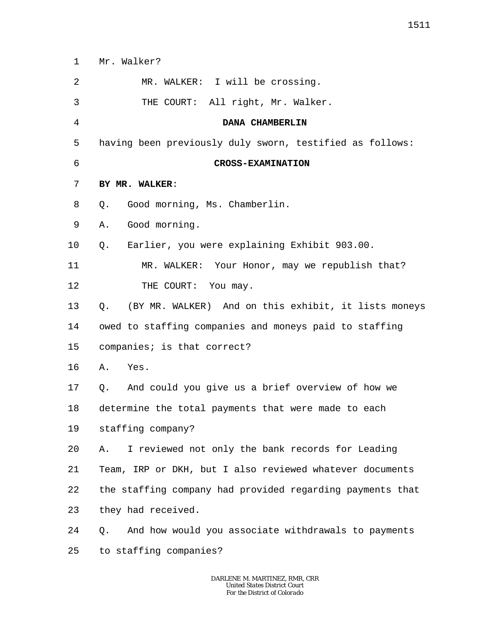- 1 Mr. Walker?
- $\overline{a}$ MR. WALKER: I will be crossing.
- 3 THE COURT: All right, Mr. Walker.
	- **DANA CHAMBERLIN**
- 5 having been previously duly sworn, testified as follows:
- 6

4

## **CROSS-EXAMINATION**

- 7 **BY MR. WALKER**:
- 8 Q. Good morning, Ms. Chamberlin.
- 9 A. Good morning.
- 10 Q. Earlier, you were explaining Exhibit 903.00.

11 12 MR. WALKER: Your Honor, may we republish that? THE COURT: You may.

13 Q. (BY MR. WALKER) And on this exhibit, it lists moneys

14 owed to staffing companies and moneys paid to staffing

- 15 companies; is that correct?
- 16 A. Yes.
- 17 Q. And could you give us a brief overview of how we

18 determine the total payments that were made to each

19 staffing company?

 $2.0$ A. I reviewed not only the bank records for Leading

21 22 Team, IRP or DKH, but I also reviewed whatever documents the staffing company had provided regarding payments that

23 they had received.

24 25 Q. And how would you associate withdrawals to payments to staffing companies?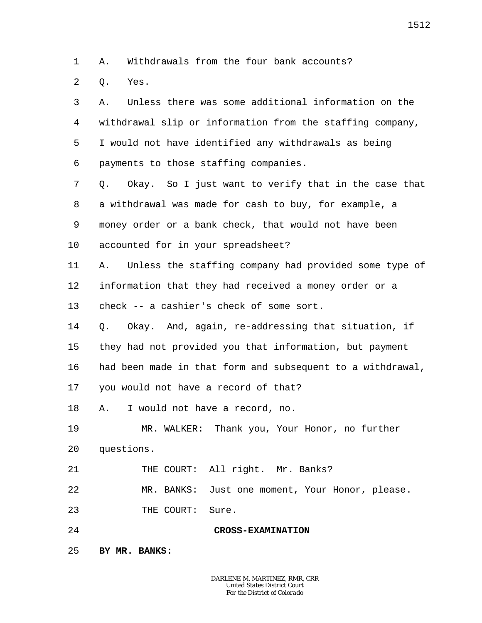1 A. Withdrawals from the four bank accounts?

 $\overline{a}$ Q. Yes.

3 4 5 6 7 8 9 10 11 12 13 14 15 16 17 18 19 20 21 22 23 24 25 A. Unless there was some additional information on the withdrawal slip or information from the staffing company, I would not have identified any withdrawals as being payments to those staffing companies. Q. Okay. So I just want to verify that in the case that a withdrawal was made for cash to buy, for example, a money order or a bank check, that would not have been accounted for in your spreadsheet? A. Unless the staffing company had provided some type of information that they had received a money order or a check -- a cashier's check of some sort. Q. Okay. And, again, re-addressing that situation, if they had not provided you that information, but payment had been made in that form and subsequent to a withdrawal, you would not have a record of that? A. I would not have a record, no. MR. WALKER: Thank you, Your Honor, no further questions. THE COURT: All right. Mr. Banks? MR. BANKS: Just one moment, Your Honor, please. THE COURT: Sure. **CROSS-EXAMINATION BY MR. BANKS**:

1512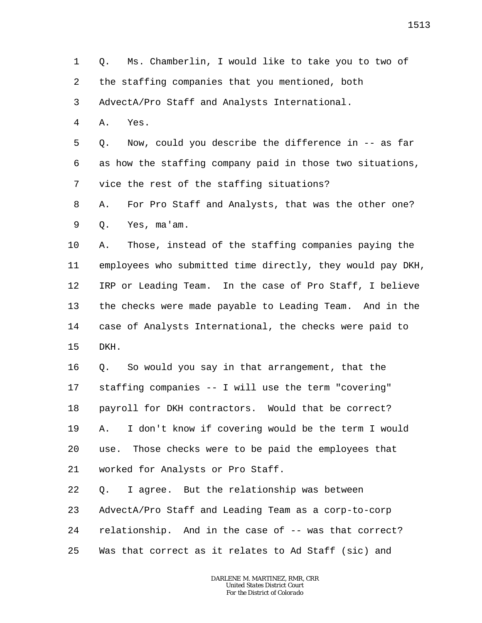1 2 3 4 5 6 7 8 9 10 11 12 13 14 15 16 17 18 19 20 21 Q. Ms. Chamberlin, I would like to take you to two of the staffing companies that you mentioned, both AdvectA/Pro Staff and Analysts International. A. Yes. Q. Now, could you describe the difference in -- as far as how the staffing company paid in those two situations, vice the rest of the staffing situations? A. For Pro Staff and Analysts, that was the other one? Q. Yes, ma'am. A. Those, instead of the staffing companies paying the employees who submitted time directly, they would pay DKH, IRP or Leading Team. In the case of Pro Staff, I believe the checks were made payable to Leading Team. And in the case of Analysts International, the checks were paid to DKH. Q. So would you say in that arrangement, that the staffing companies -- I will use the term "covering" payroll for DKH contractors. Would that be correct? A. I don't know if covering would be the term I would use. Those checks were to be paid the employees that worked for Analysts or Pro Staff.

22 23 24 25 Q. I agree. But the relationship was between AdvectA/Pro Staff and Leading Team as a corp-to-corp relationship. And in the case of -- was that correct? Was that correct as it relates to Ad Staff (sic) and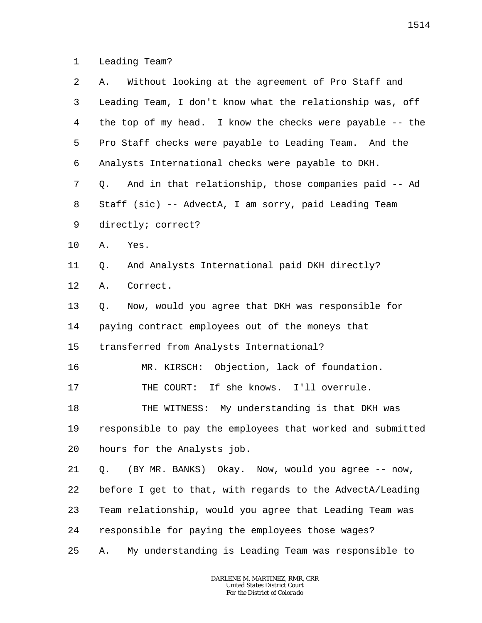1 Leading Team?

| 2  | Without looking at the agreement of Pro Staff and<br>Α.      |
|----|--------------------------------------------------------------|
| 3  | Leading Team, I don't know what the relationship was, off    |
| 4  | the top of my head. I know the checks were payable $-$ - the |
| 5  | Pro Staff checks were payable to Leading Team. And the       |
| 6  | Analysts International checks were payable to DKH.           |
| 7  | And in that relationship, those companies paid -- Ad<br>Q.   |
| 8  | Staff (sic) -- AdvectA, I am sorry, paid Leading Team        |
| 9  | directly; correct?                                           |
| 10 | Yes.<br>Α.                                                   |
| 11 | And Analysts International paid DKH directly?<br>Q.          |
| 12 | Correct.<br>Α.                                               |
| 13 | Now, would you agree that DKH was responsible for<br>Q.      |
| 14 | paying contract employees out of the moneys that             |
| 15 | transferred from Analysts International?                     |
| 16 | MR. KIRSCH: Objection, lack of foundation.                   |
| 17 | THE COURT: If she knows. I'll overrule.                      |
| 18 | THE WITNESS: My understanding is that DKH was                |
| 19 | responsible to pay the employees that worked and submitted   |
| 20 | hours for the Analysts job.                                  |
| 21 | (BY MR. BANKS) Okay. Now, would you agree -- now,<br>Q.      |
| 22 | before I get to that, with regards to the AdvectA/Leading    |
| 23 | Team relationship, would you agree that Leading Team was     |
| 24 | responsible for paying the employees those wages?            |
| 25 | My understanding is Leading Team was responsible to<br>Α.    |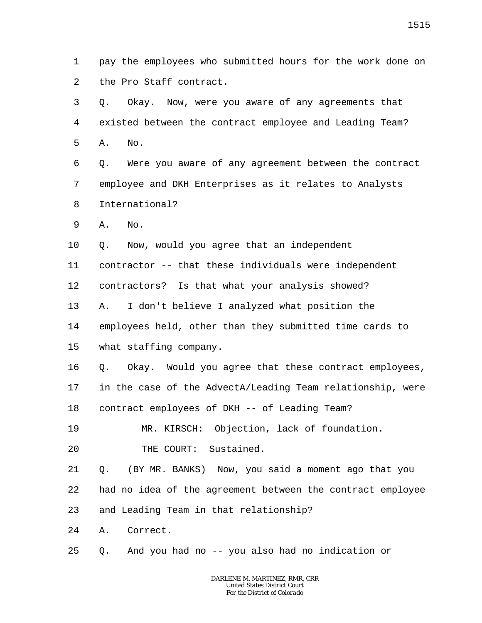1 2 pay the employees who submitted hours for the work done on the Pro Staff contract.

3 4 5 Q. Okay. Now, were you aware of any agreements that existed between the contract employee and Leading Team? A. No.

6 7 8 Q. Were you aware of any agreement between the contract employee and DKH Enterprises as it relates to Analysts International?

9 A. No.

10 Q. Now, would you agree that an independent

11 contractor -- that these individuals were independent

12 contractors? Is that what your analysis showed?

13 A. I don't believe I analyzed what position the

14 employees held, other than they submitted time cards to

15 what staffing company.

16 17 18 Q. Okay. Would you agree that these contract employees, in the case of the AdvectA/Leading Team relationship, were contract employees of DKH -- of Leading Team?

19 MR. KIRSCH: Objection, lack of foundation.

20 THE COURT: Sustained.

21 Q. (BY MR. BANKS) Now, you said a moment ago that you

22 had no idea of the agreement between the contract employee

23 and Leading Team in that relationship?

24 A. Correct.

25 Q. And you had no -- you also had no indication or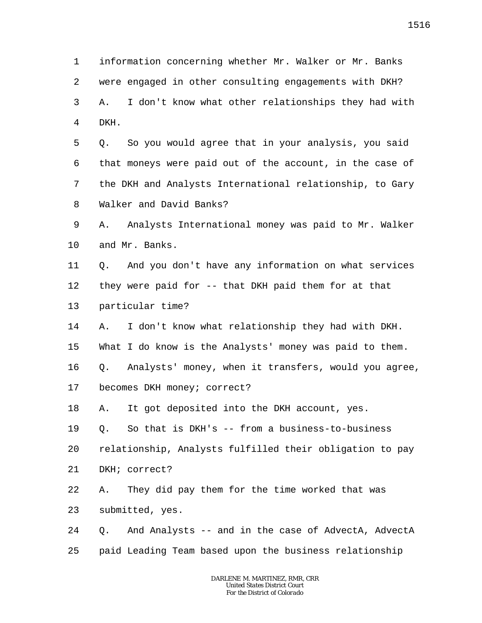1 2 3 4 information concerning whether Mr. Walker or Mr. Banks were engaged in other consulting engagements with DKH? A. I don't know what other relationships they had with DKH.

5 6 7 8 Q. So you would agree that in your analysis, you said that moneys were paid out of the account, in the case of the DKH and Analysts International relationship, to Gary Walker and David Banks?

9 10 A. Analysts International money was paid to Mr. Walker and Mr. Banks.

11 12 13 Q. And you don't have any information on what services they were paid for -- that DKH paid them for at that particular time?

14 A. I don't know what relationship they had with DKH.

15 What I do know is the Analysts' money was paid to them.

16 Q. Analysts' money, when it transfers, would you agree,

17 becomes DKH money; correct?

18 A. It got deposited into the DKH account, yes.

19 Q. So that is DKH's -- from a business-to-business

20 relationship, Analysts fulfilled their obligation to pay

21 DKH; correct?

22 A. They did pay them for the time worked that was

23 submitted, yes.

24 25 Q. And Analysts -- and in the case of AdvectA, AdvectA paid Leading Team based upon the business relationship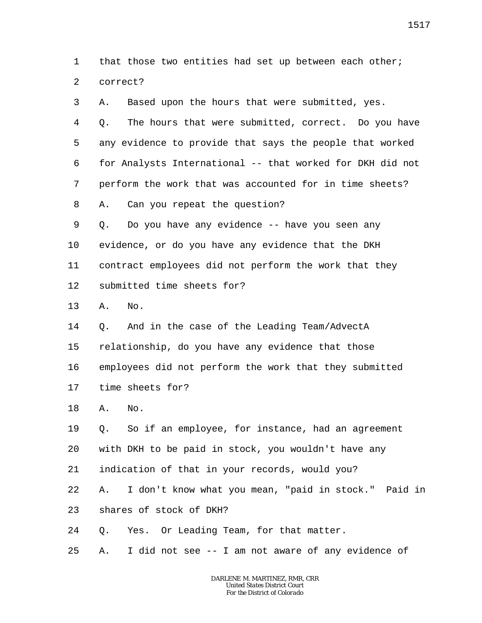1 2 that those two entities had set up between each other; correct?

| 3       | Α. | Based upon the hours that were submitted, yes.            |
|---------|----|-----------------------------------------------------------|
| 4       | Q. | The hours that were submitted, correct. Do you have       |
| 5       |    | any evidence to provide that says the people that worked  |
| 6       |    | for Analysts International -- that worked for DKH did not |
| 7       |    | perform the work that was accounted for in time sheets?   |
| 8       | Α. | Can you repeat the question?                              |
| 9       | Q. | Do you have any evidence -- have you seen any             |
| $10 \,$ |    | evidence, or do you have any evidence that the DKH        |
| 11      |    | contract employees did not perform the work that they     |
| 12      |    | submitted time sheets for?                                |
| 13      | Α. | No.                                                       |
| 14      | Q. | And in the case of the Leading Team/AdvectA               |
| 15      |    | relationship, do you have any evidence that those         |
| 16      |    | employees did not perform the work that they submitted    |
| 17      |    | time sheets for?                                          |
| 18      | Α. | No.                                                       |
| 19      | Q. | So if an employee, for instance, had an agreement         |
| 20      |    | with DKH to be paid in stock, you wouldn't have any       |
| 21      |    | indication of that in your records, would you?            |
| 22      | Α. | I don't know what you mean, "paid in stock." Paid in      |
| 23      |    | shares of stock of DKH?                                   |
| 24      | Q. | Yes. Or Leading Team, for that matter.                    |
| 25      | Α. | I did not see -- I am not aware of any evidence of        |
|         |    |                                                           |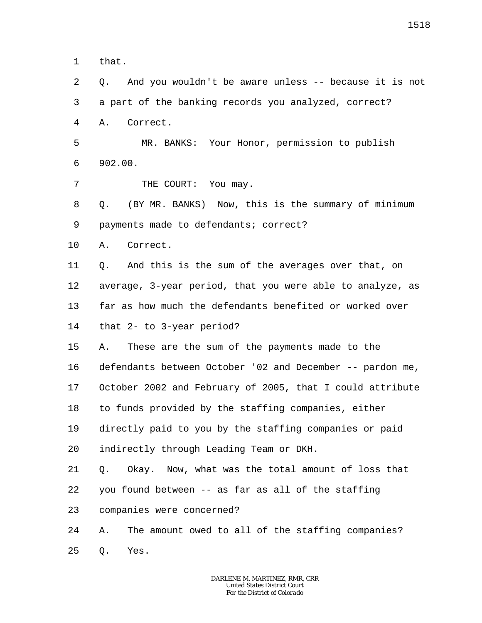1 that.

2

3 4 5 6 7 8 9 10 11 12 13 14 15 16 17 a part of the banking records you analyzed, correct? A. Correct. MR. BANKS: Your Honor, permission to publish 902.00. THE COURT: You may. Q. (BY MR. BANKS) Now, this is the summary of minimum payments made to defendants; correct? A. Correct. Q. And this is the sum of the averages over that, on average, 3-year period, that you were able to analyze, as far as how much the defendants benefited or worked over that 2- to 3-year period? A. These are the sum of the payments made to the defendants between October '02 and December -- pardon me, October 2002 and February of 2005, that I could attribute

Q. And you wouldn't be aware unless -- because it is not

18 to funds provided by the staffing companies, either

19 directly paid to you by the staffing companies or paid

20 indirectly through Leading Team or DKH.

21 22 Q. Okay. Now, what was the total amount of loss that you found between -- as far as all of the staffing

23 companies were concerned?

24 25 A. The amount owed to all of the staffing companies? Q. Yes.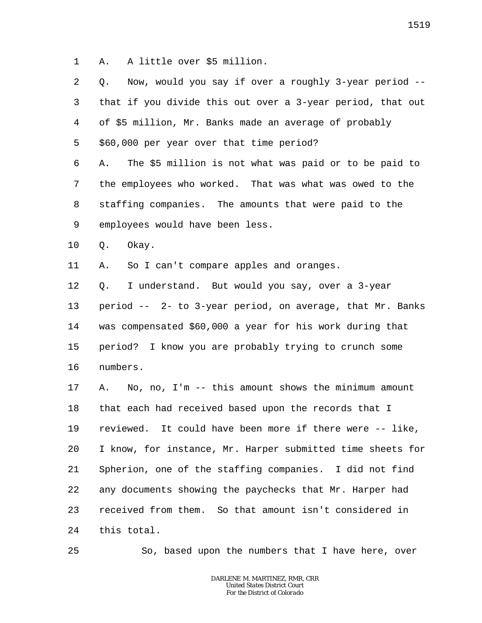1 A. A little over \$5 million.

2 3 4 5 6 7 8 9 10 11 12 13 14 15 16 17 18 19 20 21 22 23 24 Q. Now, would you say if over a roughly 3-year period - that if you divide this out over a 3-year period, that out of \$5 million, Mr. Banks made an average of probably \$60,000 per year over that time period? A. The \$5 million is not what was paid or to be paid to the employees who worked. That was what was owed to the staffing companies. The amounts that were paid to the employees would have been less. Q. Okay. A. So I can't compare apples and oranges. Q. I understand. But would you say, over a 3-year period -- 2- to 3-year period, on average, that Mr. Banks was compensated \$60,000 a year for his work during that period? I know you are probably trying to crunch some numbers. A. No, no, I'm -- this amount shows the minimum amount that each had received based upon the records that I reviewed. It could have been more if there were -- like, I know, for instance, Mr. Harper submitted time sheets for Spherion, one of the staffing companies. I did not find any documents showing the paychecks that Mr. Harper had received from them. So that amount isn't considered in this total.

25

So, based upon the numbers that I have here, over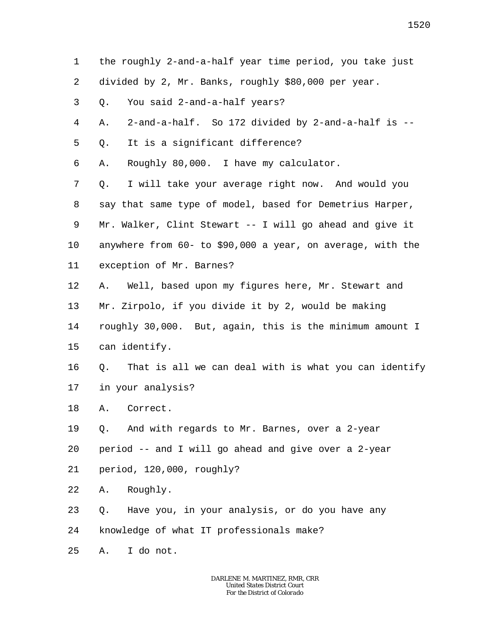1 2 3 4 5 6 7 8 9 10 11 12 13 14 15 16 17 18 19 20 21 22 23 24 25 the roughly 2-and-a-half year time period, you take just divided by 2, Mr. Banks, roughly \$80,000 per year. Q. You said 2-and-a-half years? A. 2-and-a-half. So 172 divided by 2-and-a-half is -- Q. It is a significant difference? A. Roughly 80,000. I have my calculator. Q. I will take your average right now. And would you say that same type of model, based for Demetrius Harper, Mr. Walker, Clint Stewart -- I will go ahead and give it anywhere from 60- to \$90,000 a year, on average, with the exception of Mr. Barnes? A. Well, based upon my figures here, Mr. Stewart and Mr. Zirpolo, if you divide it by 2, would be making roughly 30,000. But, again, this is the minimum amount I can identify. Q. That is all we can deal with is what you can identify in your analysis? A. Correct. Q. And with regards to Mr. Barnes, over a 2-year period -- and I will go ahead and give over a 2-year period, 120,000, roughly? A. Roughly. Q. Have you, in your analysis, or do you have any knowledge of what IT professionals make? A. I do not.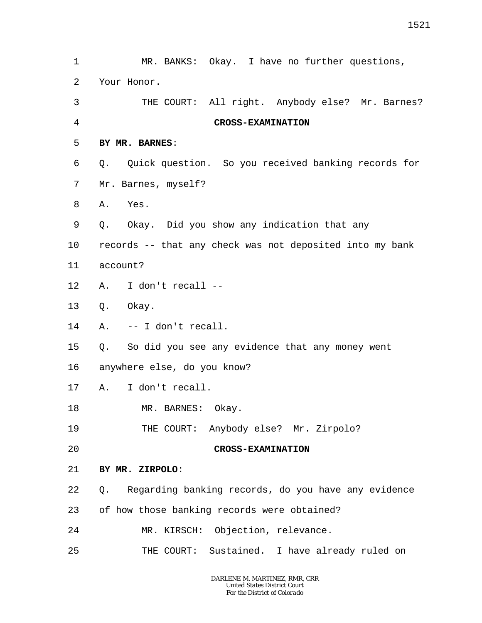1 2 3 4 5 6 7 8 9 10 11 12 13 14 15 16 17 18 19 20 21 22 23 24 25 MR. BANKS: Okay. I have no further questions, Your Honor. THE COURT: All right. Anybody else? Mr. Barnes? **CROSS-EXAMINATION BY MR. BARNES**: Q. Quick question. So you received banking records for Mr. Barnes, myself? A. Yes. Q. Okay. Did you show any indication that any records -- that any check was not deposited into my bank account? A. I don't recall -- Q. Okay. A. -- I don't recall. Q. So did you see any evidence that any money went anywhere else, do you know? A. I don't recall. MR. BARNES: Okay. THE COURT: Anybody else? Mr. Zirpolo? **CROSS-EXAMINATION BY MR. ZIRPOLO**: Q. Regarding banking records, do you have any evidence of how those banking records were obtained? MR. KIRSCH: Objection, relevance. THE COURT: Sustained. I have already ruled on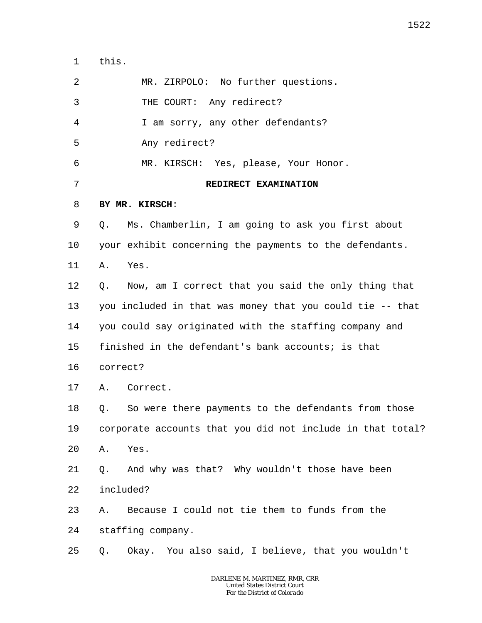1 this.

| 2       | MR. ZIRPOLO: No further questions.                         |
|---------|------------------------------------------------------------|
| 3       | THE COURT: Any redirect?                                   |
| 4       | I am sorry, any other defendants?                          |
| 5       | Any redirect?                                              |
| 6       | MR. KIRSCH: Yes, please, Your Honor.                       |
| 7       | REDIRECT EXAMINATION                                       |
| 8       | BY MR. KIRSCH:                                             |
| 9       | Ms. Chamberlin, I am going to ask you first about<br>Q.    |
| $10 \,$ | your exhibit concerning the payments to the defendants.    |
| 11      | Yes.<br>Α.                                                 |
| 12      | Q. Now, am I correct that you said the only thing that     |
| 13      | you included in that was money that you could tie -- that  |
| 14      | you could say originated with the staffing company and     |
| 15      | finished in the defendant's bank accounts; is that         |
| 16      | correct?                                                   |
| 17      | A. Correct.                                                |
| 18      | So were there payments to the defendants from those<br>Q.  |
| 19      | corporate accounts that you did not include in that total? |
| 20      | Yes.<br>Α.                                                 |
| 21      | And why was that? Why wouldn't those have been<br>Q.       |
| 22      | included?                                                  |
| 23      | Because I could not tie them to funds from the<br>Α.       |
| 24      | staffing company.                                          |
| 25      | Okay. You also said, I believe, that you wouldn't<br>Q.    |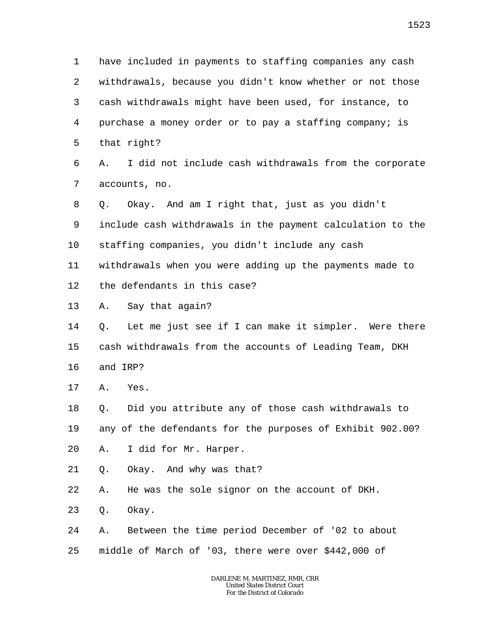1 2 3 4 5 6 7 8 9 10 11 12 13 14 15 16 17 18 19 20 21 22 23 24 25 have included in payments to staffing companies any cash withdrawals, because you didn't know whether or not those cash withdrawals might have been used, for instance, to purchase a money order or to pay a staffing company; is that right? A. I did not include cash withdrawals from the corporate accounts, no. Q. Okay. And am I right that, just as you didn't include cash withdrawals in the payment calculation to the staffing companies, you didn't include any cash withdrawals when you were adding up the payments made to the defendants in this case? A. Say that again? Q. Let me just see if I can make it simpler. Were there cash withdrawals from the accounts of Leading Team, DKH and IRP? A. Yes. Q. Did you attribute any of those cash withdrawals to any of the defendants for the purposes of Exhibit 902.00? A. I did for Mr. Harper. Q. Okay. And why was that? A. He was the sole signor on the account of DKH. Q. Okay. A. Between the time period December of '02 to about middle of March of '03, there were over \$442,000 of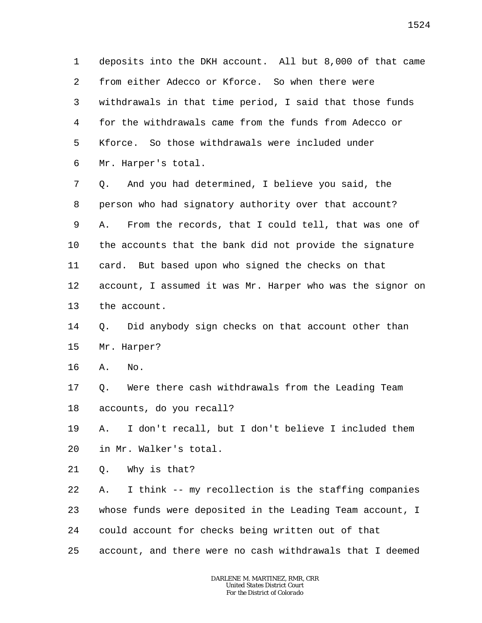1 2 3 4 5 6 deposits into the DKH account. All but 8,000 of that came from either Adecco or Kforce. So when there were withdrawals in that time period, I said that those funds for the withdrawals came from the funds from Adecco or Kforce. So those withdrawals were included under Mr. Harper's total.

7 8 9 10 11 12 13 Q. And you had determined, I believe you said, the person who had signatory authority over that account? A. From the records, that I could tell, that was one of the accounts that the bank did not provide the signature card. But based upon who signed the checks on that account, I assumed it was Mr. Harper who was the signor on the account.

#### 14 15 Q. Did anybody sign checks on that account other than Mr. Harper?

16 A. No.

17 18 Q. Were there cash withdrawals from the Leading Team accounts, do you recall?

19 20 A. I don't recall, but I don't believe I included them in Mr. Walker's total.

21 Q. Why is that?

22 23 24 25 A. I think -- my recollection is the staffing companies whose funds were deposited in the Leading Team account, I could account for checks being written out of that account, and there were no cash withdrawals that I deemed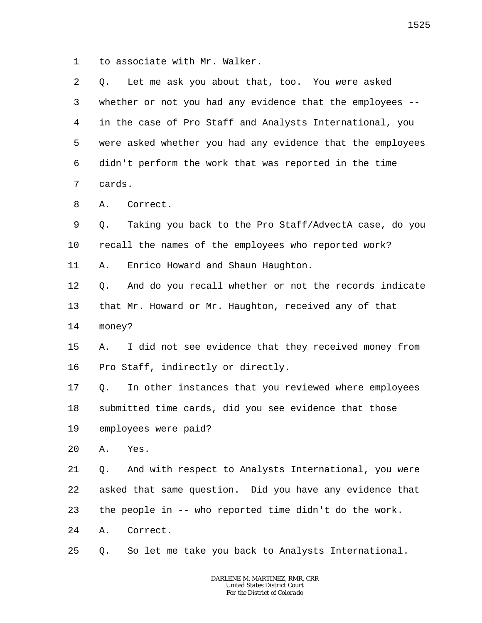1 to associate with Mr. Walker.

| 2       | Let me ask you about that, too. You were asked<br>Q.        |
|---------|-------------------------------------------------------------|
| 3       | whether or not you had any evidence that the employees --   |
| 4       | in the case of Pro Staff and Analysts International, you    |
| 5       | were asked whether you had any evidence that the employees  |
| 6       | didn't perform the work that was reported in the time       |
| 7       | cards.                                                      |
| 8       | Α.<br>Correct.                                              |
| 9       | Taking you back to the Pro Staff/AdvectA case, do you<br>Q. |
| $10 \,$ | recall the names of the employees who reported work?        |
| 11      | Enrico Howard and Shaun Haughton.<br>Α.                     |
| 12      | And do you recall whether or not the records indicate<br>Q. |
| 13      | that Mr. Howard or Mr. Haughton, received any of that       |
| 14      | money?                                                      |
| 15      | I did not see evidence that they received money from<br>Α.  |
| 16      | Pro Staff, indirectly or directly.                          |
| 17      | In other instances that you reviewed where employees<br>Q.  |
| 18      | submitted time cards, did you see evidence that those       |
| 19      | employees were paid?                                        |
| 20      | Yes.<br>Α.                                                  |
| 21      | And with respect to Analysts International, you were<br>Q.  |
| 22      | asked that same question. Did you have any evidence that    |
| 23      | the people in -- who reported time didn't do the work.      |
| 24      | Correct.<br>Α.                                              |
| 25      | So let me take you back to Analysts International.<br>Q.    |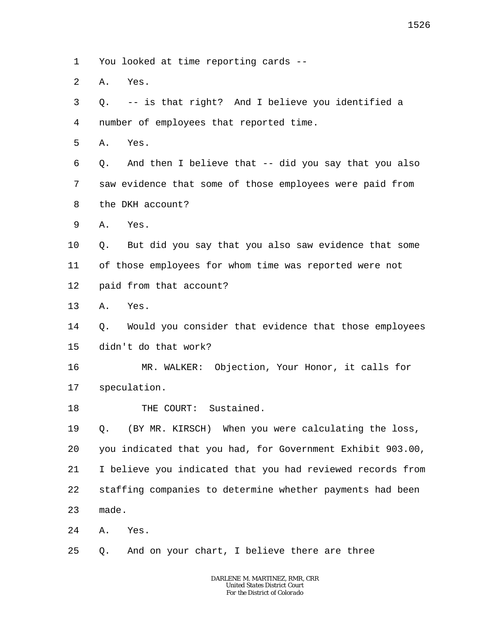1 You looked at time reporting cards --

 $\overline{a}$ A. Yes.

3 4 Q. -- is that right? And I believe you identified a number of employees that reported time.

5 A. Yes.

6 7 8 Q. And then I believe that -- did you say that you also saw evidence that some of those employees were paid from the DKH account?

9 A. Yes.

10 11 12 Q. But did you say that you also saw evidence that some of those employees for whom time was reported were not paid from that account?

13 A. Yes.

14 15 Q. Would you consider that evidence that those employees didn't do that work?

16 17 MR. WALKER: Objection, Your Honor, it calls for speculation.

18 THE COURT: Sustained.

19 20 21 22 23 Q. (BY MR. KIRSCH) When you were calculating the loss, you indicated that you had, for Government Exhibit 903.00, I believe you indicated that you had reviewed records from staffing companies to determine whether payments had been made.

24 A. Yes.

25 Q. And on your chart, I believe there are three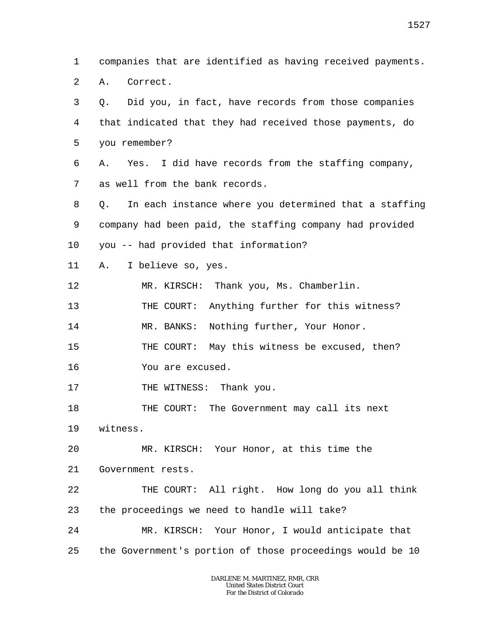1 2 3 4 5 6 7 8 9 10 11 12 13 14 15 16 17 18 19 20 21 22 23 24 25 companies that are identified as having received payments. A. Correct. Q. Did you, in fact, have records from those companies that indicated that they had received those payments, do you remember? A. Yes. I did have records from the staffing company, as well from the bank records. Q. In each instance where you determined that a staffing company had been paid, the staffing company had provided you -- had provided that information? A. I believe so, yes. MR. KIRSCH: Thank you, Ms. Chamberlin. THE COURT: Anything further for this witness? MR. BANKS: Nothing further, Your Honor. THE COURT: May this witness be excused, then? You are excused. THE WITNESS: Thank you. THE COURT: The Government may call its next witness. MR. KIRSCH: Your Honor, at this time the Government rests. THE COURT: All right. How long do you all think the proceedings we need to handle will take? MR. KIRSCH: Your Honor, I would anticipate that the Government's portion of those proceedings would be 10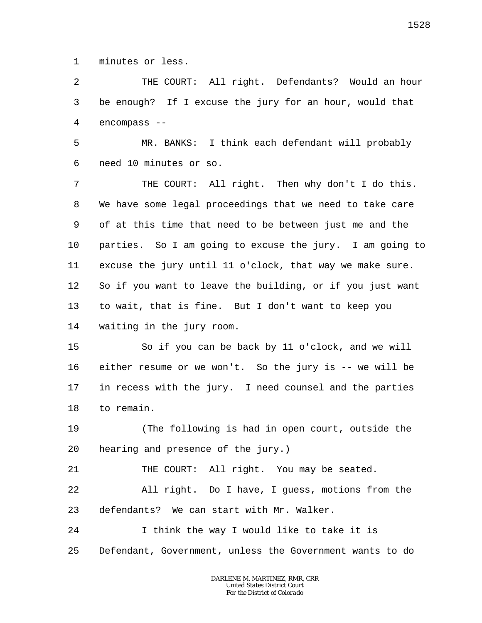1 minutes or less.

2 3 4 THE COURT: All right. Defendants? Would an hour be enough? If I excuse the jury for an hour, would that encompass --

5 6 MR. BANKS: I think each defendant will probably need 10 minutes or so.

7 8 9 10 11 12 13 14 THE COURT: All right. Then why don't I do this. We have some legal proceedings that we need to take care of at this time that need to be between just me and the parties. So I am going to excuse the jury. I am going to excuse the jury until 11 o'clock, that way we make sure. So if you want to leave the building, or if you just want to wait, that is fine. But I don't want to keep you waiting in the jury room.

15 16 17 18 So if you can be back by 11 o'clock, and we will either resume or we won't. So the jury is -- we will be in recess with the jury. I need counsel and the parties to remain.

19 20 (The following is had in open court, outside the hearing and presence of the jury.)

21 THE COURT: All right. You may be seated.

22 23 All right. Do I have, I guess, motions from the defendants? We can start with Mr. Walker.

24 25 I think the way I would like to take it is Defendant, Government, unless the Government wants to do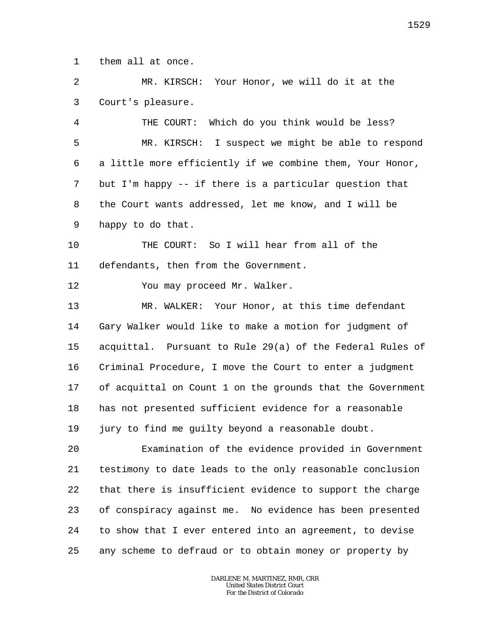1 them all at once.

2 3 MR. KIRSCH: Your Honor, we will do it at the Court's pleasure.

4 5 6 7 8 9 THE COURT: Which do you think would be less? MR. KIRSCH: I suspect we might be able to respond a little more efficiently if we combine them, Your Honor, but I'm happy -- if there is a particular question that the Court wants addressed, let me know, and I will be happy to do that.

10 11 THE COURT: So I will hear from all of the defendants, then from the Government.

12 You may proceed Mr. Walker.

13 14 15 16 17 18 19 MR. WALKER: Your Honor, at this time defendant Gary Walker would like to make a motion for judgment of acquittal. Pursuant to Rule 29(a) of the Federal Rules of Criminal Procedure, I move the Court to enter a judgment of acquittal on Count 1 on the grounds that the Government has not presented sufficient evidence for a reasonable jury to find me guilty beyond a reasonable doubt.

20 21 22 23 24 25 Examination of the evidence provided in Government testimony to date leads to the only reasonable conclusion that there is insufficient evidence to support the charge of conspiracy against me. No evidence has been presented to show that I ever entered into an agreement, to devise any scheme to defraud or to obtain money or property by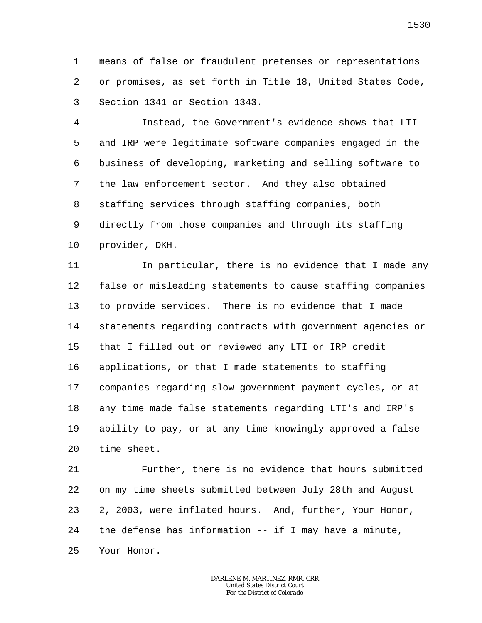1 2 3 means of false or fraudulent pretenses or representations or promises, as set forth in Title 18, United States Code, Section 1341 or Section 1343.

4 5 6 7 8 9 10 Instead, the Government's evidence shows that LTI and IRP were legitimate software companies engaged in the business of developing, marketing and selling software to the law enforcement sector. And they also obtained staffing services through staffing companies, both directly from those companies and through its staffing provider, DKH.

11 12 13 14 15 16 17 18 19 20 In particular, there is no evidence that I made any false or misleading statements to cause staffing companies to provide services. There is no evidence that I made statements regarding contracts with government agencies or that I filled out or reviewed any LTI or IRP credit applications, or that I made statements to staffing companies regarding slow government payment cycles, or at any time made false statements regarding LTI's and IRP's ability to pay, or at any time knowingly approved a false time sheet.

21 22 23 24 25 Further, there is no evidence that hours submitted on my time sheets submitted between July 28th and August 2, 2003, were inflated hours. And, further, Your Honor, the defense has information -- if I may have a minute, Your Honor.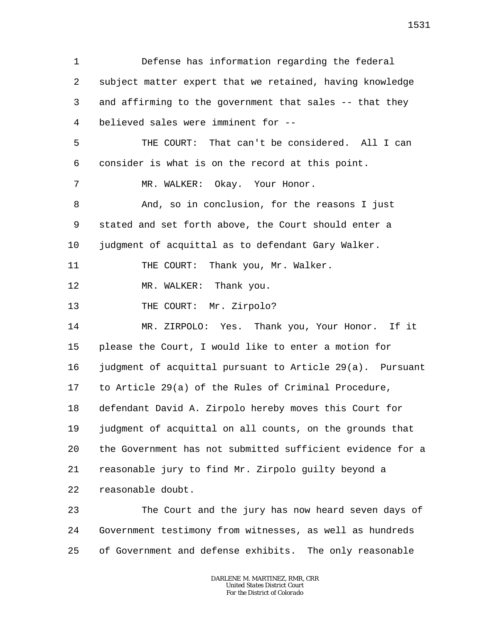1 2 3 4 5 6 7 8 9 10 11 12 13 14 15 16 17 18 19 20 21 22 23 Defense has information regarding the federal subject matter expert that we retained, having knowledge and affirming to the government that sales -- that they believed sales were imminent for -- THE COURT: That can't be considered. All I can consider is what is on the record at this point. MR. WALKER: Okay. Your Honor. And, so in conclusion, for the reasons I just stated and set forth above, the Court should enter a judgment of acquittal as to defendant Gary Walker. THE COURT: Thank you, Mr. Walker. MR. WALKER: Thank you. THE COURT: Mr. Zirpolo? MR. ZIRPOLO: Yes. Thank you, Your Honor. If it please the Court, I would like to enter a motion for judgment of acquittal pursuant to Article 29(a). Pursuant to Article 29(a) of the Rules of Criminal Procedure, defendant David A. Zirpolo hereby moves this Court for judgment of acquittal on all counts, on the grounds that the Government has not submitted sufficient evidence for a reasonable jury to find Mr. Zirpolo guilty beyond a reasonable doubt. The Court and the jury has now heard seven days of

24 25 Government testimony from witnesses, as well as hundreds of Government and defense exhibits. The only reasonable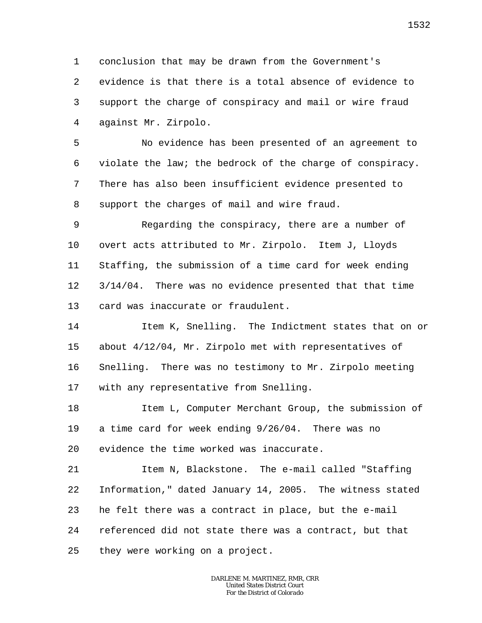1 2 3 4 conclusion that may be drawn from the Government's evidence is that there is a total absence of evidence to support the charge of conspiracy and mail or wire fraud against Mr. Zirpolo.

5 6 7 8 No evidence has been presented of an agreement to violate the law; the bedrock of the charge of conspiracy. There has also been insufficient evidence presented to support the charges of mail and wire fraud.

9 10 11 12 13 Regarding the conspiracy, there are a number of overt acts attributed to Mr. Zirpolo. Item J, Lloyds Staffing, the submission of a time card for week ending 3/14/04. There was no evidence presented that that time card was inaccurate or fraudulent.

14 15 16 17 Item K, Snelling. The Indictment states that on or about 4/12/04, Mr. Zirpolo met with representatives of Snelling. There was no testimony to Mr. Zirpolo meeting with any representative from Snelling.

18 19 20 Item L, Computer Merchant Group, the submission of a time card for week ending 9/26/04. There was no evidence the time worked was inaccurate.

21 22 23 24 25 Item N, Blackstone. The e-mail called "Staffing Information," dated January 14, 2005. The witness stated he felt there was a contract in place, but the e-mail referenced did not state there was a contract, but that they were working on a project.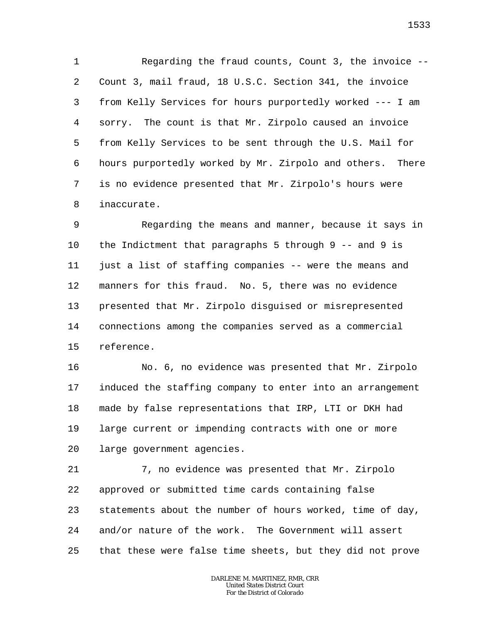1 2 3 4 5 6 7 8 Regarding the fraud counts, Count 3, the invoice -- Count 3, mail fraud, 18 U.S.C. Section 341, the invoice from Kelly Services for hours purportedly worked --- I am sorry. The count is that Mr. Zirpolo caused an invoice from Kelly Services to be sent through the U.S. Mail for hours purportedly worked by Mr. Zirpolo and others. There is no evidence presented that Mr. Zirpolo's hours were inaccurate.

9 10 11 12 13 14 15 Regarding the means and manner, because it says in the Indictment that paragraphs 5 through 9 -- and 9 is just a list of staffing companies -- were the means and manners for this fraud. No. 5, there was no evidence presented that Mr. Zirpolo disguised or misrepresented connections among the companies served as a commercial reference.

16 17 18 19 20 No. 6, no evidence was presented that Mr. Zirpolo induced the staffing company to enter into an arrangement made by false representations that IRP, LTI or DKH had large current or impending contracts with one or more large government agencies.

21 22 23 24 25 7, no evidence was presented that Mr. Zirpolo approved or submitted time cards containing false statements about the number of hours worked, time of day, and/or nature of the work. The Government will assert that these were false time sheets, but they did not prove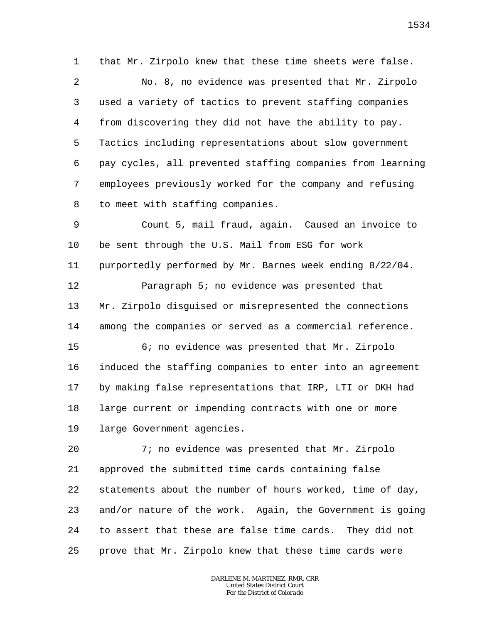1 that Mr. Zirpolo knew that these time sheets were false.

2 3 4 5 6 7 8 No. 8, no evidence was presented that Mr. Zirpolo used a variety of tactics to prevent staffing companies from discovering they did not have the ability to pay. Tactics including representations about slow government pay cycles, all prevented staffing companies from learning employees previously worked for the company and refusing to meet with staffing companies.

9 10 11 12 13 14 15 16 17 Count 5, mail fraud, again. Caused an invoice to be sent through the U.S. Mail from ESG for work purportedly performed by Mr. Barnes week ending 8/22/04. Paragraph 5; no evidence was presented that Mr. Zirpolo disguised or misrepresented the connections among the companies or served as a commercial reference. 6; no evidence was presented that Mr. Zirpolo induced the staffing companies to enter into an agreement by making false representations that IRP, LTI or DKH had

19 large Government agencies.

18

20 21 22 23 24 25 7; no evidence was presented that Mr. Zirpolo approved the submitted time cards containing false statements about the number of hours worked, time of day, and/or nature of the work. Again, the Government is going to assert that these are false time cards. They did not prove that Mr. Zirpolo knew that these time cards were

large current or impending contracts with one or more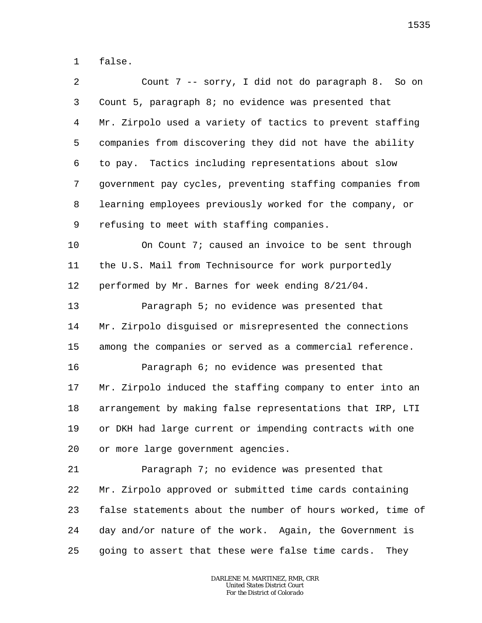1 false.

| 2              | Count 7 -- sorry, I did not do paragraph 8. So on          |
|----------------|------------------------------------------------------------|
| 3              | Count 5, paragraph 8; no evidence was presented that       |
| $\overline{4}$ | Mr. Zirpolo used a variety of tactics to prevent staffing  |
| 5              | companies from discovering they did not have the ability   |
| 6              | to pay. Tactics including representations about slow       |
| 7              | government pay cycles, preventing staffing companies from  |
| 8              | learning employees previously worked for the company, or   |
| 9              | refusing to meet with staffing companies.                  |
| 10             | On Count 7; caused an invoice to be sent through           |
| 11             | the U.S. Mail from Technisource for work purportedly       |
| 12             | performed by Mr. Barnes for week ending 8/21/04.           |
| 13             | Paragraph 5; no evidence was presented that                |
| 14             | Mr. Zirpolo disguised or misrepresented the connections    |
| 15             | among the companies or served as a commercial reference.   |
| 16             | Paragraph 6; no evidence was presented that                |
| 17             | Mr. Zirpolo induced the staffing company to enter into an  |
| 18             | arrangement by making false representations that IRP, LTI  |
| 19             | or DKH had large current or impending contracts with one   |
| 20             | or more large government agencies.                         |
| 21             | Paragraph 7; no evidence was presented that                |
| 22             | Mr. Zirpolo approved or submitted time cards containing    |
| 23             | false statements about the number of hours worked, time of |
| 24             | day and/or nature of the work. Again, the Government is    |
| 25             | going to assert that these were false time cards.<br>They  |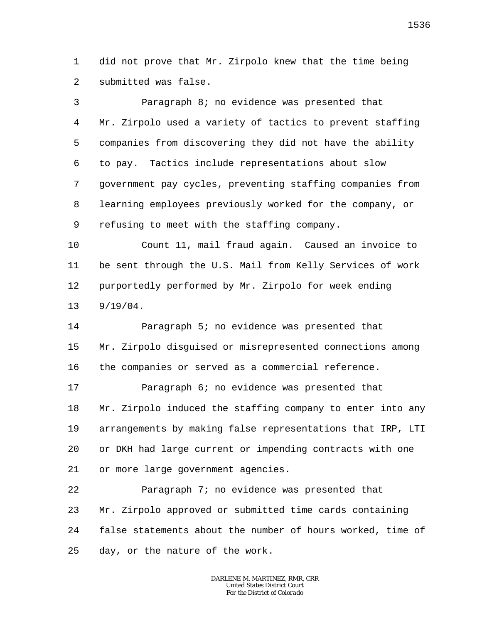1  $\overline{a}$ did not prove that Mr. Zirpolo knew that the time being submitted was false.

3 4 5 6 7 8 9 Paragraph 8; no evidence was presented that Mr. Zirpolo used a variety of tactics to prevent staffing companies from discovering they did not have the ability to pay. Tactics include representations about slow government pay cycles, preventing staffing companies from learning employees previously worked for the company, or refusing to meet with the staffing company.

10 11 12 13 Count 11, mail fraud again. Caused an invoice to be sent through the U.S. Mail from Kelly Services of work purportedly performed by Mr. Zirpolo for week ending 9/19/04.

14 15 16 Paragraph 5; no evidence was presented that Mr. Zirpolo disguised or misrepresented connections among the companies or served as a commercial reference.

17

18 19 20 21 Paragraph 6; no evidence was presented that Mr. Zirpolo induced the staffing company to enter into any arrangements by making false representations that IRP, LTI or DKH had large current or impending contracts with one or more large government agencies.

22 23 24 25 Paragraph 7; no evidence was presented that Mr. Zirpolo approved or submitted time cards containing false statements about the number of hours worked, time of day, or the nature of the work.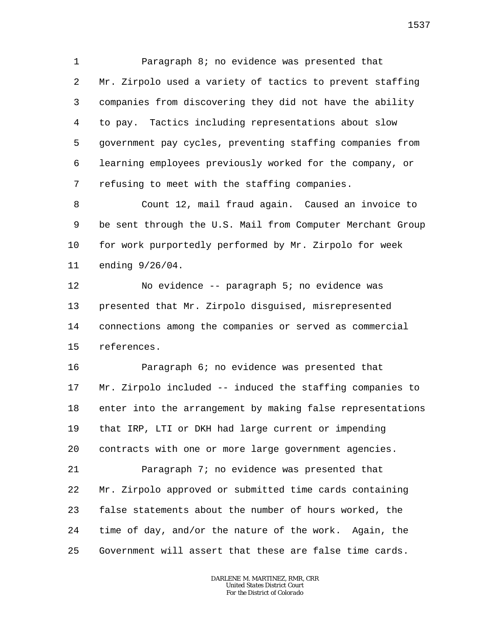1 2 3 4 5 6 7 Paragraph 8; no evidence was presented that Mr. Zirpolo used a variety of tactics to prevent staffing companies from discovering they did not have the ability to pay. Tactics including representations about slow government pay cycles, preventing staffing companies from learning employees previously worked for the company, or refusing to meet with the staffing companies.

8 9 10 11 Count 12, mail fraud again. Caused an invoice to be sent through the U.S. Mail from Computer Merchant Group for work purportedly performed by Mr. Zirpolo for week ending 9/26/04.

12 13 14 15 No evidence -- paragraph 5; no evidence was presented that Mr. Zirpolo disguised, misrepresented connections among the companies or served as commercial references.

16 17 18 19 20 Paragraph 6; no evidence was presented that Mr. Zirpolo included -- induced the staffing companies to enter into the arrangement by making false representations that IRP, LTI or DKH had large current or impending contracts with one or more large government agencies.

21 22 23 24 25 Paragraph 7; no evidence was presented that Mr. Zirpolo approved or submitted time cards containing false statements about the number of hours worked, the time of day, and/or the nature of the work. Again, the Government will assert that these are false time cards.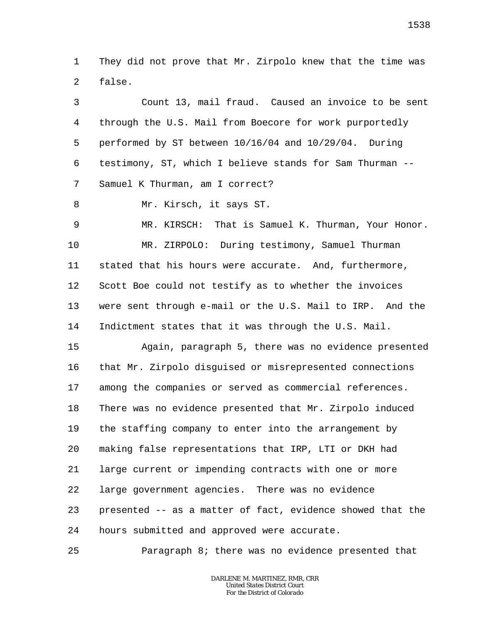1  $\overline{a}$ They did not prove that Mr. Zirpolo knew that the time was false.

3 4 5 6 7 8 9 10 11 12 13 14 15 16 17 18 19 20 21 22 23 24 Count 13, mail fraud. Caused an invoice to be sent through the U.S. Mail from Boecore for work purportedly performed by ST between 10/16/04 and 10/29/04. During testimony, ST, which I believe stands for Sam Thurman -- Samuel K Thurman, am I correct? Mr. Kirsch, it says ST. MR. KIRSCH: That is Samuel K. Thurman, Your Honor. MR. ZIRPOLO: During testimony, Samuel Thurman stated that his hours were accurate. And, furthermore, Scott Boe could not testify as to whether the invoices were sent through e-mail or the U.S. Mail to IRP. And the Indictment states that it was through the U.S. Mail. Again, paragraph 5, there was no evidence presented that Mr. Zirpolo disguised or misrepresented connections among the companies or served as commercial references. There was no evidence presented that Mr. Zirpolo induced the staffing company to enter into the arrangement by making false representations that IRP, LTI or DKH had large current or impending contracts with one or more large government agencies. There was no evidence presented -- as a matter of fact, evidence showed that the hours submitted and approved were accurate.

25 Paragraph 8; there was no evidence presented that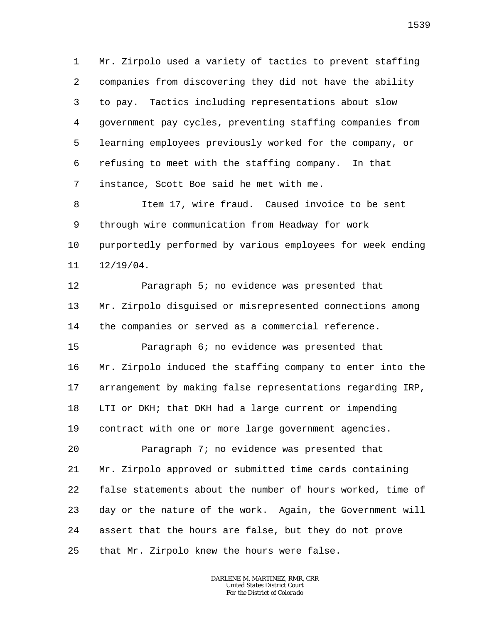1 2 3 4 5 6 7 Mr. Zirpolo used a variety of tactics to prevent staffing companies from discovering they did not have the ability to pay. Tactics including representations about slow government pay cycles, preventing staffing companies from learning employees previously worked for the company, or refusing to meet with the staffing company. In that instance, Scott Boe said he met with me.

8 9 10 11 Item 17, wire fraud. Caused invoice to be sent through wire communication from Headway for work purportedly performed by various employees for week ending 12/19/04.

12 13 14 Paragraph 5; no evidence was presented that Mr. Zirpolo disguised or misrepresented connections among the companies or served as a commercial reference.

15 16 17 18 19 Paragraph 6; no evidence was presented that Mr. Zirpolo induced the staffing company to enter into the arrangement by making false representations regarding IRP, LTI or DKH; that DKH had a large current or impending contract with one or more large government agencies.

20 21 22 23 24 25 Paragraph 7; no evidence was presented that Mr. Zirpolo approved or submitted time cards containing false statements about the number of hours worked, time of day or the nature of the work. Again, the Government will assert that the hours are false, but they do not prove that Mr. Zirpolo knew the hours were false.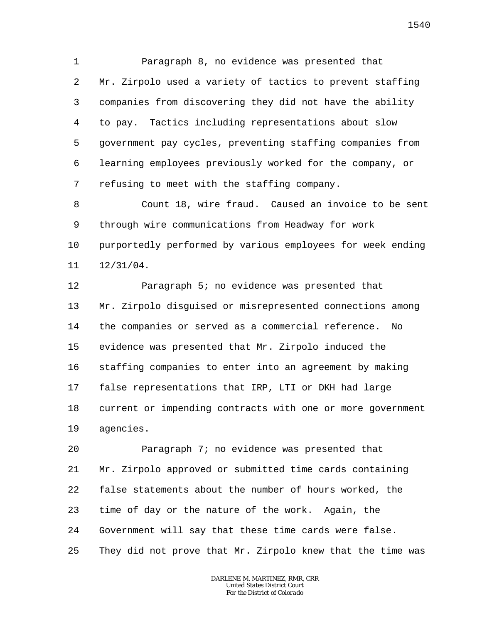1 2 3 4 5 6 7 Paragraph 8, no evidence was presented that Mr. Zirpolo used a variety of tactics to prevent staffing companies from discovering they did not have the ability to pay. Tactics including representations about slow government pay cycles, preventing staffing companies from learning employees previously worked for the company, or refusing to meet with the staffing company.

8 9 10 11 Count 18, wire fraud. Caused an invoice to be sent through wire communications from Headway for work purportedly performed by various employees for week ending 12/31/04.

12 13 14 15 16 17 18 19 Paragraph 5; no evidence was presented that Mr. Zirpolo disguised or misrepresented connections among the companies or served as a commercial reference. No evidence was presented that Mr. Zirpolo induced the staffing companies to enter into an agreement by making false representations that IRP, LTI or DKH had large current or impending contracts with one or more government agencies.

20 21 22 23 24 25 Paragraph 7; no evidence was presented that Mr. Zirpolo approved or submitted time cards containing false statements about the number of hours worked, the time of day or the nature of the work. Again, the Government will say that these time cards were false. They did not prove that Mr. Zirpolo knew that the time was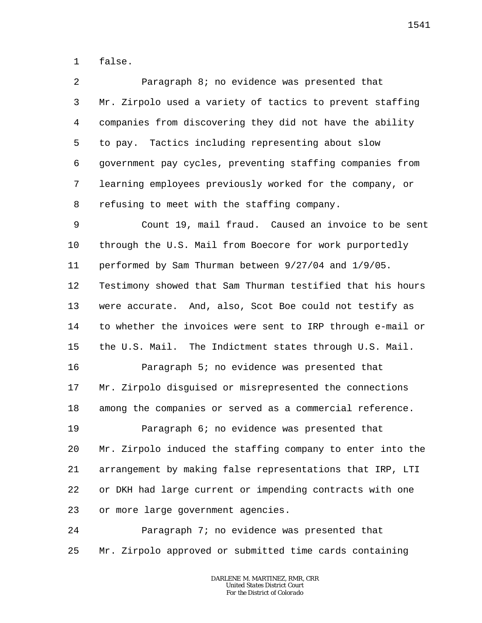1 false.

| $\overline{2}$ | Paragraph 8; no evidence was presented that                |
|----------------|------------------------------------------------------------|
| 3              | Mr. Zirpolo used a variety of tactics to prevent staffing  |
| $\overline{4}$ | companies from discovering they did not have the ability   |
| 5              | to pay. Tactics including representing about slow          |
| 6              | government pay cycles, preventing staffing companies from  |
| 7              | learning employees previously worked for the company, or   |
| 8              | refusing to meet with the staffing company.                |
| 9              | Count 19, mail fraud. Caused an invoice to be sent         |
| $10 \,$        | through the U.S. Mail from Boecore for work purportedly    |
| 11             | performed by Sam Thurman between 9/27/04 and 1/9/05.       |
| 12             | Testimony showed that Sam Thurman testified that his hours |
| 13             | were accurate. And, also, Scot Boe could not testify as    |
| 14             | to whether the invoices were sent to IRP through e-mail or |
| 15             | the U.S. Mail. The Indictment states through U.S. Mail.    |
| 16             | Paragraph 5; no evidence was presented that                |
| 17             | Mr. Zirpolo disguised or misrepresented the connections    |
| 18             | among the companies or served as a commercial reference.   |

19 20 21 22 23 Paragraph 6; no evidence was presented that Mr. Zirpolo induced the staffing company to enter into the arrangement by making false representations that IRP, LTI or DKH had large current or impending contracts with one or more large government agencies.

24 25 Paragraph 7; no evidence was presented that Mr. Zirpolo approved or submitted time cards containing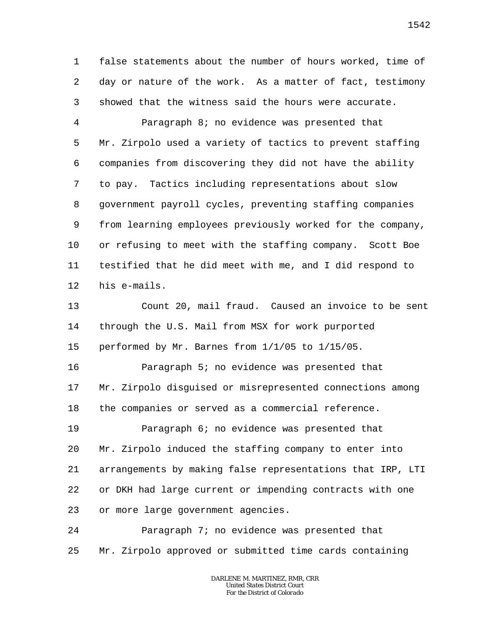1 2 3 false statements about the number of hours worked, time of day or nature of the work. As a matter of fact, testimony showed that the witness said the hours were accurate.

4 5 6 7 8 9 10 11 12 Paragraph 8; no evidence was presented that Mr. Zirpolo used a variety of tactics to prevent staffing companies from discovering they did not have the ability to pay. Tactics including representations about slow government payroll cycles, preventing staffing companies from learning employees previously worked for the company, or refusing to meet with the staffing company. Scott Boe testified that he did meet with me, and I did respond to his e-mails.

13 14 15 Count 20, mail fraud. Caused an invoice to be sent through the U.S. Mail from MSX for work purported performed by Mr. Barnes from 1/1/05 to 1/15/05.

16 17 18 Paragraph 5; no evidence was presented that Mr. Zirpolo disguised or misrepresented connections among the companies or served as a commercial reference.

19 20 21 22 23 Paragraph 6; no evidence was presented that Mr. Zirpolo induced the staffing company to enter into arrangements by making false representations that IRP, LTI or DKH had large current or impending contracts with one or more large government agencies.

24 25 Paragraph 7; no evidence was presented that Mr. Zirpolo approved or submitted time cards containing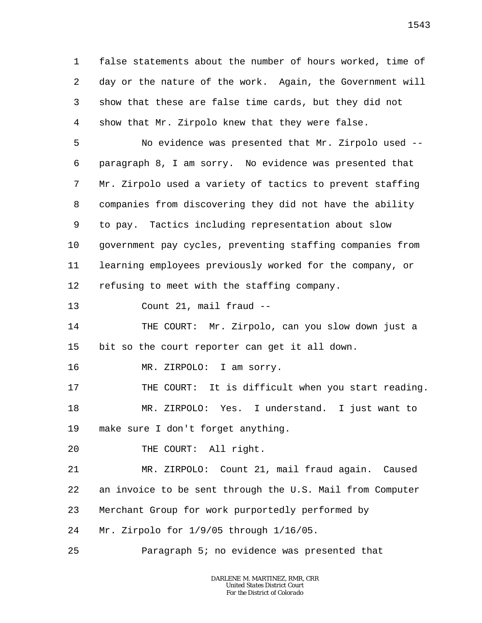1 2 3 4 false statements about the number of hours worked, time of day or the nature of the work. Again, the Government will show that these are false time cards, but they did not show that Mr. Zirpolo knew that they were false.

5 6 7 8 9 10 11 12 No evidence was presented that Mr. Zirpolo used - paragraph 8, I am sorry. No evidence was presented that Mr. Zirpolo used a variety of tactics to prevent staffing companies from discovering they did not have the ability to pay. Tactics including representation about slow government pay cycles, preventing staffing companies from learning employees previously worked for the company, or refusing to meet with the staffing company.

13 Count 21, mail fraud --

14 15 THE COURT: Mr. Zirpolo, can you slow down just a bit so the court reporter can get it all down.

16 MR. ZIRPOLO: I am sorry.

17 18 19 THE COURT: It is difficult when you start reading. MR. ZIRPOLO: Yes. I understand. I just want to make sure I don't forget anything.

20 THE COURT: All right.

21 22 23 24 MR. ZIRPOLO: Count 21, mail fraud again. Caused an invoice to be sent through the U.S. Mail from Computer Merchant Group for work purportedly performed by Mr. Zirpolo for 1/9/05 through 1/16/05.

25 Paragraph 5; no evidence was presented that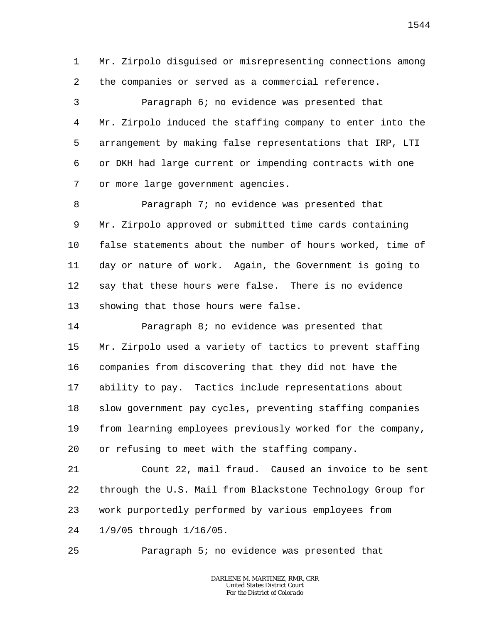1 2 Mr. Zirpolo disguised or misrepresenting connections among the companies or served as a commercial reference.

3 4 5 6 7 Paragraph 6; no evidence was presented that Mr. Zirpolo induced the staffing company to enter into the arrangement by making false representations that IRP, LTI or DKH had large current or impending contracts with one or more large government agencies.

8 9 10 11 12 13 Paragraph 7; no evidence was presented that Mr. Zirpolo approved or submitted time cards containing false statements about the number of hours worked, time of day or nature of work. Again, the Government is going to say that these hours were false. There is no evidence showing that those hours were false.

14 15 16 17 18 19 20 Paragraph 8; no evidence was presented that Mr. Zirpolo used a variety of tactics to prevent staffing companies from discovering that they did not have the ability to pay. Tactics include representations about slow government pay cycles, preventing staffing companies from learning employees previously worked for the company, or refusing to meet with the staffing company.

21 22 23 24 Count 22, mail fraud. Caused an invoice to be sent through the U.S. Mail from Blackstone Technology Group for work purportedly performed by various employees from 1/9/05 through 1/16/05.

25 Paragraph 5; no evidence was presented that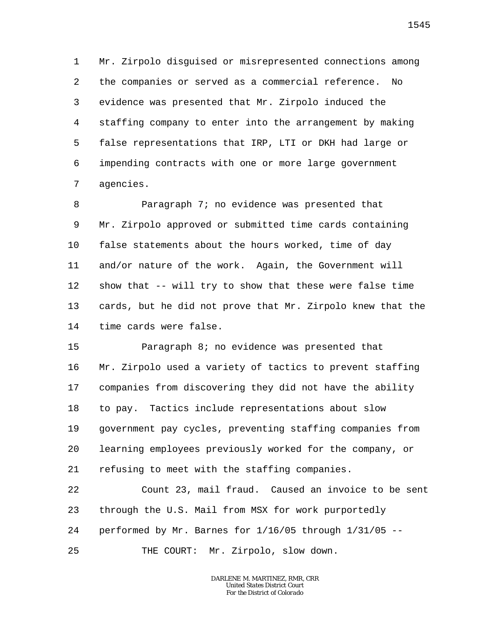1 2 3 4 5 6 7 Mr. Zirpolo disguised or misrepresented connections among the companies or served as a commercial reference. No evidence was presented that Mr. Zirpolo induced the staffing company to enter into the arrangement by making false representations that IRP, LTI or DKH had large or impending contracts with one or more large government agencies.

8 9 10 11 12 13 14 Paragraph 7; no evidence was presented that Mr. Zirpolo approved or submitted time cards containing false statements about the hours worked, time of day and/or nature of the work. Again, the Government will show that -- will try to show that these were false time cards, but he did not prove that Mr. Zirpolo knew that the time cards were false.

15 16 17 18 19 20 21 Paragraph 8; no evidence was presented that Mr. Zirpolo used a variety of tactics to prevent staffing companies from discovering they did not have the ability to pay. Tactics include representations about slow government pay cycles, preventing staffing companies from learning employees previously worked for the company, or refusing to meet with the staffing companies.

22 23 24 25 Count 23, mail fraud. Caused an invoice to be sent through the U.S. Mail from MSX for work purportedly performed by Mr. Barnes for 1/16/05 through 1/31/05 -- THE COURT: Mr. Zirpolo, slow down.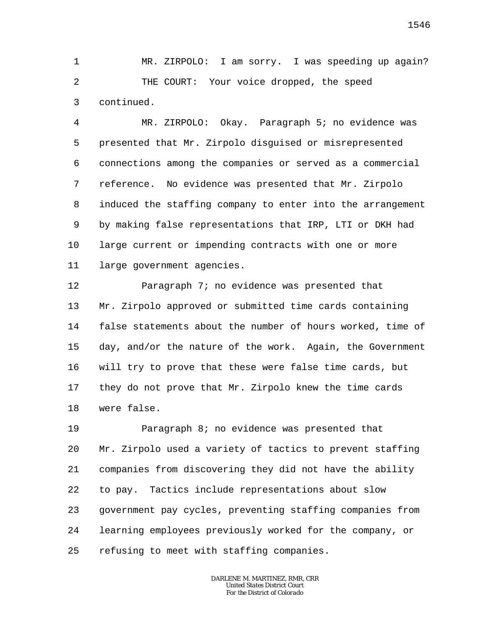1 2 3 MR. ZIRPOLO: I am sorry. I was speeding up again? THE COURT: Your voice dropped, the speed continued.

4 5 6 7 8 9 10 11 MR. ZIRPOLO: Okay. Paragraph 5; no evidence was presented that Mr. Zirpolo disguised or misrepresented connections among the companies or served as a commercial reference. No evidence was presented that Mr. Zirpolo induced the staffing company to enter into the arrangement by making false representations that IRP, LTI or DKH had large current or impending contracts with one or more large government agencies.

12 13 14 15 16 17 18 Paragraph 7; no evidence was presented that Mr. Zirpolo approved or submitted time cards containing false statements about the number of hours worked, time of day, and/or the nature of the work. Again, the Government will try to prove that these were false time cards, but they do not prove that Mr. Zirpolo knew the time cards were false.

19 20 21 22 23 24 25 Paragraph 8; no evidence was presented that Mr. Zirpolo used a variety of tactics to prevent staffing companies from discovering they did not have the ability to pay. Tactics include representations about slow government pay cycles, preventing staffing companies from learning employees previously worked for the company, or refusing to meet with staffing companies.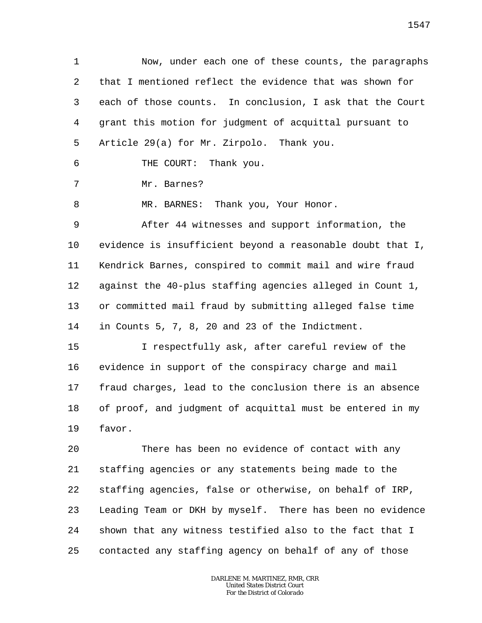1 2 3 4 5 6 7 8 9 10 11 12 13 14 15 16 17 18 19 20 21 22 23 24 25 Now, under each one of these counts, the paragraphs that I mentioned reflect the evidence that was shown for each of those counts. In conclusion, I ask that the Court grant this motion for judgment of acquittal pursuant to Article 29(a) for Mr. Zirpolo. Thank you. THE COURT: Thank you. Mr. Barnes? MR. BARNES: Thank you, Your Honor. After 44 witnesses and support information, the evidence is insufficient beyond a reasonable doubt that I, Kendrick Barnes, conspired to commit mail and wire fraud against the 40-plus staffing agencies alleged in Count 1, or committed mail fraud by submitting alleged false time in Counts 5, 7, 8, 20 and 23 of the Indictment. I respectfully ask, after careful review of the evidence in support of the conspiracy charge and mail fraud charges, lead to the conclusion there is an absence of proof, and judgment of acquittal must be entered in my favor. There has been no evidence of contact with any staffing agencies or any statements being made to the staffing agencies, false or otherwise, on behalf of IRP, Leading Team or DKH by myself. There has been no evidence shown that any witness testified also to the fact that I contacted any staffing agency on behalf of any of those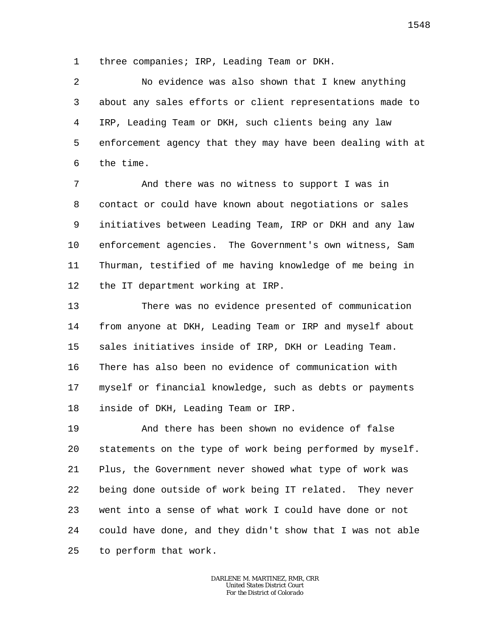1 three companies; IRP, Leading Team or DKH.

2 3 4 5 6 No evidence was also shown that I knew anything about any sales efforts or client representations made to IRP, Leading Team or DKH, such clients being any law enforcement agency that they may have been dealing with at the time.

7 8 9 10 11 12 And there was no witness to support I was in contact or could have known about negotiations or sales initiatives between Leading Team, IRP or DKH and any law enforcement agencies. The Government's own witness, Sam Thurman, testified of me having knowledge of me being in the IT department working at IRP.

13 14 15 16 17 18 There was no evidence presented of communication from anyone at DKH, Leading Team or IRP and myself about sales initiatives inside of IRP, DKH or Leading Team. There has also been no evidence of communication with myself or financial knowledge, such as debts or payments inside of DKH, Leading Team or IRP.

19 20 21 22 23 24 25 And there has been shown no evidence of false statements on the type of work being performed by myself. Plus, the Government never showed what type of work was being done outside of work being IT related. They never went into a sense of what work I could have done or not could have done, and they didn't show that I was not able to perform that work.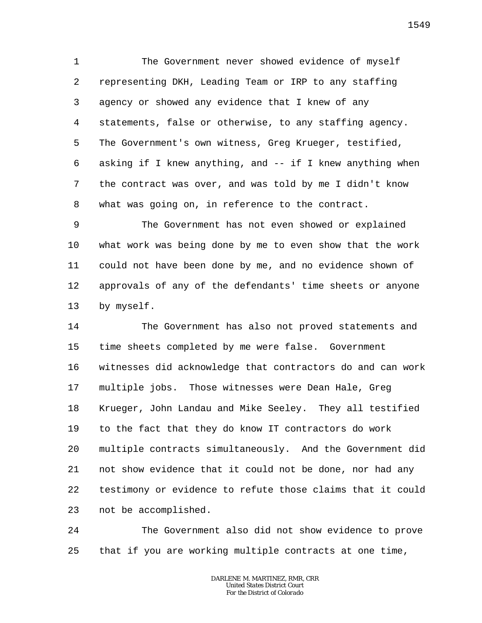1 2 3 4 5 6 7 8 The Government never showed evidence of myself representing DKH, Leading Team or IRP to any staffing agency or showed any evidence that I knew of any statements, false or otherwise, to any staffing agency. The Government's own witness, Greg Krueger, testified, asking if I knew anything, and -- if I knew anything when the contract was over, and was told by me I didn't know what was going on, in reference to the contract.

9 10 11 12 13 The Government has not even showed or explained what work was being done by me to even show that the work could not have been done by me, and no evidence shown of approvals of any of the defendants' time sheets or anyone by myself.

14 15 16 17 18 19 20 21 22 23 The Government has also not proved statements and time sheets completed by me were false. Government witnesses did acknowledge that contractors do and can work multiple jobs. Those witnesses were Dean Hale, Greg Krueger, John Landau and Mike Seeley. They all testified to the fact that they do know IT contractors do work multiple contracts simultaneously. And the Government did not show evidence that it could not be done, nor had any testimony or evidence to refute those claims that it could not be accomplished.

24 25 The Government also did not show evidence to prove that if you are working multiple contracts at one time,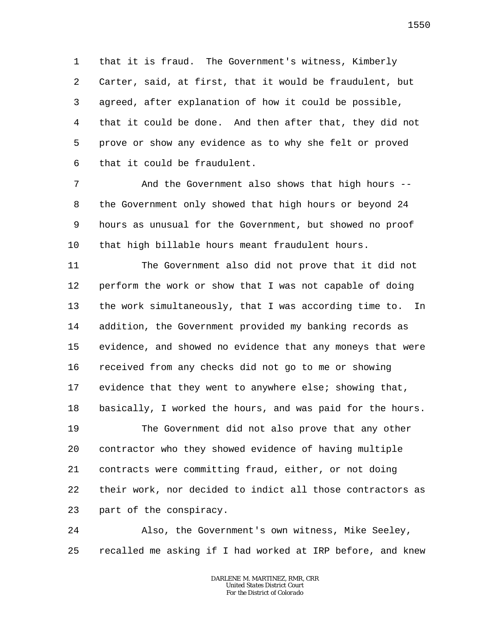1 2 3 4 5 6 that it is fraud. The Government's witness, Kimberly Carter, said, at first, that it would be fraudulent, but agreed, after explanation of how it could be possible, that it could be done. And then after that, they did not prove or show any evidence as to why she felt or proved that it could be fraudulent.

7 8 9 10 And the Government also shows that high hours - the Government only showed that high hours or beyond 24 hours as unusual for the Government, but showed no proof that high billable hours meant fraudulent hours.

11 12 13 14 15 16 17 18 The Government also did not prove that it did not perform the work or show that I was not capable of doing the work simultaneously, that I was according time to. In addition, the Government provided my banking records as evidence, and showed no evidence that any moneys that were received from any checks did not go to me or showing evidence that they went to anywhere else; showing that, basically, I worked the hours, and was paid for the hours.

19 20 21 22 23 The Government did not also prove that any other contractor who they showed evidence of having multiple contracts were committing fraud, either, or not doing their work, nor decided to indict all those contractors as part of the conspiracy.

24 25 Also, the Government's own witness, Mike Seeley, recalled me asking if I had worked at IRP before, and knew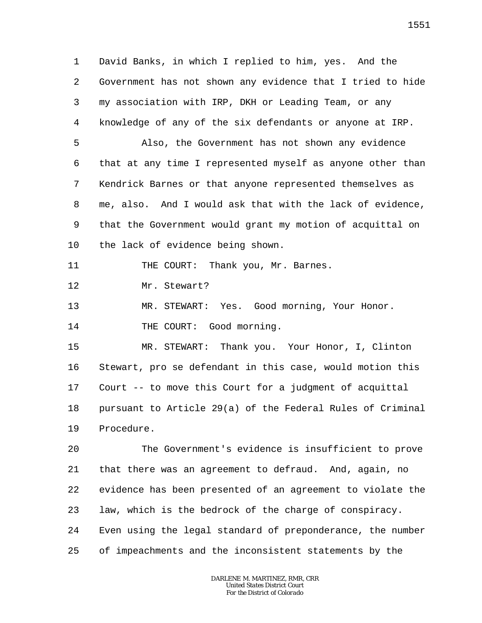1 2 3 4 David Banks, in which I replied to him, yes. And the Government has not shown any evidence that I tried to hide my association with IRP, DKH or Leading Team, or any knowledge of any of the six defendants or anyone at IRP.

5 6 7 8 9 10 Also, the Government has not shown any evidence that at any time I represented myself as anyone other than Kendrick Barnes or that anyone represented themselves as me, also. And I would ask that with the lack of evidence, that the Government would grant my motion of acquittal on the lack of evidence being shown.

11 THE COURT: Thank you, Mr. Barnes.

12 Mr. Stewart?

13 MR. STEWART: Yes. Good morning, Your Honor.

14 THE COURT: Good morning.

15 16 17 18 19 MR. STEWART: Thank you. Your Honor, I, Clinton Stewart, pro se defendant in this case, would motion this Court -- to move this Court for a judgment of acquittal pursuant to Article 29(a) of the Federal Rules of Criminal Procedure.

20 21 22 23 24 25 The Government's evidence is insufficient to prove that there was an agreement to defraud. And, again, no evidence has been presented of an agreement to violate the law, which is the bedrock of the charge of conspiracy. Even using the legal standard of preponderance, the number of impeachments and the inconsistent statements by the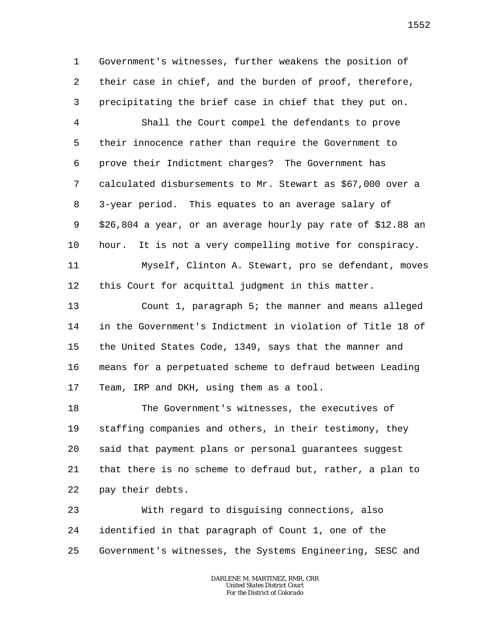1 2 3 Government's witnesses, further weakens the position of their case in chief, and the burden of proof, therefore, precipitating the brief case in chief that they put on.

4 5 6 7 8 9 10 Shall the Court compel the defendants to prove their innocence rather than require the Government to prove their Indictment charges? The Government has calculated disbursements to Mr. Stewart as \$67,000 over a 3-year period. This equates to an average salary of \$26,804 a year, or an average hourly pay rate of \$12.88 an hour. It is not a very compelling motive for conspiracy.

11 12 Myself, Clinton A. Stewart, pro se defendant, moves this Court for acquittal judgment in this matter.

13 14 15 16 17 Count 1, paragraph 5; the manner and means alleged in the Government's Indictment in violation of Title 18 of the United States Code, 1349, says that the manner and means for a perpetuated scheme to defraud between Leading Team, IRP and DKH, using them as a tool.

18 19 20 21 22 The Government's witnesses, the executives of staffing companies and others, in their testimony, they said that payment plans or personal guarantees suggest that there is no scheme to defraud but, rather, a plan to pay their debts.

23 24 25 With regard to disguising connections, also identified in that paragraph of Count 1, one of the Government's witnesses, the Systems Engineering, SESC and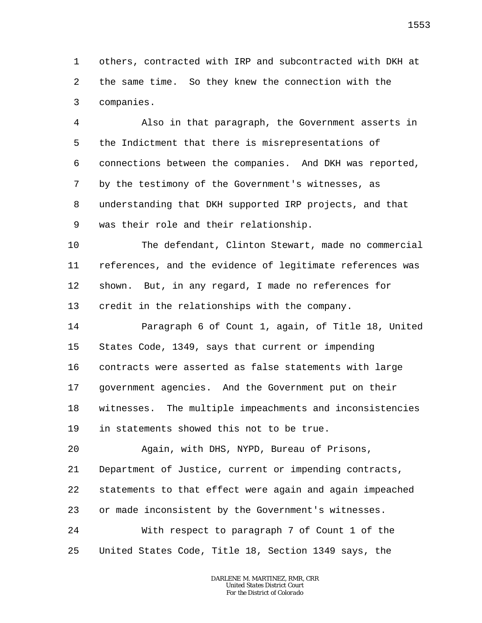1 2 3 others, contracted with IRP and subcontracted with DKH at the same time. So they knew the connection with the companies.

4 5 6 7 8 9 Also in that paragraph, the Government asserts in the Indictment that there is misrepresentations of connections between the companies. And DKH was reported, by the testimony of the Government's witnesses, as understanding that DKH supported IRP projects, and that was their role and their relationship.

10 11 12 13 The defendant, Clinton Stewart, made no commercial references, and the evidence of legitimate references was shown. But, in any regard, I made no references for credit in the relationships with the company.

14 15 16 17 18 19 Paragraph 6 of Count 1, again, of Title 18, United States Code, 1349, says that current or impending contracts were asserted as false statements with large government agencies. And the Government put on their witnesses. The multiple impeachments and inconsistencies in statements showed this not to be true.

20 21 22 23 24 25 Again, with DHS, NYPD, Bureau of Prisons, Department of Justice, current or impending contracts, statements to that effect were again and again impeached or made inconsistent by the Government's witnesses. With respect to paragraph 7 of Count 1 of the United States Code, Title 18, Section 1349 says, the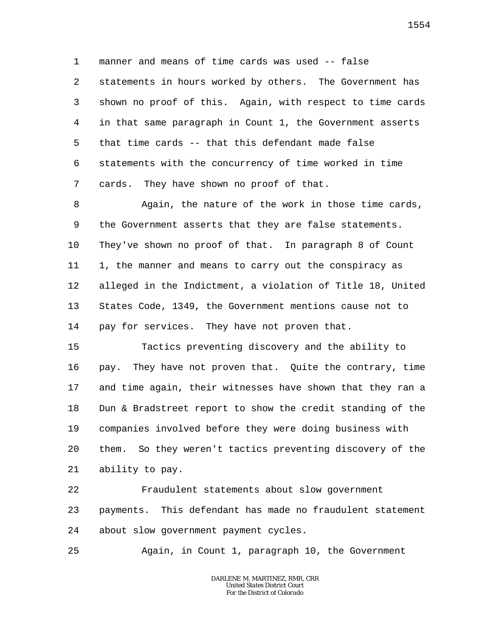1 2 3 4 5 6 7 manner and means of time cards was used -- false statements in hours worked by others. The Government has shown no proof of this. Again, with respect to time cards in that same paragraph in Count 1, the Government asserts that time cards -- that this defendant made false statements with the concurrency of time worked in time cards. They have shown no proof of that.

8 9 10 11 12 13 14 Again, the nature of the work in those time cards, the Government asserts that they are false statements. They've shown no proof of that. In paragraph 8 of Count 1, the manner and means to carry out the conspiracy as alleged in the Indictment, a violation of Title 18, United States Code, 1349, the Government mentions cause not to pay for services. They have not proven that.

15 16 17 18 19 20 21 Tactics preventing discovery and the ability to pay. They have not proven that. Quite the contrary, time and time again, their witnesses have shown that they ran a Dun & Bradstreet report to show the credit standing of the companies involved before they were doing business with them. So they weren't tactics preventing discovery of the ability to pay.

22 23 24 Fraudulent statements about slow government payments. This defendant has made no fraudulent statement about slow government payment cycles.

25 Again, in Count 1, paragraph 10, the Government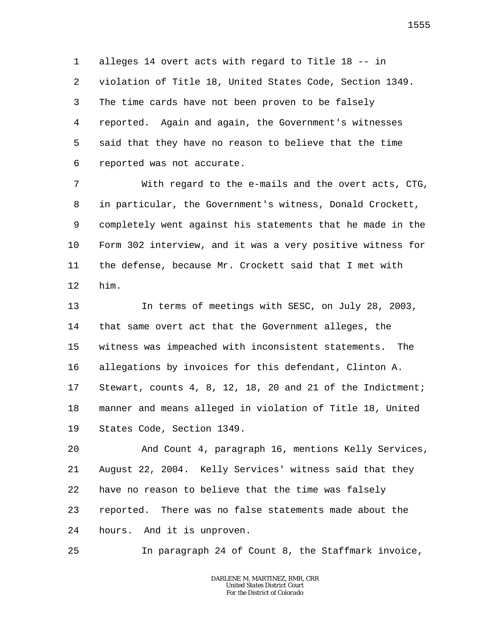1 2 3 4 5 6 alleges 14 overt acts with regard to Title 18 -- in violation of Title 18, United States Code, Section 1349. The time cards have not been proven to be falsely reported. Again and again, the Government's witnesses said that they have no reason to believe that the time reported was not accurate.

7 8 9 10 11 12 With regard to the e-mails and the overt acts, CTG, in particular, the Government's witness, Donald Crockett, completely went against his statements that he made in the Form 302 interview, and it was a very positive witness for the defense, because Mr. Crockett said that I met with him.

13 14 15 16 17 18 19 In terms of meetings with SESC, on July 28, 2003, that same overt act that the Government alleges, the witness was impeached with inconsistent statements. The allegations by invoices for this defendant, Clinton A. Stewart, counts 4, 8, 12, 18, 20 and 21 of the Indictment; manner and means alleged in violation of Title 18, United States Code, Section 1349.

20 21 22 23 24 And Count 4, paragraph 16, mentions Kelly Services, August 22, 2004. Kelly Services' witness said that they have no reason to believe that the time was falsely reported. There was no false statements made about the hours. And it is unproven.

25 In paragraph 24 of Count 8, the Staffmark invoice,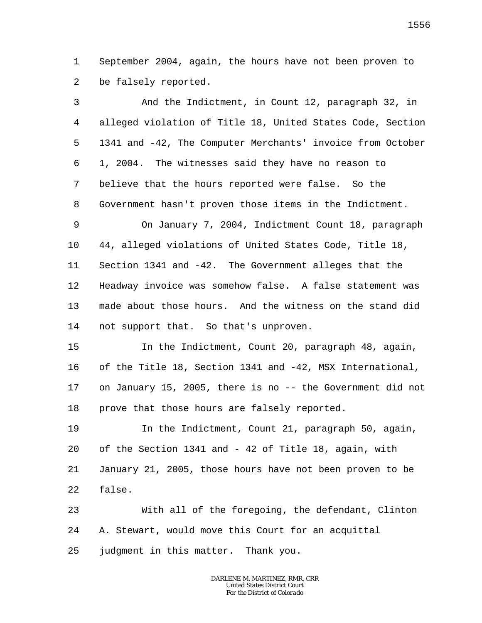1 2 September 2004, again, the hours have not been proven to be falsely reported.

| 3              | And the Indictment, in Count 12, paragraph 32, in          |
|----------------|------------------------------------------------------------|
| $\overline{4}$ | alleged violation of Title 18, United States Code, Section |
| 5              | 1341 and -42, The Computer Merchants' invoice from October |
| 6              | 1, 2004. The witnesses said they have no reason to         |
| 7              | believe that the hours reported were false. So the         |
| $\,8\,$        | Government hasn't proven those items in the Indictment.    |
| 9              | On January 7, 2004, Indictment Count 18, paragraph         |
| 10             | 44, alleged violations of United States Code, Title 18,    |
| 11             | Section 1341 and -42. The Government alleges that the      |
| 12             | Headway invoice was somehow false. A false statement was   |
| 13             | made about those hours. And the witness on the stand did   |
| 14             | not support that. So that's unproven.                      |
| 15             | In the Indictment, Count 20, paragraph 48, again,          |
| 16             | of the Title 18, Section 1341 and -42, MSX International,  |
| 17             | on January 15, 2005, there is no -- the Government did not |
| 18             | prove that those hours are falsely reported.               |
| 19             | In the Indictment, Count 21, paragraph 50, again,          |
| 20             | of the Section 1341 and - 42 of Title 18, again, with      |
| 21             | January 21, 2005, those hours have not been proven to be   |
| 22             | false.                                                     |
| 23             | With all of the foregoing, the defendant, Clinton          |
| 24             | A. Stewart, would move this Court for an acquittal         |
| 25             | judgment in this matter. Thank you.                        |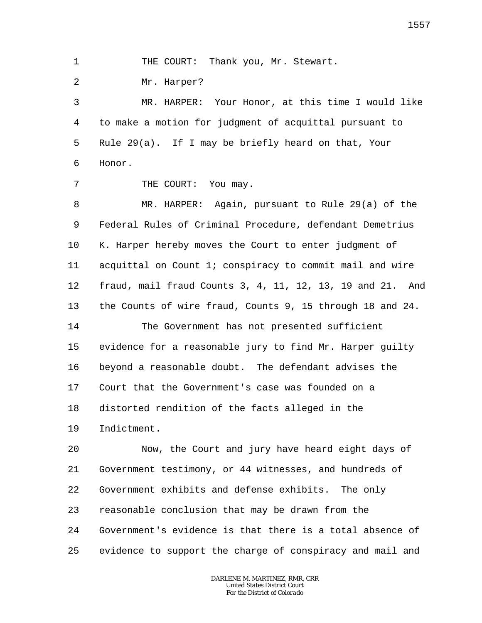1 THE COURT: Thank you, Mr. Stewart.

2 Mr. Harper?

7

3 4 5 6 MR. HARPER: Your Honor, at this time I would like to make a motion for judgment of acquittal pursuant to Rule 29(a). If I may be briefly heard on that, Your Honor.

THE COURT: You may.

8 9 10 11 12 13 MR. HARPER: Again, pursuant to Rule 29(a) of the Federal Rules of Criminal Procedure, defendant Demetrius K. Harper hereby moves the Court to enter judgment of acquittal on Count 1; conspiracy to commit mail and wire fraud, mail fraud Counts 3, 4, 11, 12, 13, 19 and 21. And the Counts of wire fraud, Counts 9, 15 through 18 and 24.

14 15 16 17 18 19 The Government has not presented sufficient evidence for a reasonable jury to find Mr. Harper guilty beyond a reasonable doubt. The defendant advises the Court that the Government's case was founded on a distorted rendition of the facts alleged in the Indictment.

20 21 22 23 24 25 Now, the Court and jury have heard eight days of Government testimony, or 44 witnesses, and hundreds of Government exhibits and defense exhibits. The only reasonable conclusion that may be drawn from the Government's evidence is that there is a total absence of evidence to support the charge of conspiracy and mail and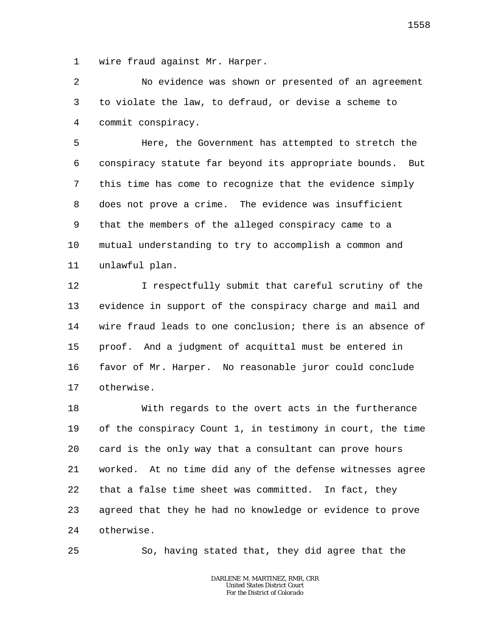1 wire fraud against Mr. Harper.

2 3 4 No evidence was shown or presented of an agreement to violate the law, to defraud, or devise a scheme to commit conspiracy.

5 6 7 8 9 10 11 Here, the Government has attempted to stretch the conspiracy statute far beyond its appropriate bounds. But this time has come to recognize that the evidence simply does not prove a crime. The evidence was insufficient that the members of the alleged conspiracy came to a mutual understanding to try to accomplish a common and unlawful plan.

12 13 14 15 16 17 I respectfully submit that careful scrutiny of the evidence in support of the conspiracy charge and mail and wire fraud leads to one conclusion; there is an absence of proof. And a judgment of acquittal must be entered in favor of Mr. Harper. No reasonable juror could conclude otherwise.

18 19 20 21 22 23 24 With regards to the overt acts in the furtherance of the conspiracy Count 1, in testimony in court, the time card is the only way that a consultant can prove hours worked. At no time did any of the defense witnesses agree that a false time sheet was committed. In fact, they agreed that they he had no knowledge or evidence to prove otherwise.

So, having stated that, they did agree that the

25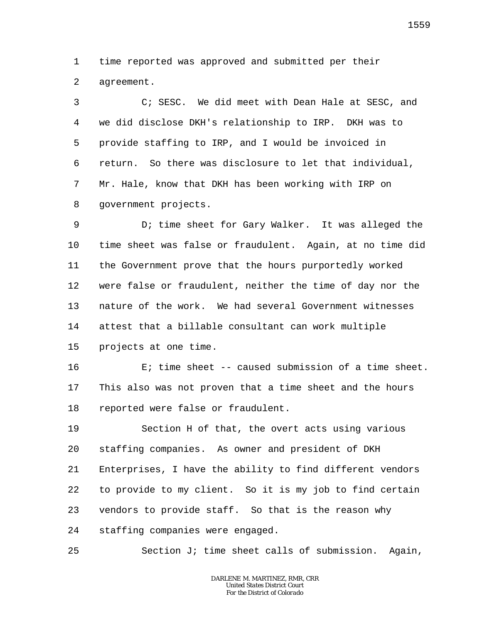1 2 time reported was approved and submitted per their agreement.

3 4 5 6 7 8 C; SESC. We did meet with Dean Hale at SESC, and we did disclose DKH's relationship to IRP. DKH was to provide staffing to IRP, and I would be invoiced in return. So there was disclosure to let that individual, Mr. Hale, know that DKH has been working with IRP on government projects.

9 10 11 12 13 14 15 D; time sheet for Gary Walker. It was alleged the time sheet was false or fraudulent. Again, at no time did the Government prove that the hours purportedly worked were false or fraudulent, neither the time of day nor the nature of the work. We had several Government witnesses attest that a billable consultant can work multiple projects at one time.

16 17 18 E; time sheet -- caused submission of a time sheet. This also was not proven that a time sheet and the hours reported were false or fraudulent.

19 20 21 22 23 24 Section H of that, the overt acts using various staffing companies. As owner and president of DKH Enterprises, I have the ability to find different vendors to provide to my client. So it is my job to find certain vendors to provide staff. So that is the reason why staffing companies were engaged.

25 Section J; time sheet calls of submission. Again,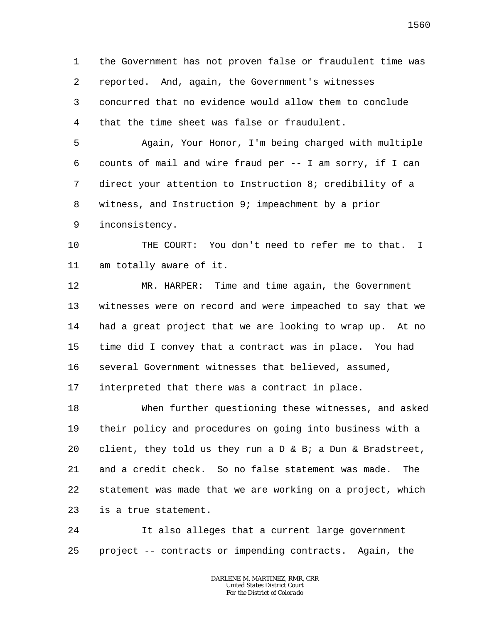1 2 3 4 the Government has not proven false or fraudulent time was reported. And, again, the Government's witnesses concurred that no evidence would allow them to conclude that the time sheet was false or fraudulent.

5 6 7 8 9 Again, Your Honor, I'm being charged with multiple counts of mail and wire fraud per -- I am sorry, if I can direct your attention to Instruction 8; credibility of a witness, and Instruction 9; impeachment by a prior inconsistency.

10 11 THE COURT: You don't need to refer me to that. I am totally aware of it.

12 13 14 15 16 17 MR. HARPER: Time and time again, the Government witnesses were on record and were impeached to say that we had a great project that we are looking to wrap up. At no time did I convey that a contract was in place. You had several Government witnesses that believed, assumed, interpreted that there was a contract in place.

18 19 20 21 22 23 When further questioning these witnesses, and asked their policy and procedures on going into business with a client, they told us they run a  $D \& B_i$  a Dun & Bradstreet, and a credit check. So no false statement was made. The statement was made that we are working on a project, which is a true statement.

24 25 It also alleges that a current large government project -- contracts or impending contracts. Again, the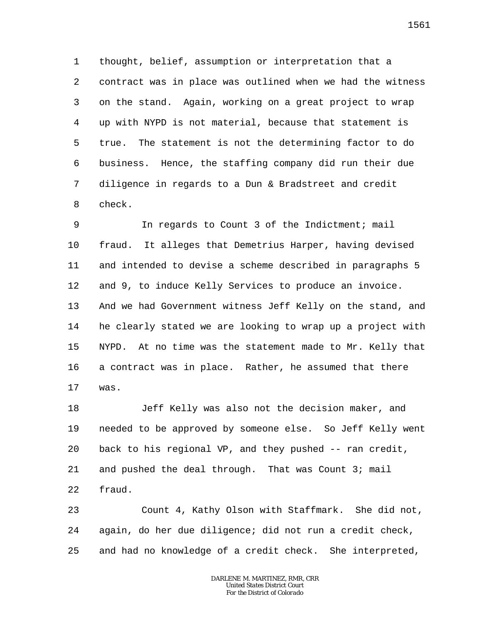1 2 3 4 5 6 7 8 thought, belief, assumption or interpretation that a contract was in place was outlined when we had the witness on the stand. Again, working on a great project to wrap up with NYPD is not material, because that statement is true. The statement is not the determining factor to do business. Hence, the staffing company did run their due diligence in regards to a Dun & Bradstreet and credit check.

9 10 11 12 13 14 15 16 17 In regards to Count 3 of the Indictment; mail fraud. It alleges that Demetrius Harper, having devised and intended to devise a scheme described in paragraphs 5 and 9, to induce Kelly Services to produce an invoice. And we had Government witness Jeff Kelly on the stand, and he clearly stated we are looking to wrap up a project with NYPD. At no time was the statement made to Mr. Kelly that a contract was in place. Rather, he assumed that there was.

18 19 20 21 22 Jeff Kelly was also not the decision maker, and needed to be approved by someone else. So Jeff Kelly went back to his regional VP, and they pushed -- ran credit, and pushed the deal through. That was Count 3; mail fraud.

23 24 25 Count 4, Kathy Olson with Staffmark. She did not, again, do her due diligence; did not run a credit check, and had no knowledge of a credit check. She interpreted,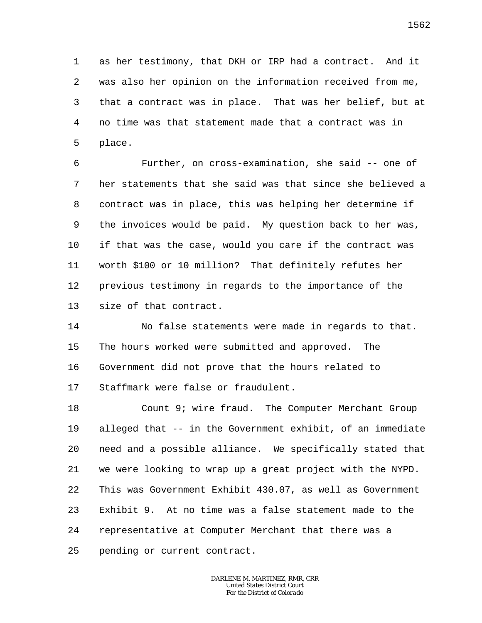1 2 3 4 5 as her testimony, that DKH or IRP had a contract. And it was also her opinion on the information received from me, that a contract was in place. That was her belief, but at no time was that statement made that a contract was in place.

6 7 8 9 10 11 12 13 Further, on cross-examination, she said -- one of her statements that she said was that since she believed a contract was in place, this was helping her determine if the invoices would be paid. My question back to her was, if that was the case, would you care if the contract was worth \$100 or 10 million? That definitely refutes her previous testimony in regards to the importance of the size of that contract.

14 15 16 17 No false statements were made in regards to that. The hours worked were submitted and approved. The Government did not prove that the hours related to Staffmark were false or fraudulent.

18 19 20 21 22 23 24 25 Count 9; wire fraud. The Computer Merchant Group alleged that -- in the Government exhibit, of an immediate need and a possible alliance. We specifically stated that we were looking to wrap up a great project with the NYPD. This was Government Exhibit 430.07, as well as Government Exhibit 9. At no time was a false statement made to the representative at Computer Merchant that there was a pending or current contract.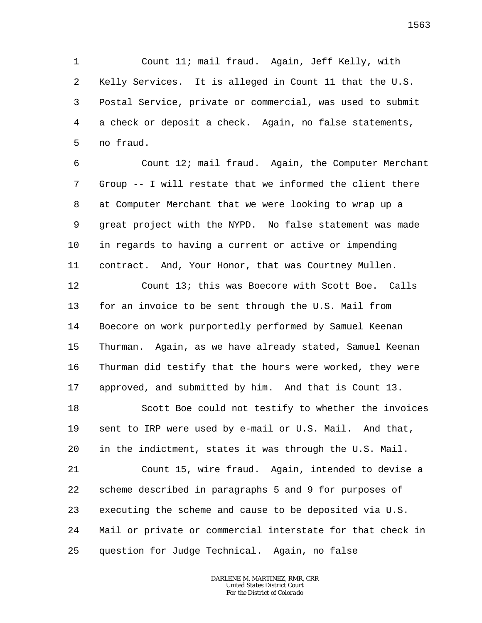1 2 3 4 5 Count 11; mail fraud. Again, Jeff Kelly, with Kelly Services. It is alleged in Count 11 that the U.S. Postal Service, private or commercial, was used to submit a check or deposit a check. Again, no false statements, no fraud.

6 7 8 9 10 11 Count 12; mail fraud. Again, the Computer Merchant Group -- I will restate that we informed the client there at Computer Merchant that we were looking to wrap up a great project with the NYPD. No false statement was made in regards to having a current or active or impending contract. And, Your Honor, that was Courtney Mullen.

12 13 14 15 16 17 Count 13; this was Boecore with Scott Boe. Calls for an invoice to be sent through the U.S. Mail from Boecore on work purportedly performed by Samuel Keenan Thurman. Again, as we have already stated, Samuel Keenan Thurman did testify that the hours were worked, they were approved, and submitted by him. And that is Count 13.

18 19 20 Scott Boe could not testify to whether the invoices sent to IRP were used by e-mail or U.S. Mail. And that, in the indictment, states it was through the U.S. Mail.

21 22 23 24 25 Count 15, wire fraud. Again, intended to devise a scheme described in paragraphs 5 and 9 for purposes of executing the scheme and cause to be deposited via U.S. Mail or private or commercial interstate for that check in question for Judge Technical. Again, no false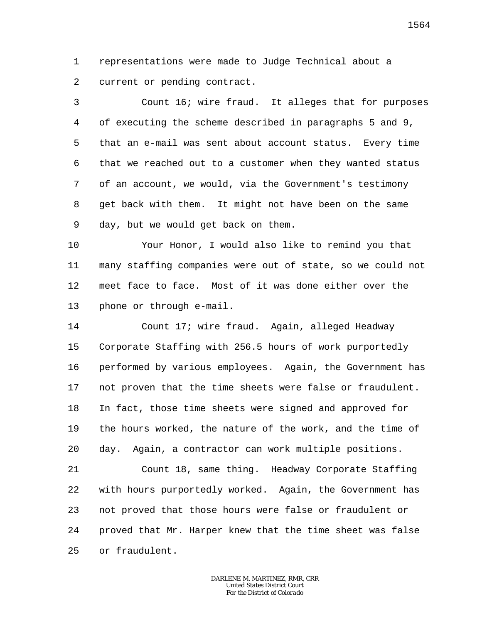1 2 representations were made to Judge Technical about a current or pending contract.

3 4 5 6 7 8 9 Count 16; wire fraud. It alleges that for purposes of executing the scheme described in paragraphs 5 and 9, that an e-mail was sent about account status. Every time that we reached out to a customer when they wanted status of an account, we would, via the Government's testimony get back with them. It might not have been on the same day, but we would get back on them.

10 11 12 13 Your Honor, I would also like to remind you that many staffing companies were out of state, so we could not meet face to face. Most of it was done either over the phone or through e-mail.

14 15 16 17 18 19 20 Count 17; wire fraud. Again, alleged Headway Corporate Staffing with 256.5 hours of work purportedly performed by various employees. Again, the Government has not proven that the time sheets were false or fraudulent. In fact, those time sheets were signed and approved for the hours worked, the nature of the work, and the time of day. Again, a contractor can work multiple positions.

21 22 23 24 25 Count 18, same thing. Headway Corporate Staffing with hours purportedly worked. Again, the Government has not proved that those hours were false or fraudulent or proved that Mr. Harper knew that the time sheet was false or fraudulent.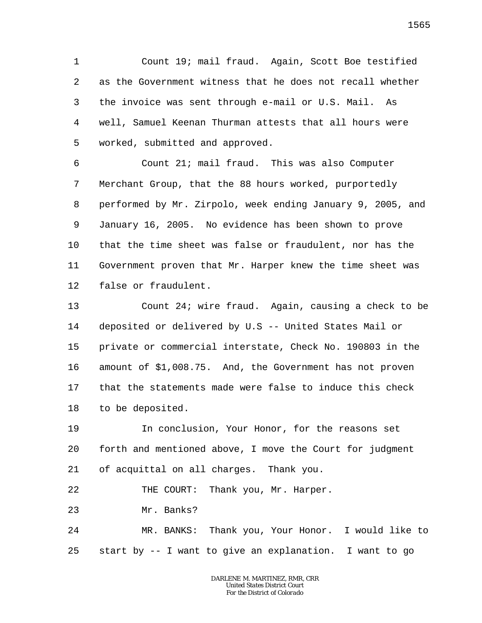1 2 3 4 5 Count 19; mail fraud. Again, Scott Boe testified as the Government witness that he does not recall whether the invoice was sent through e-mail or U.S. Mail. As well, Samuel Keenan Thurman attests that all hours were worked, submitted and approved.

6 7 8 9 10 11 12 Count 21; mail fraud. This was also Computer Merchant Group, that the 88 hours worked, purportedly performed by Mr. Zirpolo, week ending January 9, 2005, and January 16, 2005. No evidence has been shown to prove that the time sheet was false or fraudulent, nor has the Government proven that Mr. Harper knew the time sheet was false or fraudulent.

13 14 15 16 17 18 Count 24; wire fraud. Again, causing a check to be deposited or delivered by U.S -- United States Mail or private or commercial interstate, Check No. 190803 in the amount of \$1,008.75. And, the Government has not proven that the statements made were false to induce this check to be deposited.

19 20 21 In conclusion, Your Honor, for the reasons set forth and mentioned above, I move the Court for judgment of acquittal on all charges. Thank you.

22 THE COURT: Thank you, Mr. Harper.

23 Mr. Banks?

24 25 MR. BANKS: Thank you, Your Honor. I would like to start by -- I want to give an explanation. I want to go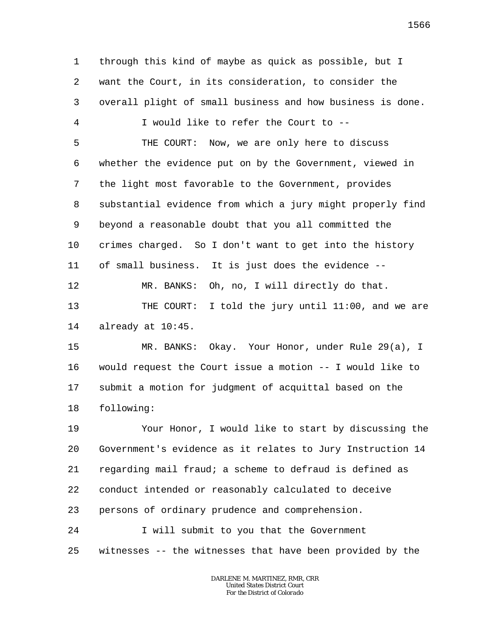1 2 3 4 5 6 7 8 9 10 through this kind of maybe as quick as possible, but I want the Court, in its consideration, to consider the overall plight of small business and how business is done. I would like to refer the Court to -- THE COURT: Now, we are only here to discuss whether the evidence put on by the Government, viewed in the light most favorable to the Government, provides substantial evidence from which a jury might properly find beyond a reasonable doubt that you all committed the crimes charged. So I don't want to get into the history

11 of small business. It is just does the evidence --

12 13 14 MR. BANKS: Oh, no, I will directly do that. THE COURT: I told the jury until 11:00, and we are already at 10:45.

15 16 17 18 MR. BANKS: Okay. Your Honor, under Rule 29(a), I would request the Court issue a motion -- I would like to submit a motion for judgment of acquittal based on the following:

19 20 21 22 23 Your Honor, I would like to start by discussing the Government's evidence as it relates to Jury Instruction 14 regarding mail fraud; a scheme to defraud is defined as conduct intended or reasonably calculated to deceive persons of ordinary prudence and comprehension.

24 25 I will submit to you that the Government witnesses -- the witnesses that have been provided by the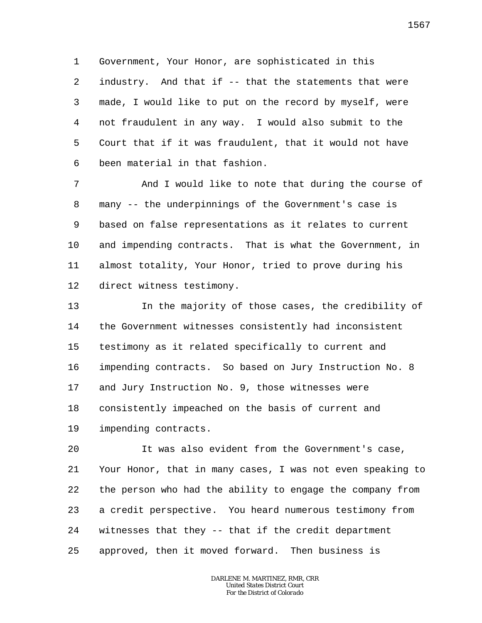1 2 3 4 5 6 Government, Your Honor, are sophisticated in this industry. And that if -- that the statements that were made, I would like to put on the record by myself, were not fraudulent in any way. I would also submit to the Court that if it was fraudulent, that it would not have been material in that fashion.

7 8 9 10 11 12 And I would like to note that during the course of many -- the underpinnings of the Government's case is based on false representations as it relates to current and impending contracts. That is what the Government, in almost totality, Your Honor, tried to prove during his direct witness testimony.

13 14 15 16 17 18 19 In the majority of those cases, the credibility of the Government witnesses consistently had inconsistent testimony as it related specifically to current and impending contracts. So based on Jury Instruction No. 8 and Jury Instruction No. 9, those witnesses were consistently impeached on the basis of current and impending contracts.

20 21 22 23 24 25 It was also evident from the Government's case, Your Honor, that in many cases, I was not even speaking to the person who had the ability to engage the company from a credit perspective. You heard numerous testimony from witnesses that they -- that if the credit department approved, then it moved forward. Then business is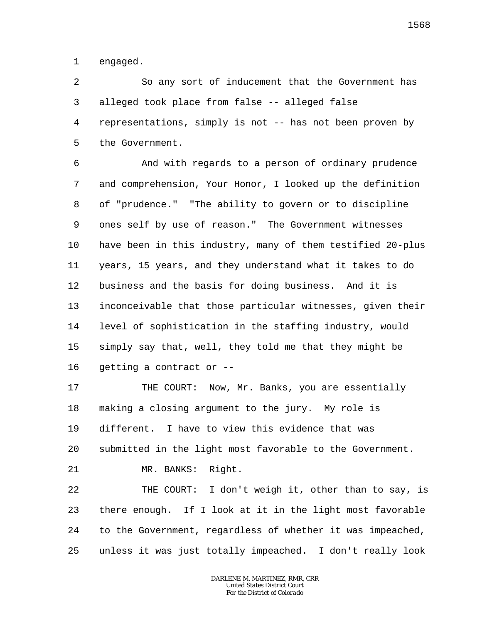1 engaged.

2 3 4 5 So any sort of inducement that the Government has alleged took place from false -- alleged false representations, simply is not -- has not been proven by the Government.

6 7 8 9 10 11 12 13 14 15 16 And with regards to a person of ordinary prudence and comprehension, Your Honor, I looked up the definition of "prudence." "The ability to govern or to discipline ones self by use of reason." The Government witnesses have been in this industry, many of them testified 20-plus years, 15 years, and they understand what it takes to do business and the basis for doing business. And it is inconceivable that those particular witnesses, given their level of sophistication in the staffing industry, would simply say that, well, they told me that they might be getting a contract or --

17 18 19 20 21 THE COURT: Now, Mr. Banks, you are essentially making a closing argument to the jury. My role is different. I have to view this evidence that was submitted in the light most favorable to the Government. MR. BANKS: Right.

22 23 24 25 THE COURT: I don't weigh it, other than to say, is there enough. If I look at it in the light most favorable to the Government, regardless of whether it was impeached, unless it was just totally impeached. I don't really look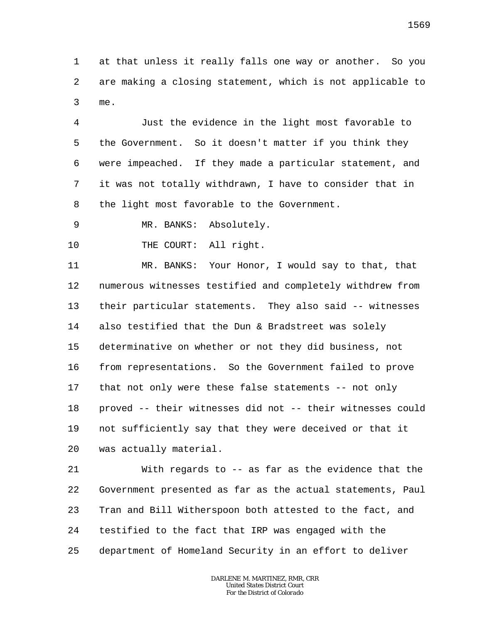1 2 3 at that unless it really falls one way or another. So you are making a closing statement, which is not applicable to me.

4 5 6 7 8 Just the evidence in the light most favorable to the Government. So it doesn't matter if you think they were impeached. If they made a particular statement, and it was not totally withdrawn, I have to consider that in the light most favorable to the Government.

9 MR. BANKS: Absolutely.

10 THE COURT: All right.

11 12 13 14 15 16 17 18 19 20 MR. BANKS: Your Honor, I would say to that, that numerous witnesses testified and completely withdrew from their particular statements. They also said -- witnesses also testified that the Dun & Bradstreet was solely determinative on whether or not they did business, not from representations. So the Government failed to prove that not only were these false statements -- not only proved -- their witnesses did not -- their witnesses could not sufficiently say that they were deceived or that it was actually material.

21 22 23 24 25 With regards to -- as far as the evidence that the Government presented as far as the actual statements, Paul Tran and Bill Witherspoon both attested to the fact, and testified to the fact that IRP was engaged with the department of Homeland Security in an effort to deliver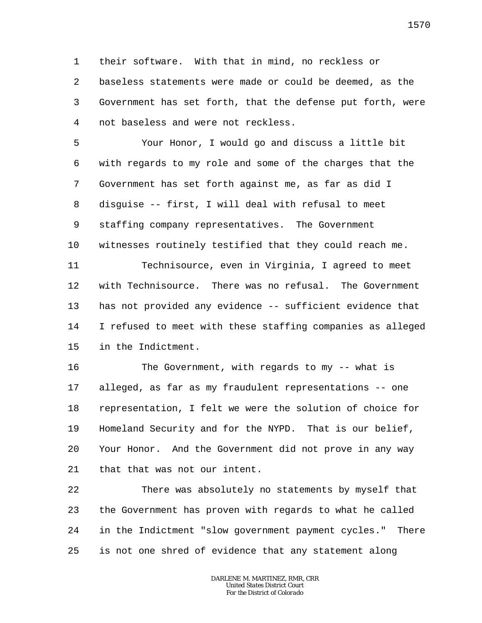1 2 3 4 their software. With that in mind, no reckless or baseless statements were made or could be deemed, as the Government has set forth, that the defense put forth, were not baseless and were not reckless.

5 6 7 8 9 10 Your Honor, I would go and discuss a little bit with regards to my role and some of the charges that the Government has set forth against me, as far as did I disguise -- first, I will deal with refusal to meet staffing company representatives. The Government witnesses routinely testified that they could reach me.

11 12 13 14 15 Technisource, even in Virginia, I agreed to meet with Technisource. There was no refusal. The Government has not provided any evidence -- sufficient evidence that I refused to meet with these staffing companies as alleged in the Indictment.

16 17 18 19 20 21 The Government, with regards to my -- what is alleged, as far as my fraudulent representations -- one representation, I felt we were the solution of choice for Homeland Security and for the NYPD. That is our belief, Your Honor. And the Government did not prove in any way that that was not our intent.

22 23 24 25 There was absolutely no statements by myself that the Government has proven with regards to what he called in the Indictment "slow government payment cycles." There is not one shred of evidence that any statement along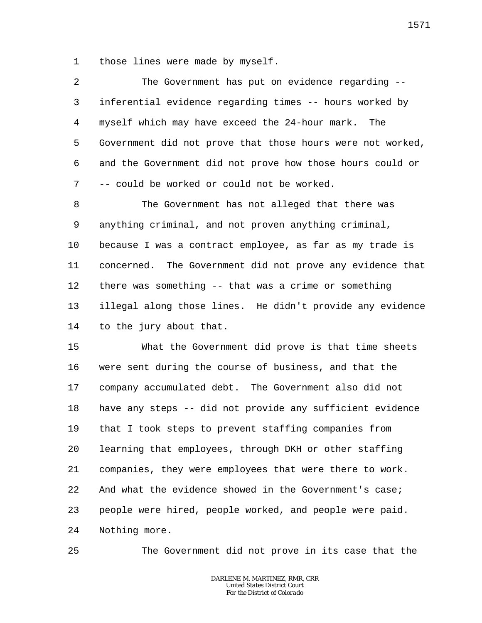1 those lines were made by myself.

| $\overline{2}$  | The Government has put on evidence regarding --            |
|-----------------|------------------------------------------------------------|
| 3               | inferential evidence regarding times -- hours worked by    |
| 4               | myself which may have exceed the 24-hour mark. The         |
| 5               | Government did not prove that those hours were not worked, |
| 6               | and the Government did not prove how those hours could or  |
| 7               | -- could be worked or could not be worked.                 |
| 8               | The Government has not alleged that there was              |
| 9               | anything criminal, and not proven anything criminal,       |
| 10              | because I was a contract employee, as far as my trade is   |
| 11              | concerned. The Government did not prove any evidence that  |
| 12 <sup>°</sup> | there was something -- that was a crime or something       |
|                 |                                                            |

13 14 illegal along those lines. He didn't provide any evidence to the jury about that.

15 16 17 18 19 20 21 22 23 24 What the Government did prove is that time sheets were sent during the course of business, and that the company accumulated debt. The Government also did not have any steps -- did not provide any sufficient evidence that I took steps to prevent staffing companies from learning that employees, through DKH or other staffing companies, they were employees that were there to work. And what the evidence showed in the Government's case; people were hired, people worked, and people were paid. Nothing more.

25

The Government did not prove in its case that the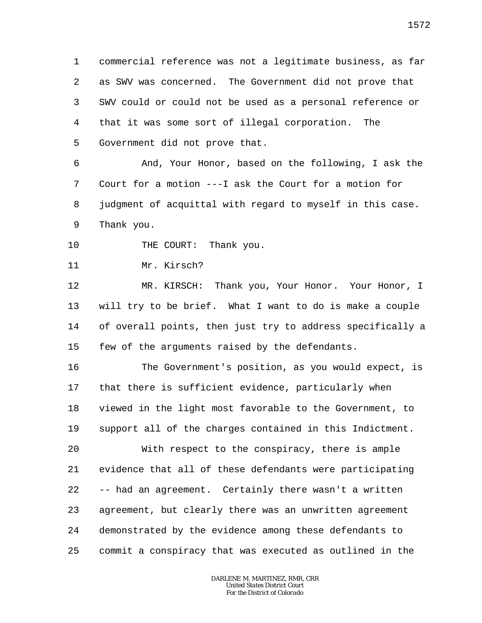1 2 3 4 5 commercial reference was not a legitimate business, as far as SWV was concerned. The Government did not prove that SWV could or could not be used as a personal reference or that it was some sort of illegal corporation. The Government did not prove that.

6 7 8 9 And, Your Honor, based on the following, I ask the Court for a motion ---I ask the Court for a motion for judgment of acquittal with regard to myself in this case. Thank you.

- 10 THE COURT: Thank you.
- 11 Mr. Kirsch?

12 13 14 15 MR. KIRSCH: Thank you, Your Honor. Your Honor, I will try to be brief. What I want to do is make a couple of overall points, then just try to address specifically a few of the arguments raised by the defendants.

16 17 18 19 20 21 22 23 24 25 The Government's position, as you would expect, is that there is sufficient evidence, particularly when viewed in the light most favorable to the Government, to support all of the charges contained in this Indictment. With respect to the conspiracy, there is ample evidence that all of these defendants were participating -- had an agreement. Certainly there wasn't a written agreement, but clearly there was an unwritten agreement demonstrated by the evidence among these defendants to commit a conspiracy that was executed as outlined in the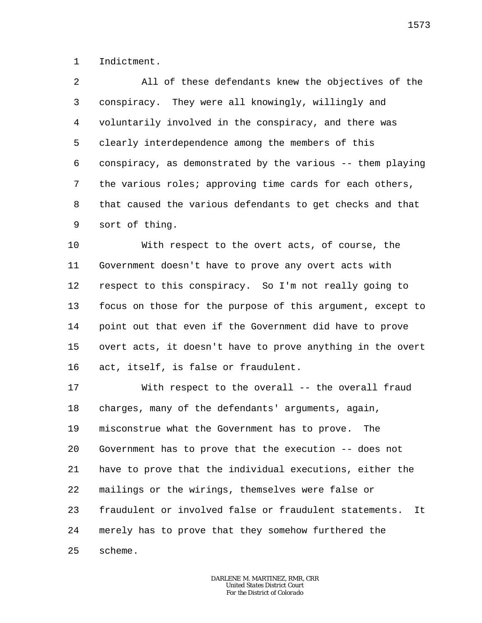1 Indictment.

 $\overline{a}$ 3 4 5 6 7 8 9 All of these defendants knew the objectives of the conspiracy. They were all knowingly, willingly and voluntarily involved in the conspiracy, and there was clearly interdependence among the members of this conspiracy, as demonstrated by the various -- them playing the various roles; approving time cards for each others, that caused the various defendants to get checks and that sort of thing.

10 11 12 13 14 15 16 With respect to the overt acts, of course, the Government doesn't have to prove any overt acts with respect to this conspiracy. So I'm not really going to focus on those for the purpose of this argument, except to point out that even if the Government did have to prove overt acts, it doesn't have to prove anything in the overt act, itself, is false or fraudulent.

17 18 19 20 21 22 23 24 25 With respect to the overall -- the overall fraud charges, many of the defendants' arguments, again, misconstrue what the Government has to prove. The Government has to prove that the execution -- does not have to prove that the individual executions, either the mailings or the wirings, themselves were false or fraudulent or involved false or fraudulent statements. It merely has to prove that they somehow furthered the scheme.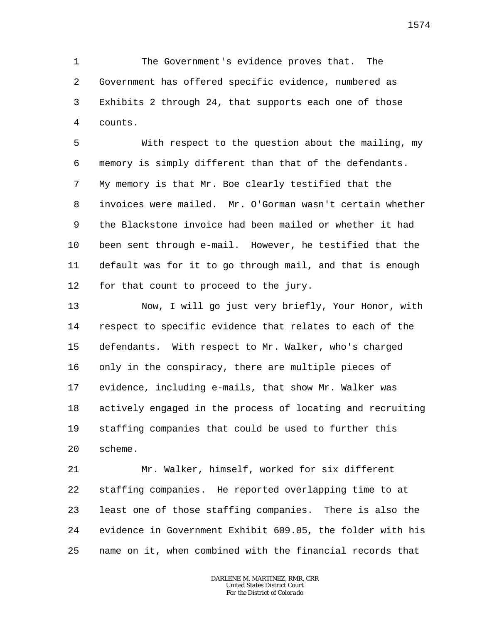1 2 3 4 The Government's evidence proves that. The Government has offered specific evidence, numbered as Exhibits 2 through 24, that supports each one of those counts.

5 6 7 8 9 10 11 12 With respect to the question about the mailing, my memory is simply different than that of the defendants. My memory is that Mr. Boe clearly testified that the invoices were mailed. Mr. O'Gorman wasn't certain whether the Blackstone invoice had been mailed or whether it had been sent through e-mail. However, he testified that the default was for it to go through mail, and that is enough for that count to proceed to the jury.

13 14 15 16 17 18 19 20 Now, I will go just very briefly, Your Honor, with respect to specific evidence that relates to each of the defendants. With respect to Mr. Walker, who's charged only in the conspiracy, there are multiple pieces of evidence, including e-mails, that show Mr. Walker was actively engaged in the process of locating and recruiting staffing companies that could be used to further this scheme.

21 22 23 24 25 Mr. Walker, himself, worked for six different staffing companies. He reported overlapping time to at least one of those staffing companies. There is also the evidence in Government Exhibit 609.05, the folder with his name on it, when combined with the financial records that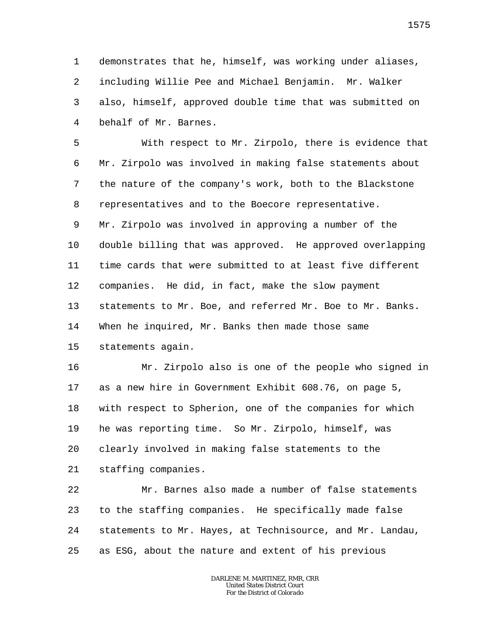1 2 3 4 demonstrates that he, himself, was working under aliases, including Willie Pee and Michael Benjamin. Mr. Walker also, himself, approved double time that was submitted on behalf of Mr. Barnes.

5 6 7 8 With respect to Mr. Zirpolo, there is evidence that Mr. Zirpolo was involved in making false statements about the nature of the company's work, both to the Blackstone representatives and to the Boecore representative.

9 10 11 12 13 14 15 Mr. Zirpolo was involved in approving a number of the double billing that was approved. He approved overlapping time cards that were submitted to at least five different companies. He did, in fact, make the slow payment statements to Mr. Boe, and referred Mr. Boe to Mr. Banks. When he inquired, Mr. Banks then made those same statements again.

16 17 18 19 20 21 Mr. Zirpolo also is one of the people who signed in as a new hire in Government Exhibit 608.76, on page 5, with respect to Spherion, one of the companies for which he was reporting time. So Mr. Zirpolo, himself, was clearly involved in making false statements to the staffing companies.

22 23 24 25 Mr. Barnes also made a number of false statements to the staffing companies. He specifically made false statements to Mr. Hayes, at Technisource, and Mr. Landau, as ESG, about the nature and extent of his previous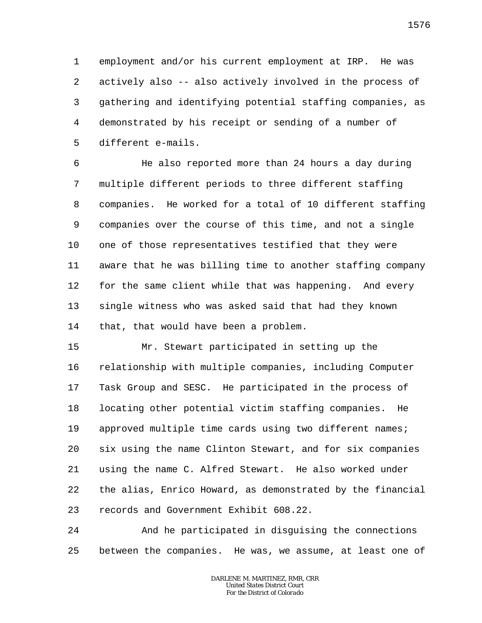1 2 3 4 5 employment and/or his current employment at IRP. He was actively also -- also actively involved in the process of gathering and identifying potential staffing companies, as demonstrated by his receipt or sending of a number of different e-mails.

6 7 8 9 10 11 12 13 14 He also reported more than 24 hours a day during multiple different periods to three different staffing companies. He worked for a total of 10 different staffing companies over the course of this time, and not a single one of those representatives testified that they were aware that he was billing time to another staffing company for the same client while that was happening. And every single witness who was asked said that had they known that, that would have been a problem.

15 16 17 18 19 20 21 22 23 Mr. Stewart participated in setting up the relationship with multiple companies, including Computer Task Group and SESC. He participated in the process of locating other potential victim staffing companies. He approved multiple time cards using two different names; six using the name Clinton Stewart, and for six companies using the name C. Alfred Stewart. He also worked under the alias, Enrico Howard, as demonstrated by the financial records and Government Exhibit 608.22.

24 25 And he participated in disguising the connections between the companies. He was, we assume, at least one of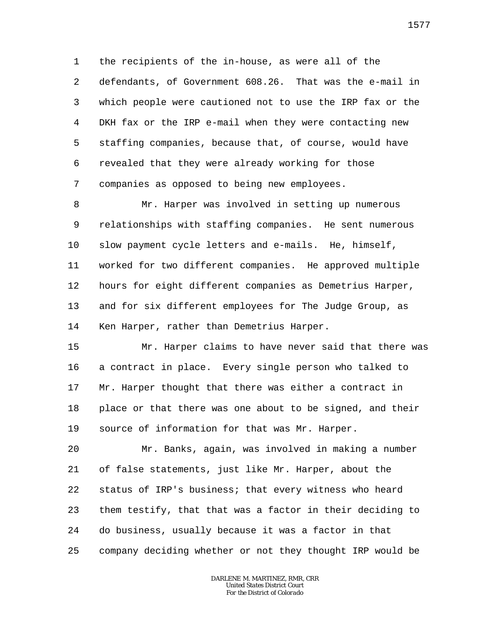1 2 3 4 5 6 7 the recipients of the in-house, as were all of the defendants, of Government 608.26. That was the e-mail in which people were cautioned not to use the IRP fax or the DKH fax or the IRP e-mail when they were contacting new staffing companies, because that, of course, would have revealed that they were already working for those companies as opposed to being new employees.

8 9 10 11 12 13 14 Mr. Harper was involved in setting up numerous relationships with staffing companies. He sent numerous slow payment cycle letters and e-mails. He, himself, worked for two different companies. He approved multiple hours for eight different companies as Demetrius Harper, and for six different employees for The Judge Group, as Ken Harper, rather than Demetrius Harper.

15 16 17 18 19 Mr. Harper claims to have never said that there was a contract in place. Every single person who talked to Mr. Harper thought that there was either a contract in place or that there was one about to be signed, and their source of information for that was Mr. Harper.

20 21 22 23 24 25 Mr. Banks, again, was involved in making a number of false statements, just like Mr. Harper, about the status of IRP's business; that every witness who heard them testify, that that was a factor in their deciding to do business, usually because it was a factor in that company deciding whether or not they thought IRP would be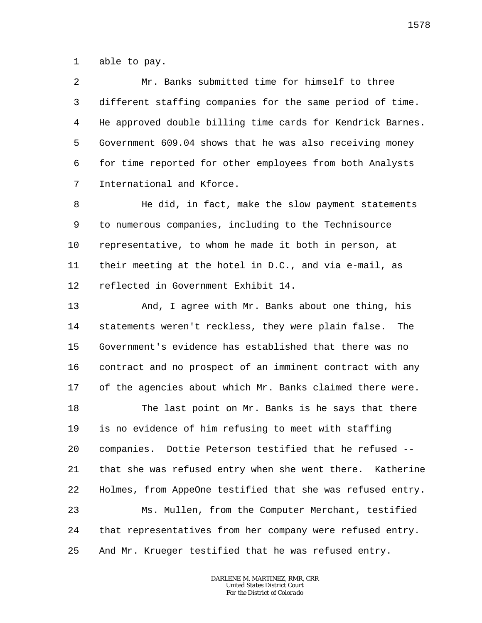1 able to pay.

2 3 4 5 6 7 Mr. Banks submitted time for himself to three different staffing companies for the same period of time. He approved double billing time cards for Kendrick Barnes. Government 609.04 shows that he was also receiving money for time reported for other employees from both Analysts International and Kforce.

8 9 10 11 12 He did, in fact, make the slow payment statements to numerous companies, including to the Technisource representative, to whom he made it both in person, at their meeting at the hotel in D.C., and via e-mail, as reflected in Government Exhibit 14.

13 14 15 16 17 And, I agree with Mr. Banks about one thing, his statements weren't reckless, they were plain false. The Government's evidence has established that there was no contract and no prospect of an imminent contract with any of the agencies about which Mr. Banks claimed there were.

18 19 20 21 22 23 24 25 The last point on Mr. Banks is he says that there is no evidence of him refusing to meet with staffing companies. Dottie Peterson testified that he refused - that she was refused entry when she went there. Katherine Holmes, from AppeOne testified that she was refused entry. Ms. Mullen, from the Computer Merchant, testified that representatives from her company were refused entry. And Mr. Krueger testified that he was refused entry.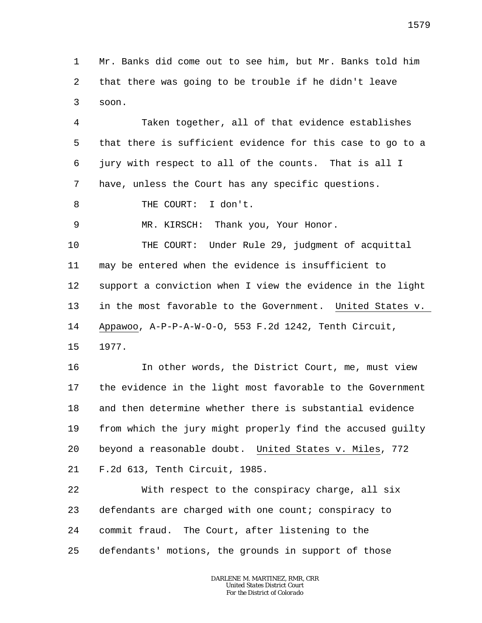1 2 3 Mr. Banks did come out to see him, but Mr. Banks told him that there was going to be trouble if he didn't leave soon.

4 5 6 7 Taken together, all of that evidence establishes that there is sufficient evidence for this case to go to a jury with respect to all of the counts. That is all I have, unless the Court has any specific questions.

8 THE COURT: I don't.

MR. KIRSCH: Thank you, Your Honor.

10 11 12 13 14 THE COURT: Under Rule 29, judgment of acquittal may be entered when the evidence is insufficient to support a conviction when I view the evidence in the light in the most favorable to the Government. United States v. Appawoo, A-P-P-A-W-O-O, 553 F.2d 1242, Tenth Circuit,

15 1977.

9

16 17 18 19 20 21 In other words, the District Court, me, must view the evidence in the light most favorable to the Government and then determine whether there is substantial evidence from which the jury might properly find the accused guilty beyond a reasonable doubt. United States v. Miles, 772 F.2d 613, Tenth Circuit, 1985.

22 23 24 25 With respect to the conspiracy charge, all six defendants are charged with one count; conspiracy to commit fraud. The Court, after listening to the defendants' motions, the grounds in support of those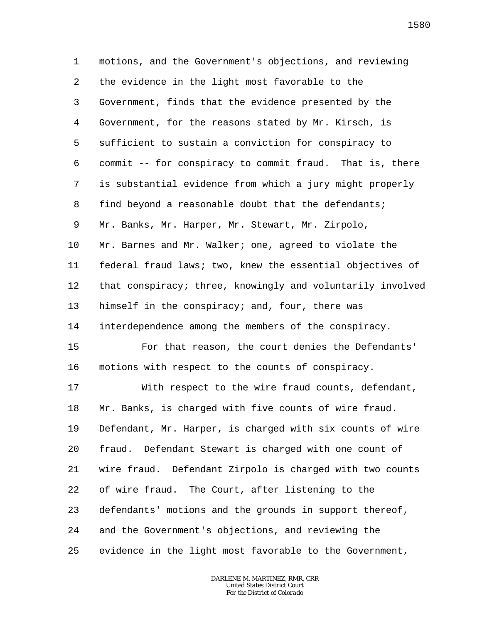1 2 3 4 5 6 7 8 9 10 11 12 13 14 15 16 17 18 19 20 21 22 23 24 25 motions, and the Government's objections, and reviewing the evidence in the light most favorable to the Government, finds that the evidence presented by the Government, for the reasons stated by Mr. Kirsch, is sufficient to sustain a conviction for conspiracy to commit -- for conspiracy to commit fraud. That is, there is substantial evidence from which a jury might properly find beyond a reasonable doubt that the defendants; Mr. Banks, Mr. Harper, Mr. Stewart, Mr. Zirpolo, Mr. Barnes and Mr. Walker; one, agreed to violate the federal fraud laws; two, knew the essential objectives of that conspiracy; three, knowingly and voluntarily involved himself in the conspiracy; and, four, there was interdependence among the members of the conspiracy. For that reason, the court denies the Defendants' motions with respect to the counts of conspiracy. With respect to the wire fraud counts, defendant, Mr. Banks, is charged with five counts of wire fraud. Defendant, Mr. Harper, is charged with six counts of wire fraud. Defendant Stewart is charged with one count of wire fraud. Defendant Zirpolo is charged with two counts of wire fraud. The Court, after listening to the defendants' motions and the grounds in support thereof, and the Government's objections, and reviewing the evidence in the light most favorable to the Government,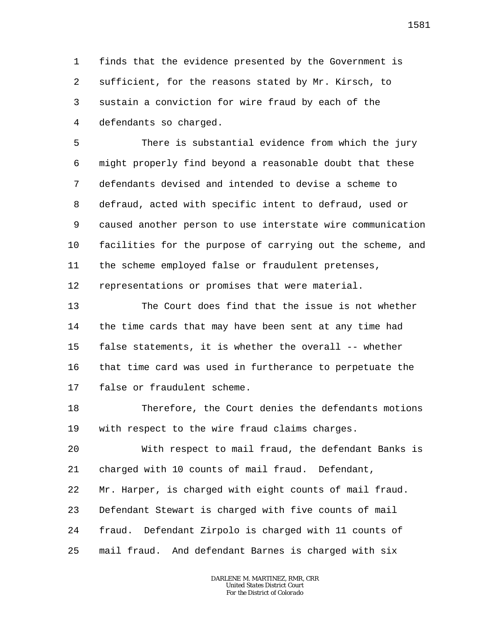1 2 3 4 finds that the evidence presented by the Government is sufficient, for the reasons stated by Mr. Kirsch, to sustain a conviction for wire fraud by each of the defendants so charged.

5 6 7 8 9 10 11 There is substantial evidence from which the jury might properly find beyond a reasonable doubt that these defendants devised and intended to devise a scheme to defraud, acted with specific intent to defraud, used or caused another person to use interstate wire communication facilities for the purpose of carrying out the scheme, and the scheme employed false or fraudulent pretenses,

12 representations or promises that were material.

13 14 15 16 17 The Court does find that the issue is not whether the time cards that may have been sent at any time had false statements, it is whether the overall -- whether that time card was used in furtherance to perpetuate the false or fraudulent scheme.

18 19 Therefore, the Court denies the defendants motions with respect to the wire fraud claims charges.

20 21 22 23 24 25 With respect to mail fraud, the defendant Banks is charged with 10 counts of mail fraud. Defendant, Mr. Harper, is charged with eight counts of mail fraud. Defendant Stewart is charged with five counts of mail fraud. Defendant Zirpolo is charged with 11 counts of mail fraud. And defendant Barnes is charged with six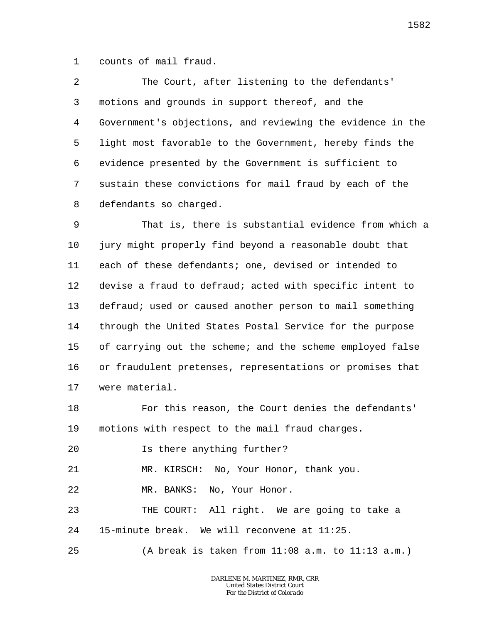1 counts of mail fraud.

2 3 4 5 6 7 8 The Court, after listening to the defendants' motions and grounds in support thereof, and the Government's objections, and reviewing the evidence in the light most favorable to the Government, hereby finds the evidence presented by the Government is sufficient to sustain these convictions for mail fraud by each of the defendants so charged.

9 10 11 12 13 14 15 16 17 That is, there is substantial evidence from which a jury might properly find beyond a reasonable doubt that each of these defendants; one, devised or intended to devise a fraud to defraud; acted with specific intent to defraud; used or caused another person to mail something through the United States Postal Service for the purpose of carrying out the scheme; and the scheme employed false or fraudulent pretenses, representations or promises that were material.

18 19 For this reason, the Court denies the defendants' motions with respect to the mail fraud charges.

20 Is there anything further?

21 MR. KIRSCH: No, Your Honor, thank you.

22 MR. BANKS: No, Your Honor.

23 24 THE COURT: All right. We are going to take a 15-minute break. We will reconvene at 11:25.

25 (A break is taken from 11:08 a.m. to 11:13 a.m.)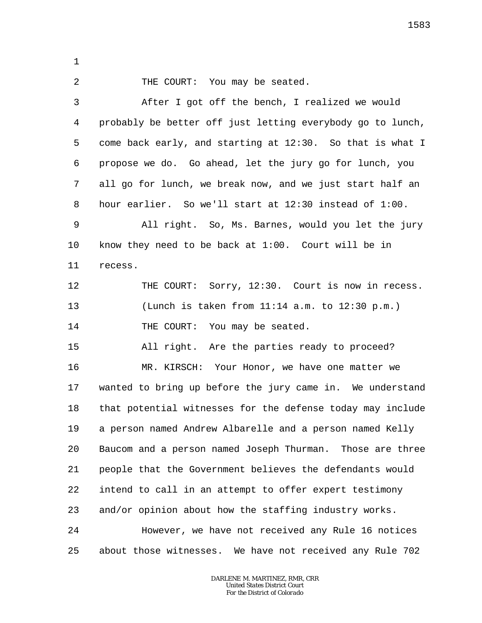1

2

THE COURT: You may be seated.

3 4 5 6 7 8 9 10 11 12 13 14 15 16 17 18 19 20 21 22 23 24 25 After I got off the bench, I realized we would probably be better off just letting everybody go to lunch, come back early, and starting at 12:30. So that is what I propose we do. Go ahead, let the jury go for lunch, you all go for lunch, we break now, and we just start half an hour earlier. So we'll start at 12:30 instead of 1:00. All right. So, Ms. Barnes, would you let the jury know they need to be back at 1:00. Court will be in recess. THE COURT: Sorry, 12:30. Court is now in recess. (Lunch is taken from 11:14 a.m. to 12:30 p.m.) THE COURT: You may be seated. All right. Are the parties ready to proceed? MR. KIRSCH: Your Honor, we have one matter we wanted to bring up before the jury came in. We understand that potential witnesses for the defense today may include a person named Andrew Albarelle and a person named Kelly Baucom and a person named Joseph Thurman. Those are three people that the Government believes the defendants would intend to call in an attempt to offer expert testimony and/or opinion about how the staffing industry works. However, we have not received any Rule 16 notices about those witnesses. We have not received any Rule 702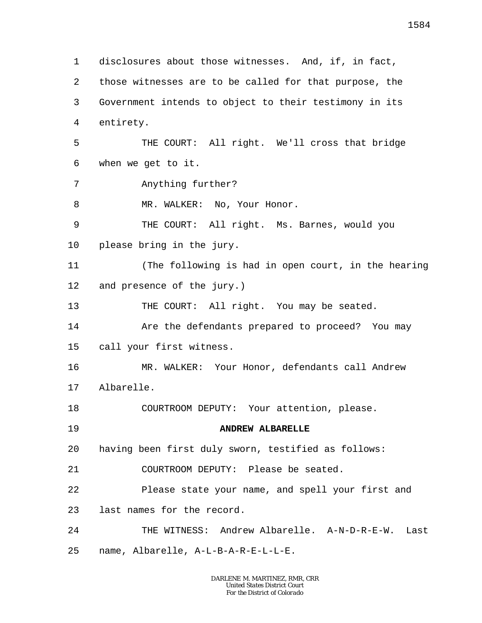1 2 3 4 5 6 7 8 9 10 11 12 13 14 15 16 17 18 19 20 21 22 23 24 25 disclosures about those witnesses. And, if, in fact, those witnesses are to be called for that purpose, the Government intends to object to their testimony in its entirety. THE COURT: All right. We'll cross that bridge when we get to it. Anything further? MR. WALKER: No, Your Honor. THE COURT: All right. Ms. Barnes, would you please bring in the jury. (The following is had in open court, in the hearing and presence of the jury.) THE COURT: All right. You may be seated. Are the defendants prepared to proceed? You may call your first witness. MR. WALKER: Your Honor, defendants call Andrew Albarelle. COURTROOM DEPUTY: Your attention, please. **ANDREW ALBARELLE** having been first duly sworn, testified as follows: COURTROOM DEPUTY: Please be seated. Please state your name, and spell your first and last names for the record. THE WITNESS: Andrew Albarelle. A-N-D-R-E-W. Last name, Albarelle, A-L-B-A-R-E-L-L-E.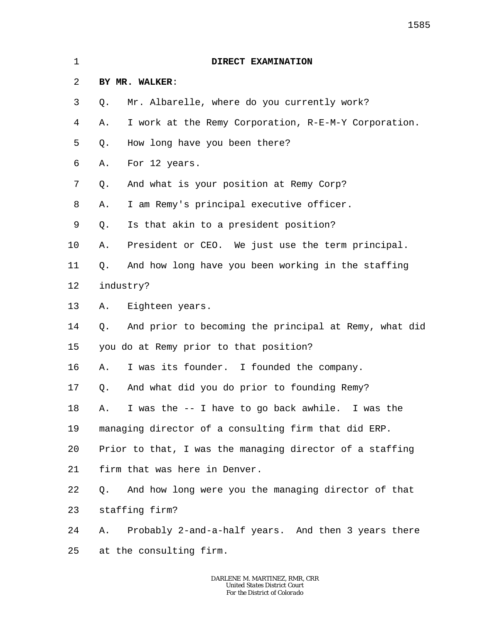| 1       | DIRECT EXAMINATION                                          |
|---------|-------------------------------------------------------------|
| 2       | BY MR. WALKER:                                              |
| 3       | Mr. Albarelle, where do you currently work?<br>Q.           |
| 4       | I work at the Remy Corporation, R-E-M-Y Corporation.<br>Α.  |
| 5       | How long have you been there?<br>Q.                         |
| 6       | For 12 years.<br>Α.                                         |
| 7       | And what is your position at Remy Corp?<br>Q.               |
| 8       | I am Remy's principal executive officer.<br>Α.              |
| 9       | Is that akin to a president position?<br>Q.                 |
| $10 \,$ | President or CEO. We just use the term principal.<br>Α.     |
| 11      | And how long have you been working in the staffing<br>Q.    |
| 12      | industry?                                                   |
| 13      | Eighteen years.<br>Α.                                       |
| 14      | And prior to becoming the principal at Remy, what did<br>Q. |
| 15      | you do at Remy prior to that position?                      |
| 16      | I was its founder. I founded the company.<br>Α.             |
| 17      | And what did you do prior to founding Remy?<br>Q.           |
| 18      | A. I was the -- I have to go back awhile. I was the         |
| 19      | managing director of a consulting firm that did ERP.        |
| 20      | Prior to that, I was the managing director of a staffing    |
| 21      | firm that was here in Denver.                               |
| 22      | And how long were you the managing director of that<br>Q.   |
| 23      | staffing firm?                                              |
| 24      | Probably 2-and-a-half years. And then 3 years there<br>Α.   |
| 25      | at the consulting firm.                                     |
|         |                                                             |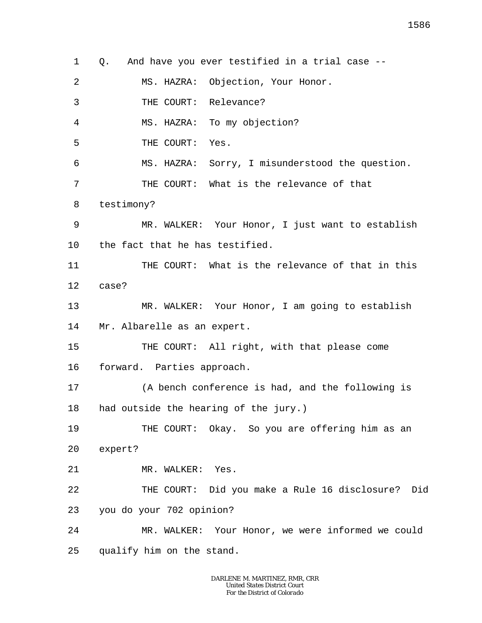1 2 3 4 5 6 7 8 9 10 11 12 13 14 15 16 17 18 19 20 21 22 23 24 25 Q. And have you ever testified in a trial case -- MS. HAZRA: Objection, Your Honor. THE COURT: Relevance? MS. HAZRA: To my objection? THE COURT: Yes. MS. HAZRA: Sorry, I misunderstood the question. THE COURT: What is the relevance of that testimony? MR. WALKER: Your Honor, I just want to establish the fact that he has testified. THE COURT: What is the relevance of that in this case? MR. WALKER: Your Honor, I am going to establish Mr. Albarelle as an expert. THE COURT: All right, with that please come forward. Parties approach. (A bench conference is had, and the following is had outside the hearing of the jury.) THE COURT: Okay. So you are offering him as an expert? MR. WALKER: Yes. THE COURT: Did you make a Rule 16 disclosure? Did you do your 702 opinion? MR. WALKER: Your Honor, we were informed we could qualify him on the stand.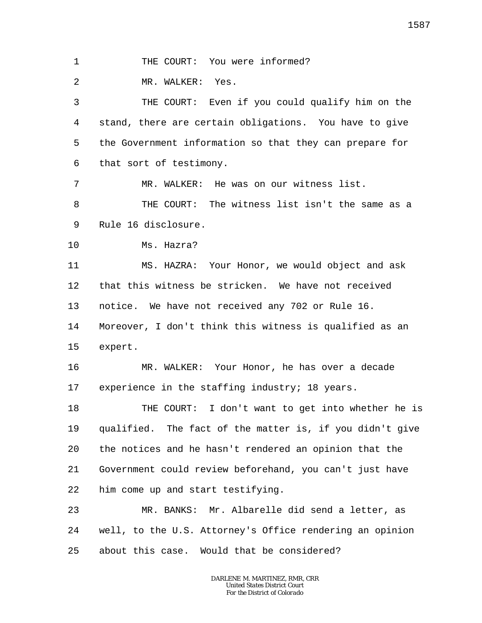1 THE COURT: You were informed?

2 MR. WALKER: Yes.

3 4 5 6 THE COURT: Even if you could qualify him on the stand, there are certain obligations. You have to give the Government information so that they can prepare for that sort of testimony.

7 MR. WALKER: He was on our witness list.

8 9 THE COURT: The witness list isn't the same as a Rule 16 disclosure.

10 Ms. Hazra?

11 12 13 14 15 MS. HAZRA: Your Honor, we would object and ask that this witness be stricken. We have not received notice. We have not received any 702 or Rule 16. Moreover, I don't think this witness is qualified as an expert.

16 17 MR. WALKER: Your Honor, he has over a decade experience in the staffing industry; 18 years.

18 19 20 21 22 THE COURT: I don't want to get into whether he is qualified. The fact of the matter is, if you didn't give the notices and he hasn't rendered an opinion that the Government could review beforehand, you can't just have him come up and start testifying.

23 24 25 MR. BANKS: Mr. Albarelle did send a letter, as well, to the U.S. Attorney's Office rendering an opinion about this case. Would that be considered?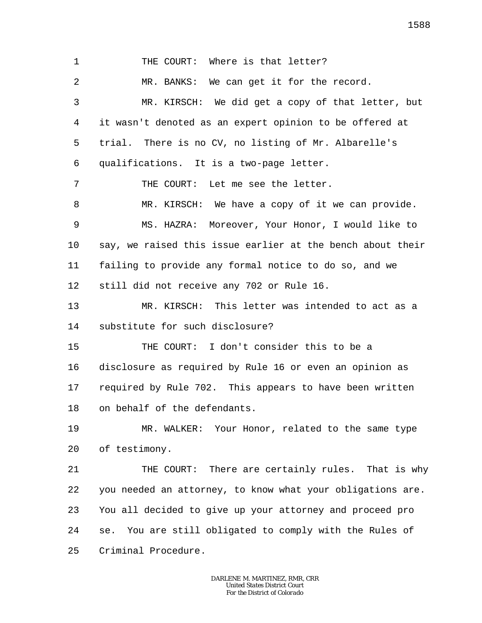1 2 3 4 5 6 7 8 9 10 11 12 13 14 15 16 17 18 19 20 21 22 23 24 25 THE COURT: Where is that letter? MR. BANKS: We can get it for the record. MR. KIRSCH: We did get a copy of that letter, but it wasn't denoted as an expert opinion to be offered at trial. There is no CV, no listing of Mr. Albarelle's qualifications. It is a two-page letter. THE COURT: Let me see the letter. MR. KIRSCH: We have a copy of it we can provide. MS. HAZRA: Moreover, Your Honor, I would like to say, we raised this issue earlier at the bench about their failing to provide any formal notice to do so, and we still did not receive any 702 or Rule 16. MR. KIRSCH: This letter was intended to act as a substitute for such disclosure? THE COURT: I don't consider this to be a disclosure as required by Rule 16 or even an opinion as required by Rule 702. This appears to have been written on behalf of the defendants. MR. WALKER: Your Honor, related to the same type of testimony. THE COURT: There are certainly rules. That is why you needed an attorney, to know what your obligations are. You all decided to give up your attorney and proceed pro se. You are still obligated to comply with the Rules of Criminal Procedure.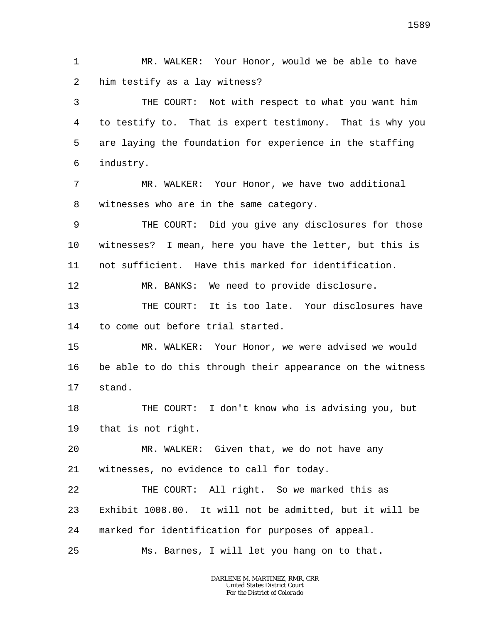1 2 MR. WALKER: Your Honor, would we be able to have him testify as a lay witness?

3 4 5 6 THE COURT: Not with respect to what you want him to testify to. That is expert testimony. That is why you are laying the foundation for experience in the staffing industry.

7 8 MR. WALKER: Your Honor, we have two additional witnesses who are in the same category.

9 10 11 THE COURT: Did you give any disclosures for those witnesses? I mean, here you have the letter, but this is not sufficient. Have this marked for identification.

12 MR. BANKS: We need to provide disclosure.

13 14 THE COURT: It is too late. Your disclosures have to come out before trial started.

15 16 17 MR. WALKER: Your Honor, we were advised we would be able to do this through their appearance on the witness stand.

18 19 THE COURT: I don't know who is advising you, but that is not right.

20 21 MR. WALKER: Given that, we do not have any witnesses, no evidence to call for today.

22 23 24 THE COURT: All right. So we marked this as Exhibit 1008.00. It will not be admitted, but it will be marked for identification for purposes of appeal.

25 Ms. Barnes, I will let you hang on to that.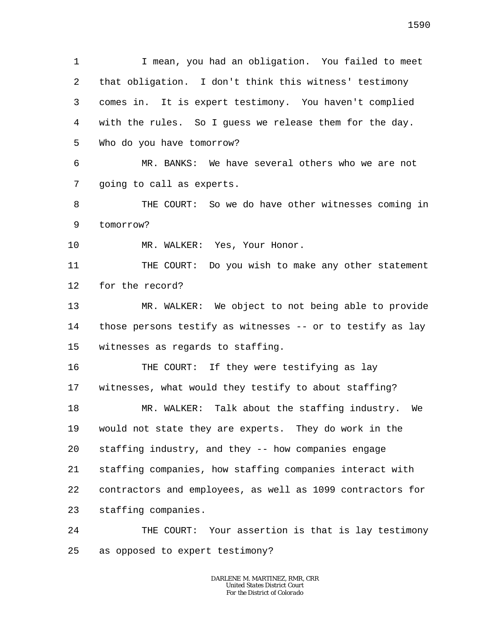1 2 3 4 5 6 7 8 9 10 11 12 13 14 15 16 17 18 19 20 21 22 23 24 25 I mean, you had an obligation. You failed to meet that obligation. I don't think this witness' testimony comes in. It is expert testimony. You haven't complied with the rules. So I guess we release them for the day. Who do you have tomorrow? MR. BANKS: We have several others who we are not going to call as experts. THE COURT: So we do have other witnesses coming in tomorrow? MR. WALKER: Yes, Your Honor. THE COURT: Do you wish to make any other statement for the record? MR. WALKER: We object to not being able to provide those persons testify as witnesses -- or to testify as lay witnesses as regards to staffing. THE COURT: If they were testifying as lay witnesses, what would they testify to about staffing? MR. WALKER: Talk about the staffing industry. We would not state they are experts. They do work in the staffing industry, and they -- how companies engage staffing companies, how staffing companies interact with contractors and employees, as well as 1099 contractors for staffing companies. THE COURT: Your assertion is that is lay testimony as opposed to expert testimony?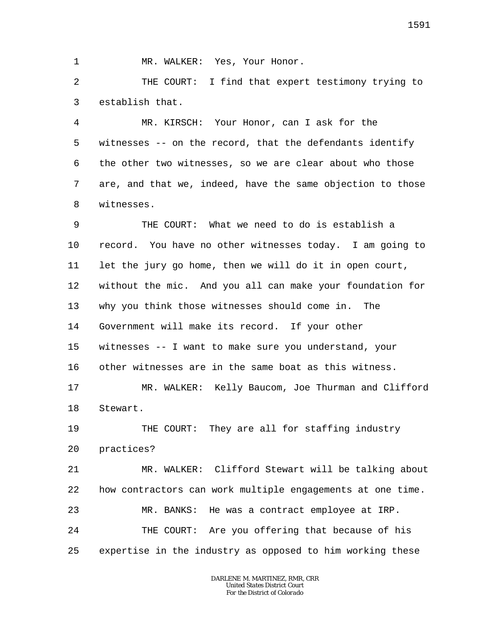1

MR. WALKER: Yes, Your Honor.

2 3 THE COURT: I find that expert testimony trying to establish that.

4 5 6 7 8 MR. KIRSCH: Your Honor, can I ask for the witnesses -- on the record, that the defendants identify the other two witnesses, so we are clear about who those are, and that we, indeed, have the same objection to those witnesses.

9 10 11 12 13 14 15 16 17 18 19 20 21 22 23 24 25 THE COURT: What we need to do is establish a record. You have no other witnesses today. I am going to let the jury go home, then we will do it in open court, without the mic. And you all can make your foundation for why you think those witnesses should come in. The Government will make its record. If your other witnesses -- I want to make sure you understand, your other witnesses are in the same boat as this witness. MR. WALKER: Kelly Baucom, Joe Thurman and Clifford Stewart. THE COURT: They are all for staffing industry practices? MR. WALKER: Clifford Stewart will be talking about how contractors can work multiple engagements at one time. MR. BANKS: He was a contract employee at IRP. THE COURT: Are you offering that because of his expertise in the industry as opposed to him working these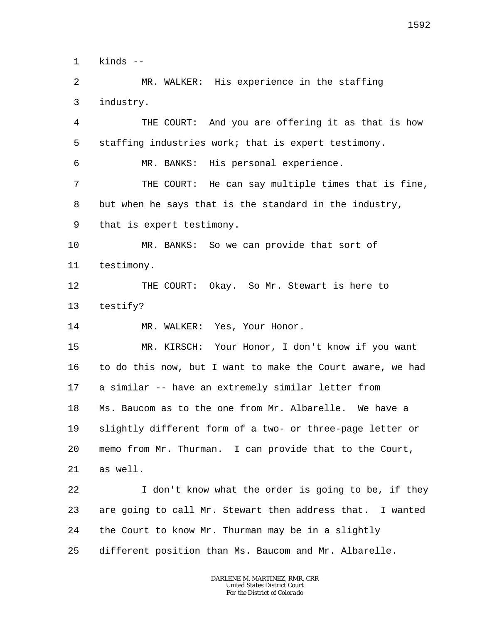1 kinds --

23

 $\overline{a}$ 3 MR. WALKER: His experience in the staffing industry.

4 5 6 7 8 9 10 11 12 13 14 15 16 17 18 19 20 21 22 THE COURT: And you are offering it as that is how staffing industries work; that is expert testimony. MR. BANKS: His personal experience. THE COURT: He can say multiple times that is fine, but when he says that is the standard in the industry, that is expert testimony. MR. BANKS: So we can provide that sort of testimony. THE COURT: Okay. So Mr. Stewart is here to testify? MR. WALKER: Yes, Your Honor. MR. KIRSCH: Your Honor, I don't know if you want to do this now, but I want to make the Court aware, we had a similar -- have an extremely similar letter from Ms. Baucom as to the one from Mr. Albarelle. We have a slightly different form of a two- or three-page letter or memo from Mr. Thurman. I can provide that to the Court, as well. I don't know what the order is going to be, if they

24 the Court to know Mr. Thurman may be in a slightly

25 different position than Ms. Baucom and Mr. Albarelle.

> *DARLENE M. MARTINEZ, RMR, CRR United States District Court For the District of Colorado*

are going to call Mr. Stewart then address that. I wanted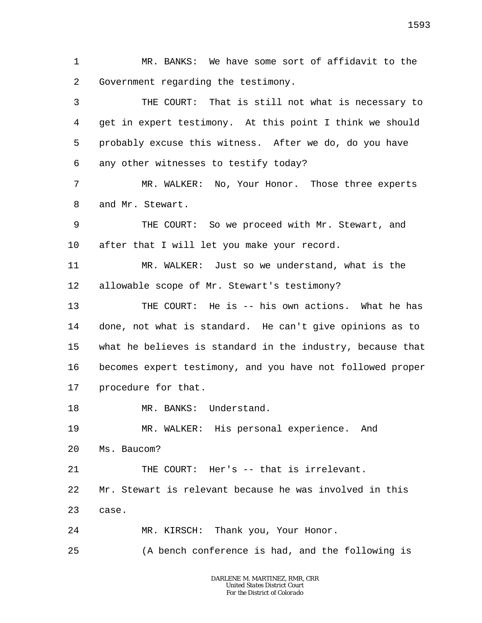1 2 MR. BANKS: We have some sort of affidavit to the Government regarding the testimony.

3 4 5 6 THE COURT: That is still not what is necessary to get in expert testimony. At this point I think we should probably excuse this witness. After we do, do you have any other witnesses to testify today?

7 8 MR. WALKER: No, Your Honor. Those three experts and Mr. Stewart.

9 10 THE COURT: So we proceed with Mr. Stewart, and after that I will let you make your record.

11 12 MR. WALKER: Just so we understand, what is the allowable scope of Mr. Stewart's testimony?

13 14 15 16 17 THE COURT: He is -- his own actions. What he has done, not what is standard. He can't give opinions as to what he believes is standard in the industry, because that becomes expert testimony, and you have not followed proper procedure for that.

18 MR. BANKS: Understand.

19 20 MR. WALKER: His personal experience. And Ms. Baucom?

21 THE COURT: Her's -- that is irrelevant.

22 Mr. Stewart is relevant because he was involved in this

23 case.

24 MR. KIRSCH: Thank you, Your Honor.

25 (A bench conference is had, and the following is

> *DARLENE M. MARTINEZ, RMR, CRR United States District Court For the District of Colorado*

1593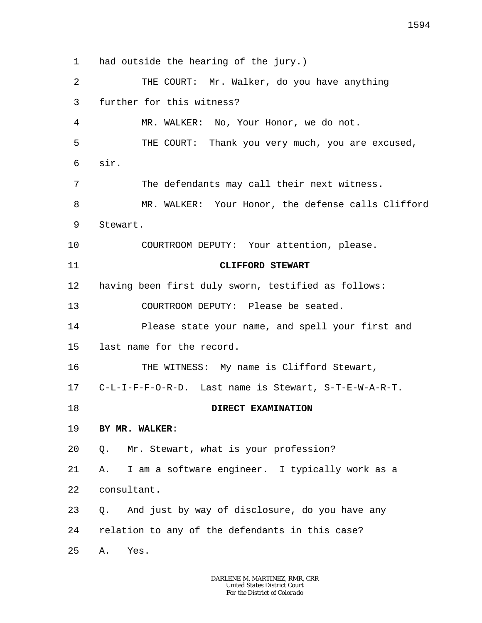1 2 3 4 5 6 7 8 9 10 11 12 13 14 15 16 17 18 19 20 21 22 23 24 25 had outside the hearing of the jury.) THE COURT: Mr. Walker, do you have anything further for this witness? MR. WALKER: No, Your Honor, we do not. THE COURT: Thank you very much, you are excused, sir. The defendants may call their next witness. MR. WALKER: Your Honor, the defense calls Clifford Stewart. COURTROOM DEPUTY: Your attention, please. **CLIFFORD STEWART** having been first duly sworn, testified as follows: COURTROOM DEPUTY: Please be seated. Please state your name, and spell your first and last name for the record. THE WITNESS: My name is Clifford Stewart, C-L-I-F-F-O-R-D. Last name is Stewart, S-T-E-W-A-R-T. **DIRECT EXAMINATION BY MR. WALKER**: Q. Mr. Stewart, what is your profession? A. I am a software engineer. I typically work as a consultant. Q. And just by way of disclosure, do you have any relation to any of the defendants in this case? A. Yes.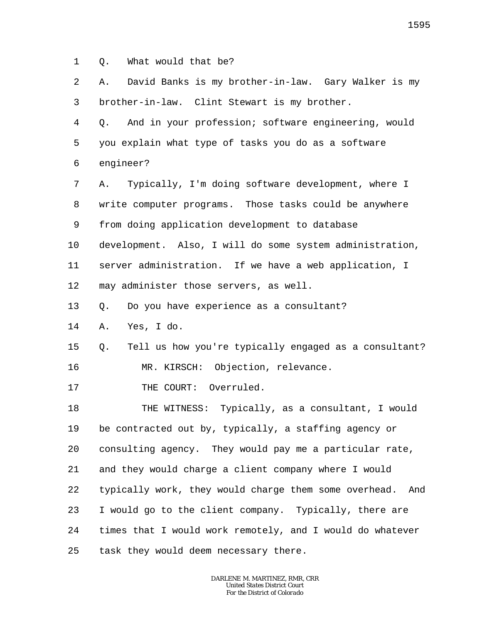1 Q. What would that be?

| 2  | David Banks is my brother-in-law. Gary Walker is my<br>Α.    |
|----|--------------------------------------------------------------|
| 3  | brother-in-law. Clint Stewart is my brother.                 |
| 4  | And in your profession; software engineering, would<br>Q.    |
| 5  | you explain what type of tasks you do as a software          |
| 6  | engineer?                                                    |
| 7  | Typically, I'm doing software development, where I<br>Α.     |
| 8  | write computer programs. Those tasks could be anywhere       |
| 9  | from doing application development to database               |
| 10 | development. Also, I will do some system administration,     |
| 11 | server administration. If we have a web application, I       |
| 12 | may administer those servers, as well.                       |
| 13 | Do you have experience as a consultant?<br>Q.                |
| 14 | Yes, I do.<br>Α.                                             |
| 15 | Tell us how you're typically engaged as a consultant?<br>Q.  |
| 16 | MR. KIRSCH: Objection, relevance.                            |
| 17 | THE COURT: Overruled.                                        |
| 18 | THE WITNESS: Typically, as a consultant, I would             |
| 19 | be contracted out by, typically, a staffing agency or        |
| 20 | consulting agency. They would pay me a particular rate,      |
| 21 | and they would charge a client company where I would         |
| 22 | typically work, they would charge them some overhead.<br>And |
| 23 | I would go to the client company. Typically, there are       |
| 24 | times that I would work remotely, and I would do whatever    |
| 25 | task they would deem necessary there.                        |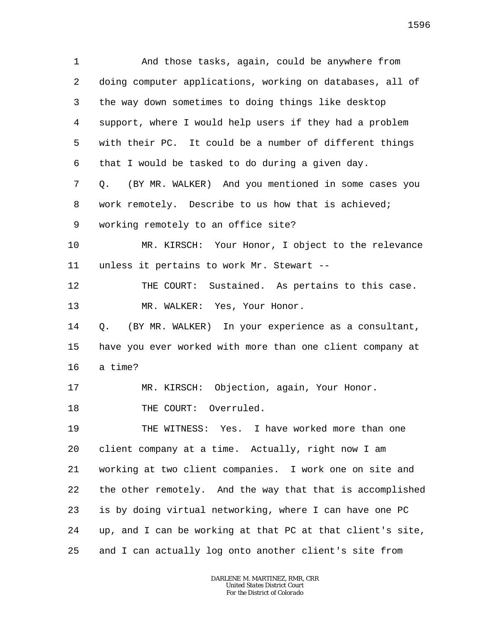1 2 3 4 5 6 7 8 9 10 11 12 13 14 15 16 17 18 19 20 21 22 23 24 25 And those tasks, again, could be anywhere from doing computer applications, working on databases, all of the way down sometimes to doing things like desktop support, where I would help users if they had a problem with their PC. It could be a number of different things that I would be tasked to do during a given day. Q. (BY MR. WALKER) And you mentioned in some cases you work remotely. Describe to us how that is achieved; working remotely to an office site? MR. KIRSCH: Your Honor, I object to the relevance unless it pertains to work Mr. Stewart -- THE COURT: Sustained. As pertains to this case. MR. WALKER: Yes, Your Honor. Q. (BY MR. WALKER) In your experience as a consultant, have you ever worked with more than one client company at a time? MR. KIRSCH: Objection, again, Your Honor. THE COURT: Overruled. THE WITNESS: Yes. I have worked more than one client company at a time. Actually, right now I am working at two client companies. I work one on site and the other remotely. And the way that that is accomplished is by doing virtual networking, where I can have one PC up, and I can be working at that PC at that client's site, and I can actually log onto another client's site from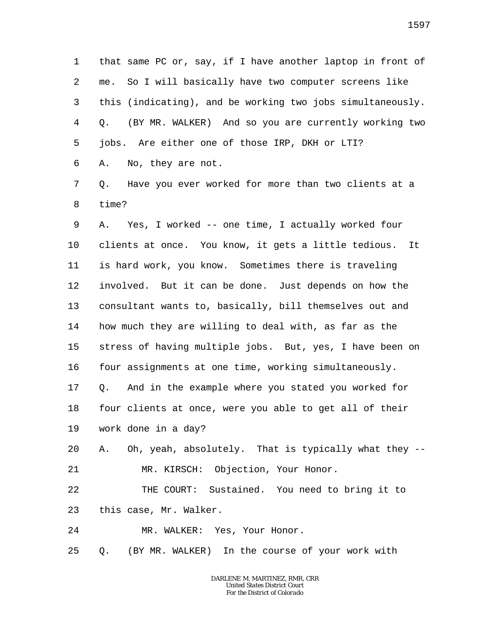1 2 3 4 5 6 that same PC or, say, if I have another laptop in front of me. So I will basically have two computer screens like this (indicating), and be working two jobs simultaneously. Q. (BY MR. WALKER) And so you are currently working two jobs. Are either one of those IRP, DKH or LTI? A. No, they are not.

7 8 Q. Have you ever worked for more than two clients at a time?

9 10 11 12 13 14 15 16 17 18 19 20 21 22 23 A. Yes, I worked -- one time, I actually worked four clients at once. You know, it gets a little tedious. It is hard work, you know. Sometimes there is traveling involved. But it can be done. Just depends on how the consultant wants to, basically, bill themselves out and how much they are willing to deal with, as far as the stress of having multiple jobs. But, yes, I have been on four assignments at one time, working simultaneously. Q. And in the example where you stated you worked for four clients at once, were you able to get all of their work done in a day? A. Oh, yeah, absolutely. That is typically what they -- MR. KIRSCH: Objection, Your Honor. THE COURT: Sustained. You need to bring it to this case, Mr. Walker.

24 MR. WALKER: Yes, Your Honor.

25 Q. (BY MR. WALKER) In the course of your work with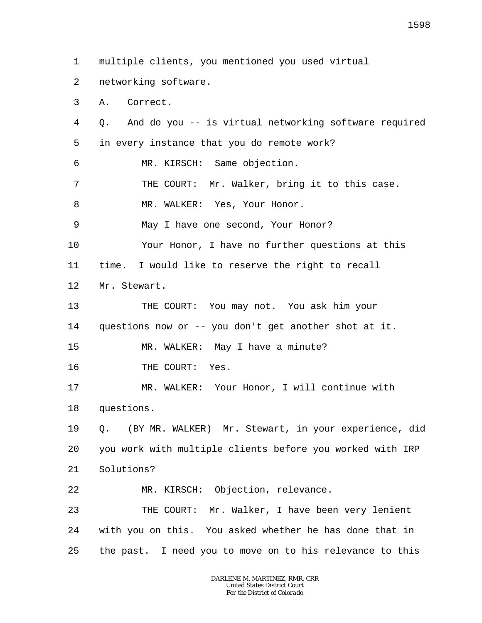1 multiple clients, you mentioned you used virtual

- 2 networking software.
- 3 A. Correct.

4 5 6 Q. And do you -- is virtual networking software required in every instance that you do remote work?

MR. KIRSCH: Same objection.

7 THE COURT: Mr. Walker, bring it to this case.

8 MR. WALKER: Yes, Your Honor.

9 May I have one second, Your Honor?

10 Your Honor, I have no further questions at this

11 time. I would like to reserve the right to recall

12 Mr. Stewart.

13 14 THE COURT: You may not. You ask him your questions now or -- you don't get another shot at it.

15 MR. WALKER: May I have a minute?

16 THE COURT: Yes.

17 18 MR. WALKER: Your Honor, I will continue with questions.

19 20 21 Q. (BY MR. WALKER) Mr. Stewart, in your experience, did you work with multiple clients before you worked with IRP Solutions?

22 MR. KIRSCH: Objection, relevance.

23 24 25 THE COURT: Mr. Walker, I have been very lenient with you on this. You asked whether he has done that in the past. I need you to move on to his relevance to this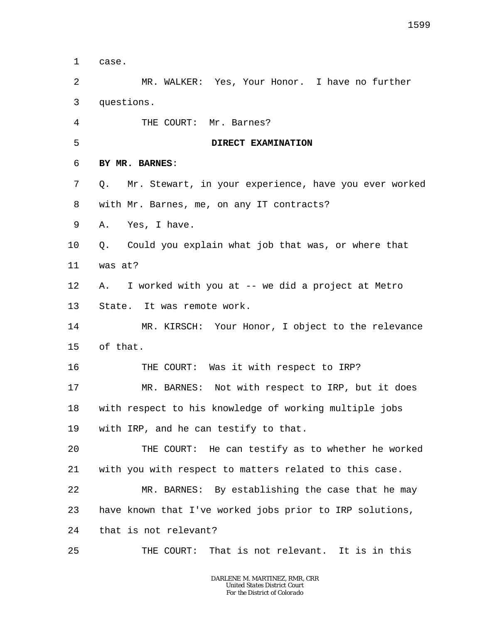1 case.

2 3 MR. WALKER: Yes, Your Honor. I have no further questions.

4 THE COURT: Mr. Barnes?

5 **DIRECT EXAMINATION**

- 6 **BY MR. BARNES**:
- 7 8 Q. Mr. Stewart, in your experience, have you ever worked with Mr. Barnes, me, on any IT contracts?
- 9 A. Yes, I have.
- 10 11 Q. Could you explain what job that was, or where that was at?
- 12 13 A. I worked with you at -- we did a project at Metro State. It was remote work.

14 15 MR. KIRSCH: Your Honor, I object to the relevance of that.

16 THE COURT: Was it with respect to IRP?

17 18 19 MR. BARNES: Not with respect to IRP, but it does with respect to his knowledge of working multiple jobs with IRP, and he can testify to that.

 $2.0$ 21 THE COURT: He can testify as to whether he worked with you with respect to matters related to this case.

22 23 MR. BARNES: By establishing the case that he may have known that I've worked jobs prior to IRP solutions,

24 that is not relevant?

25 THE COURT: That is not relevant. It is in this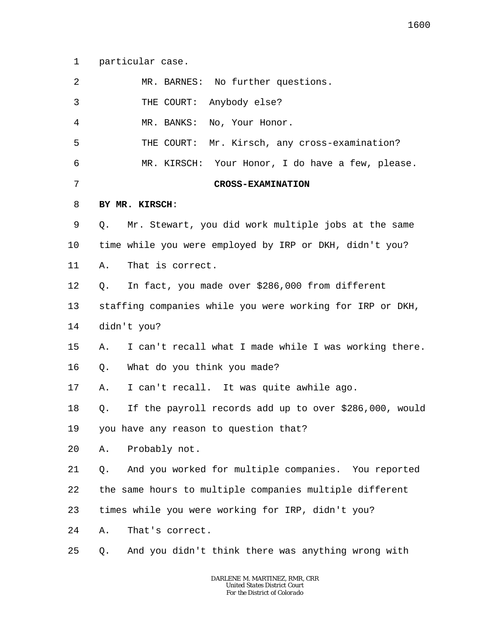1 particular case.

| 2       | MR. BARNES: No further questions.                            |
|---------|--------------------------------------------------------------|
| 3       | THE COURT: Anybody else?                                     |
| 4       | No, Your Honor.<br>MR. BANKS:                                |
| 5       | THE COURT: Mr. Kirsch, any cross-examination?                |
| 6       | MR. KIRSCH: Your Honor, I do have a few, please.             |
| 7       | <b>CROSS-EXAMINATION</b>                                     |
| 8       | BY MR. KIRSCH:                                               |
| 9       | Mr. Stewart, you did work multiple jobs at the same<br>Q.    |
| $10 \,$ | time while you were employed by IRP or DKH, didn't you?      |
| 11      | That is correct.<br>Α.                                       |
| 12      | In fact, you made over \$286,000 from different<br>Q.        |
| 13      | staffing companies while you were working for IRP or DKH,    |
| 14      | didn't you?                                                  |
| 15      | I can't recall what I made while I was working there.<br>Α.  |
| 16      | What do you think you made?<br>Q.                            |
| 17      | I can't recall. It was quite awhile ago.<br>Α.               |
| 18      | If the payroll records add up to over \$286,000, would<br>Q. |
| 19      | you have any reason to question that?                        |
| 20      | Probably not.<br>Α.                                          |
| 21      | And you worked for multiple companies. You reported<br>Q.    |
| 22      | the same hours to multiple companies multiple different      |
| 23      | times while you were working for IRP, didn't you?            |
| 24      | That's correct.<br>Α.                                        |
| 25      | And you didn't think there was anything wrong with<br>Q.     |

1600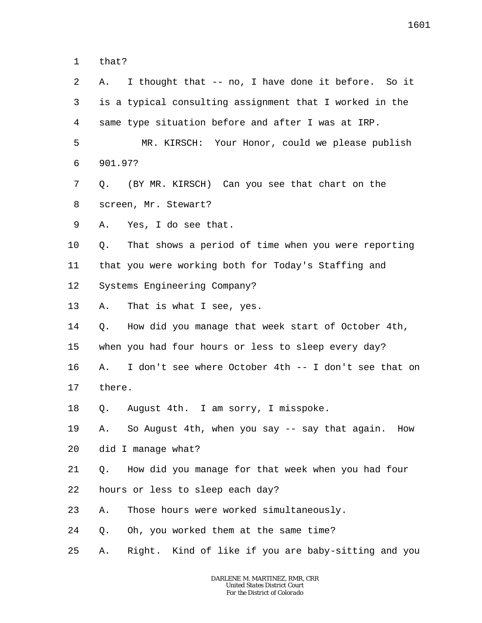1 that?

| 2  | Α.      | I thought that -- no, I have done it before. So it      |
|----|---------|---------------------------------------------------------|
| 3  |         | is a typical consulting assignment that I worked in the |
| 4  |         | same type situation before and after I was at IRP.      |
| 5  |         | MR. KIRSCH: Your Honor, could we please publish         |
| 6  | 901.97? |                                                         |
| 7  | Q.      | (BY MR. KIRSCH) Can you see that chart on the           |
| 8  |         | screen, Mr. Stewart?                                    |
| 9  | Α.      | Yes, I do see that.                                     |
| 10 | Q.      | That shows a period of time when you were reporting     |
| 11 |         | that you were working both for Today's Staffing and     |
| 12 |         | Systems Engineering Company?                            |
| 13 | Α.      | That is what I see, yes.                                |
| 14 |         | Q. How did you manage that week start of October 4th,   |
| 15 |         | when you had four hours or less to sleep every day?     |
| 16 | Α.      | I don't see where October 4th -- I don't see that on    |
| 17 | there.  |                                                         |
| 18 | Q.      | August 4th. I am sorry, I misspoke.                     |
| 19 | Α.      | So August 4th, when you say -- say that again.<br>How   |
| 20 |         | did I manage what?                                      |
| 21 | Q.      | How did you manage for that week when you had four      |
| 22 |         | hours or less to sleep each day?                        |
| 23 | Α.      | Those hours were worked simultaneously.                 |
| 24 | Q.      | Oh, you worked them at the same time?                   |
| 25 | Α.      | Right. Kind of like if you are baby-sitting and you     |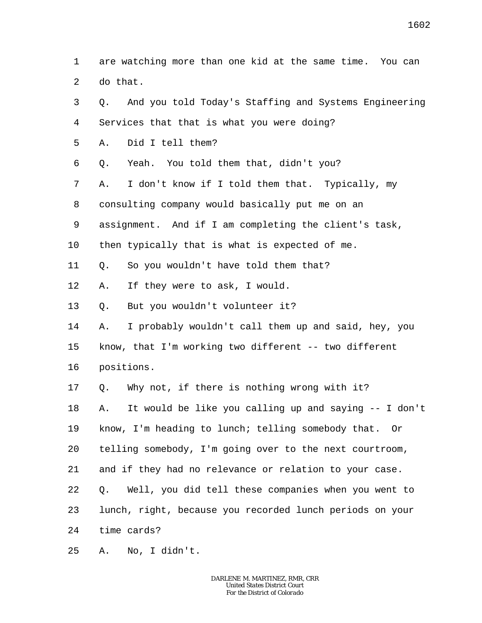1  $\overline{a}$ are watching more than one kid at the same time. You can do that.

3 4 5 6 7 8 9 10 11 12 13 14 15 16 17 18 19 20 21 22 23 24 Q. And you told Today's Staffing and Systems Engineering Services that that is what you were doing? A. Did I tell them? Q. Yeah. You told them that, didn't you? A. I don't know if I told them that. Typically, my consulting company would basically put me on an assignment. And if I am completing the client's task, then typically that is what is expected of me. Q. So you wouldn't have told them that? A. If they were to ask, I would. Q. But you wouldn't volunteer it? A. I probably wouldn't call them up and said, hey, you know, that I'm working two different -- two different positions. Q. Why not, if there is nothing wrong with it? A. It would be like you calling up and saying -- I don't know, I'm heading to lunch; telling somebody that. Or telling somebody, I'm going over to the next courtroom, and if they had no relevance or relation to your case. Q. Well, you did tell these companies when you went to lunch, right, because you recorded lunch periods on your time cards?

25 A. No, I didn't.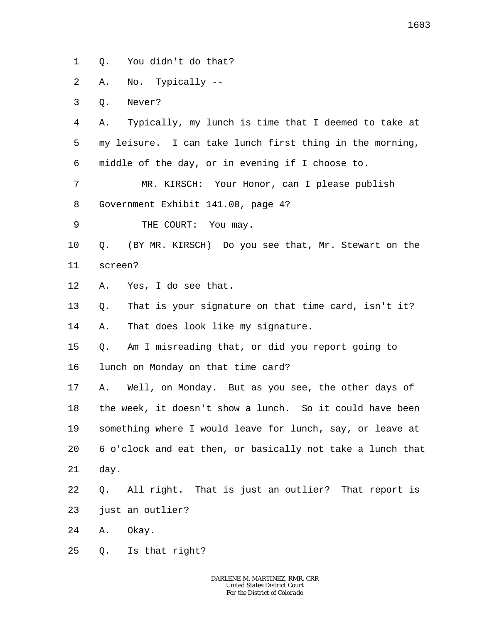1 Q. You didn't do that?

2 A. No. Typically --

3 Q. Never?

4 5 6 A. Typically, my lunch is time that I deemed to take at my leisure. I can take lunch first thing in the morning, middle of the day, or in evening if I choose to.

7 8 MR. KIRSCH: Your Honor, can I please publish Government Exhibit 141.00, page 4?

9 THE COURT: You may.

10 11 Q. (BY MR. KIRSCH) Do you see that, Mr. Stewart on the screen?

12 A. Yes, I do see that.

13 Q. That is your signature on that time card, isn't it?

14 A. That does look like my signature.

15 Q. Am I misreading that, or did you report going to

16 lunch on Monday on that time card?

17 18 19 20 21 A. Well, on Monday. But as you see, the other days of the week, it doesn't show a lunch. So it could have been something where I would leave for lunch, say, or leave at 6 o'clock and eat then, or basically not take a lunch that day.

22 23 Q. All right. That is just an outlier? That report is just an outlier?

24 A. Okay.

25 Q. Is that right?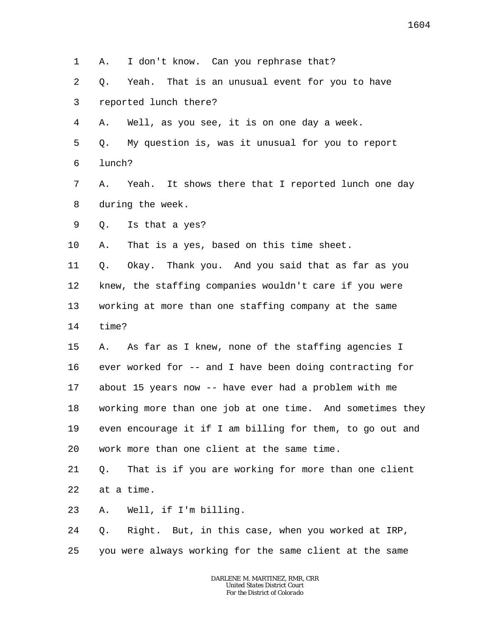2 3 4 Q. Yeah. That is an unusual event for you to have reported lunch there? A. Well, as you see, it is on one day a week.

A. I don't know. Can you rephrase that?

- 5 6 Q. My question is, was it unusual for you to report lunch?
- 7 8 A. Yeah. It shows there that I reported lunch one day during the week.
- 9 Q. Is that a yes?

1

10 A. That is a yes, based on this time sheet.

11 12 13 14 Q. Okay. Thank you. And you said that as far as you knew, the staffing companies wouldn't care if you were working at more than one staffing company at the same time?

15 16 17 18 19 20 A. As far as I knew, none of the staffing agencies I ever worked for -- and I have been doing contracting for about 15 years now -- have ever had a problem with me working more than one job at one time. And sometimes they even encourage it if I am billing for them, to go out and work more than one client at the same time.

21 22 Q. That is if you are working for more than one client at a time.

23 A. Well, if I'm billing.

24 25 Q. Right. But, in this case, when you worked at IRP, you were always working for the same client at the same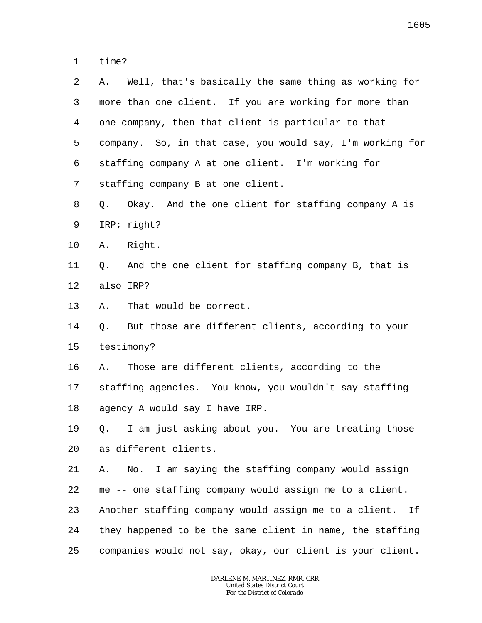1 time?

| 2  | Well, that's basically the same thing as working for<br>Α.  |
|----|-------------------------------------------------------------|
| 3  | more than one client. If you are working for more than      |
| 4  | one company, then that client is particular to that         |
| 5  | company. So, in that case, you would say, I'm working for   |
| 6  | staffing company A at one client. I'm working for           |
| 7  | staffing company B at one client.                           |
| 8  | Okay. And the one client for staffing company A is<br>Q.    |
| 9  | IRP; right?                                                 |
| 10 | A. Right.                                                   |
| 11 | And the one client for staffing company B, that is<br>Q.    |
| 12 | also IRP?                                                   |
| 13 | That would be correct.<br>Α.                                |
| 14 | But those are different clients, according to your<br>Q.    |
| 15 | testimony?                                                  |
| 16 | Those are different clients, according to the<br>Α.         |
| 17 | staffing agencies. You know, you wouldn't say staffing      |
| 18 | agency A would say I have IRP.                              |
| 19 | Q. I am just asking about you. You are treating those       |
| 20 | as different clients.                                       |
| 21 | No. I am saying the staffing company would assign<br>Α.     |
| 22 | me -- one staffing company would assign me to a client.     |
| 23 | Another staffing company would assign me to a client.<br>Ιf |
| 24 | they happened to be the same client in name, the staffing   |
| 25 | companies would not say, okay, our client is your client.   |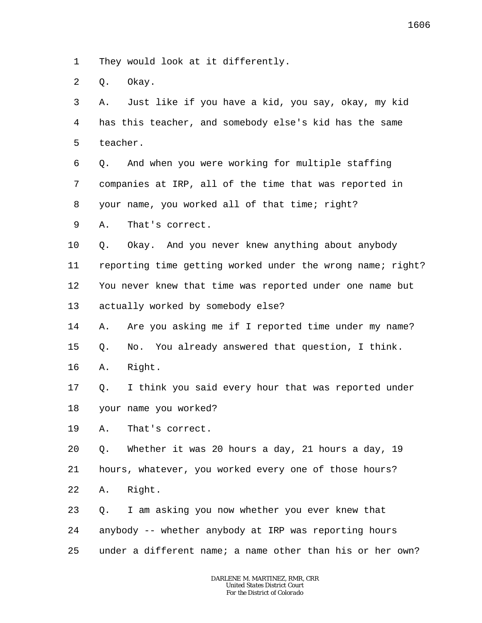1 They would look at it differently.

2 Q. Okay.

3 4 5 A. Just like if you have a kid, you say, okay, my kid has this teacher, and somebody else's kid has the same teacher.

6 7 8 Q. And when you were working for multiple staffing companies at IRP, all of the time that was reported in your name, you worked all of that time; right?

9 A. That's correct.

10 11 12 13 Q. Okay. And you never knew anything about anybody reporting time getting worked under the wrong name; right? You never knew that time was reported under one name but actually worked by somebody else?

14 15 A. Are you asking me if I reported time under my name? Q. No. You already answered that question, I think.

16 A. Right.

17 18 Q. I think you said every hour that was reported under your name you worked?

19 A. That's correct.

20 21 22 Q. Whether it was 20 hours a day, 21 hours a day, 19 hours, whatever, you worked every one of those hours? A. Right.

23 24 25 Q. I am asking you now whether you ever knew that anybody -- whether anybody at IRP was reporting hours under a different name; a name other than his or her own?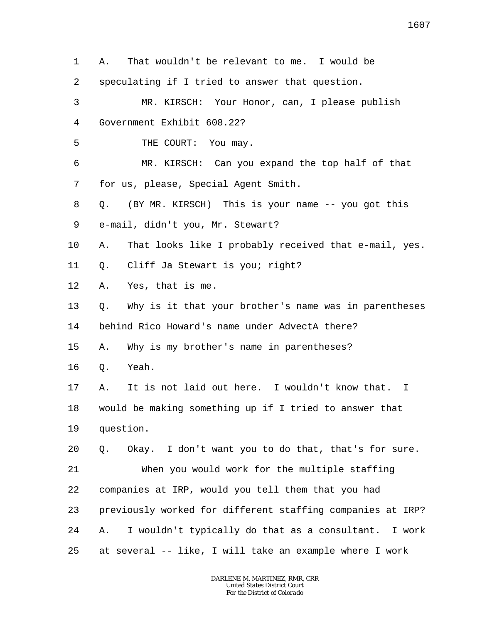1 2 3 4 5 6 7 8 9 10 11 12 13 14 15 16 17 18 19 20 21 22 23 24 25 A. That wouldn't be relevant to me. I would be speculating if I tried to answer that question. MR. KIRSCH: Your Honor, can, I please publish Government Exhibit 608.22? THE COURT: You may. MR. KIRSCH: Can you expand the top half of that for us, please, Special Agent Smith. Q. (BY MR. KIRSCH) This is your name -- you got this e-mail, didn't you, Mr. Stewart? A. That looks like I probably received that e-mail, yes. Q. Cliff Ja Stewart is you; right? A. Yes, that is me. Q. Why is it that your brother's name was in parentheses behind Rico Howard's name under AdvectA there? A. Why is my brother's name in parentheses? Q. Yeah. A. It is not laid out here. I wouldn't know that. I would be making something up if I tried to answer that question. Q. Okay. I don't want you to do that, that's for sure. When you would work for the multiple staffing companies at IRP, would you tell them that you had previously worked for different staffing companies at IRP? A. I wouldn't typically do that as a consultant. I work at several -- like, I will take an example where I work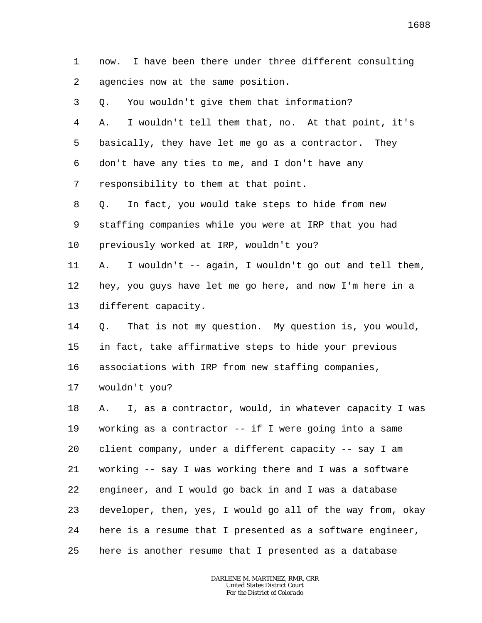1 2 3 4 5 6 7 8 9 10 11 12 13 14 15 16 17 18 19 20 21 22 23 24 25 now. I have been there under three different consulting agencies now at the same position. Q. You wouldn't give them that information? A. I wouldn't tell them that, no. At that point, it's basically, they have let me go as a contractor. They don't have any ties to me, and I don't have any responsibility to them at that point. Q. In fact, you would take steps to hide from new staffing companies while you were at IRP that you had previously worked at IRP, wouldn't you? A. I wouldn't -- again, I wouldn't go out and tell them, hey, you guys have let me go here, and now I'm here in a different capacity. Q. That is not my question. My question is, you would, in fact, take affirmative steps to hide your previous associations with IRP from new staffing companies, wouldn't you? A. I, as a contractor, would, in whatever capacity I was working as a contractor -- if I were going into a same client company, under a different capacity -- say I am working -- say I was working there and I was a software engineer, and I would go back in and I was a database developer, then, yes, I would go all of the way from, okay here is a resume that I presented as a software engineer, here is another resume that I presented as a database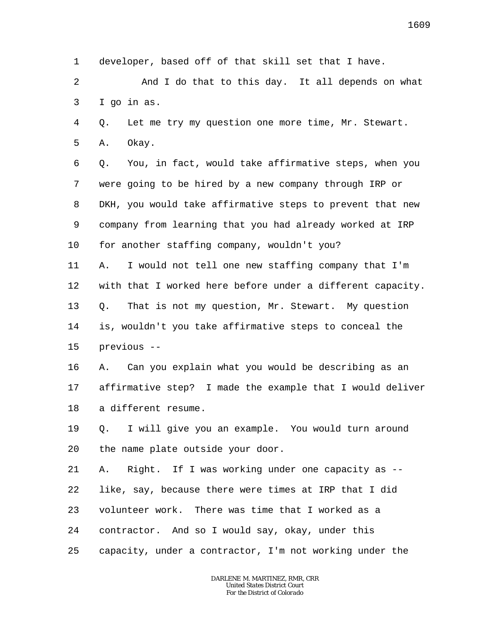1 developer, based off of that skill set that I have.

2 3 And I do that to this day. It all depends on what I go in as.

4 Q. Let me try my question one more time, Mr. Stewart.

5 A. Okay.

6 7 8 9 10 Q. You, in fact, would take affirmative steps, when you were going to be hired by a new company through IRP or DKH, you would take affirmative steps to prevent that new company from learning that you had already worked at IRP for another staffing company, wouldn't you?

11 12 13 14 15 A. I would not tell one new staffing company that I'm with that I worked here before under a different capacity. Q. That is not my question, Mr. Stewart. My question is, wouldn't you take affirmative steps to conceal the previous --

16 17 18 A. Can you explain what you would be describing as an affirmative step? I made the example that I would deliver a different resume.

19 20 Q. I will give you an example. You would turn around the name plate outside your door.

21 22 23 24 25 A. Right. If I was working under one capacity as - like, say, because there were times at IRP that I did volunteer work. There was time that I worked as a contractor. And so I would say, okay, under this capacity, under a contractor, I'm not working under the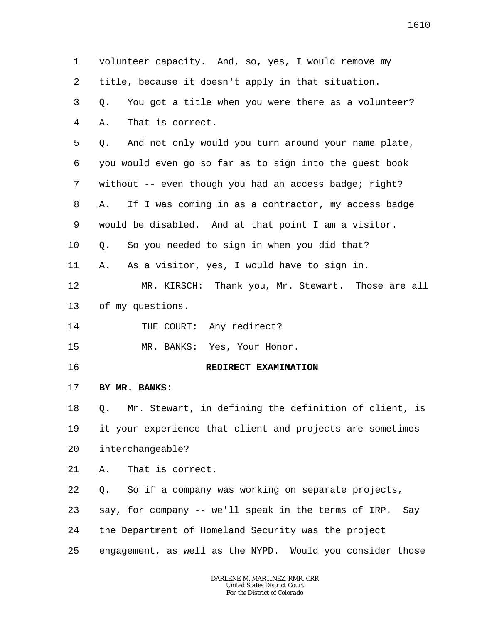1 2 3 4 5 6 7 8 9 10 11 12 13 14 15 16 17 18 19 20 21 22 23 24 25 volunteer capacity. And, so, yes, I would remove my title, because it doesn't apply in that situation. Q. You got a title when you were there as a volunteer? A. That is correct. Q. And not only would you turn around your name plate, you would even go so far as to sign into the guest book without -- even though you had an access badge; right? A. If I was coming in as a contractor, my access badge would be disabled. And at that point I am a visitor. Q. So you needed to sign in when you did that? A. As a visitor, yes, I would have to sign in. MR. KIRSCH: Thank you, Mr. Stewart. Those are all of my questions. THE COURT: Any redirect? MR. BANKS: Yes, Your Honor. **REDIRECT EXAMINATION BY MR. BANKS**: Q. Mr. Stewart, in defining the definition of client, is it your experience that client and projects are sometimes interchangeable? A. That is correct. Q. So if a company was working on separate projects, say, for company -- we'll speak in the terms of IRP. Say the Department of Homeland Security was the project engagement, as well as the NYPD. Would you consider those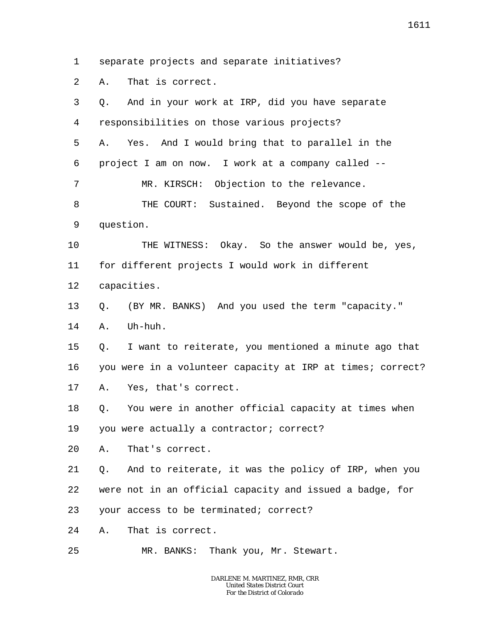1 separate projects and separate initiatives?

2 A. That is correct.

| 3  | And in your work at IRP, did you have separate<br>О.       |
|----|------------------------------------------------------------|
| 4  | responsibilities on those various projects?                |
| 5  | Yes. And I would bring that to parallel in the<br>Α.       |
| 6  | project I am on now. I work at a company called --         |
| 7  | MR. KIRSCH: Objection to the relevance.                    |
| 8  | THE COURT: Sustained. Beyond the scope of the              |
| 9  | question.                                                  |
| 10 | THE WITNESS: Okay. So the answer would be, yes,            |
| 11 | for different projects I would work in different           |
| 12 | capacities.                                                |
| 13 | (BY MR. BANKS) And you used the term "capacity."<br>Q.     |
| 14 | Uh-huh.<br>Α.                                              |
| 15 | I want to reiterate, you mentioned a minute ago that<br>Q. |
| 16 | you were in a volunteer capacity at IRP at times; correct? |
| 17 | Yes, that's correct.<br>А.                                 |
| 18 | You were in another official capacity at times when<br>Q.  |
| 19 | you were actually a contractor; correct?                   |
| 20 | That's correct.<br>А.                                      |
| 21 | And to reiterate, it was the policy of IRP, when you<br>Q. |
| 22 | were not in an official capacity and issued a badge, for   |
| 23 | your access to be terminated; correct?                     |
| 24 | That is correct.<br>Α.                                     |
| 25 | MR. BANKS: Thank you, Mr. Stewart.                         |
|    |                                                            |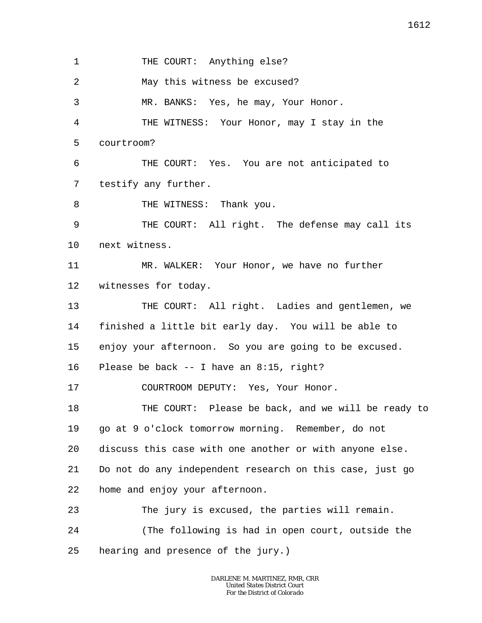1 2 3 4 5 6 7 8 9 10 11 12 13 14 15 16 17 18 19 20 21 22 23 24 25 THE COURT: Anything else? May this witness be excused? MR. BANKS: Yes, he may, Your Honor. THE WITNESS: Your Honor, may I stay in the courtroom? THE COURT: Yes. You are not anticipated to testify any further. THE WITNESS: Thank you. THE COURT: All right. The defense may call its next witness. MR. WALKER: Your Honor, we have no further witnesses for today. THE COURT: All right. Ladies and gentlemen, we finished a little bit early day. You will be able to enjoy your afternoon. So you are going to be excused. Please be back -- I have an 8:15, right? COURTROOM DEPUTY: Yes, Your Honor. THE COURT: Please be back, and we will be ready to go at 9 o'clock tomorrow morning. Remember, do not discuss this case with one another or with anyone else. Do not do any independent research on this case, just go home and enjoy your afternoon. The jury is excused, the parties will remain. (The following is had in open court, outside the hearing and presence of the jury.)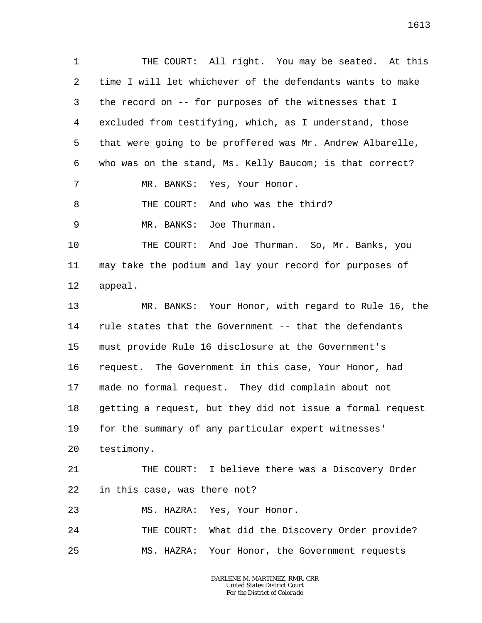1 2 3 4 5 6 7 8 9 10 11 12 13 14 15 16 17 18 19 20 21 22 23 24 25 THE COURT: All right. You may be seated. At this time I will let whichever of the defendants wants to make the record on -- for purposes of the witnesses that I excluded from testifying, which, as I understand, those that were going to be proffered was Mr. Andrew Albarelle, who was on the stand, Ms. Kelly Baucom; is that correct? MR. BANKS: Yes, Your Honor. THE COURT: And who was the third? MR. BANKS: Joe Thurman. THE COURT: And Joe Thurman. So, Mr. Banks, you may take the podium and lay your record for purposes of appeal. MR. BANKS: Your Honor, with regard to Rule 16, the rule states that the Government -- that the defendants must provide Rule 16 disclosure at the Government's request. The Government in this case, Your Honor, had made no formal request. They did complain about not getting a request, but they did not issue a formal request for the summary of any particular expert witnesses' testimony. THE COURT: I believe there was a Discovery Order in this case, was there not? MS. HAZRA: Yes, Your Honor. THE COURT: What did the Discovery Order provide? MS. HAZRA: Your Honor, the Government requests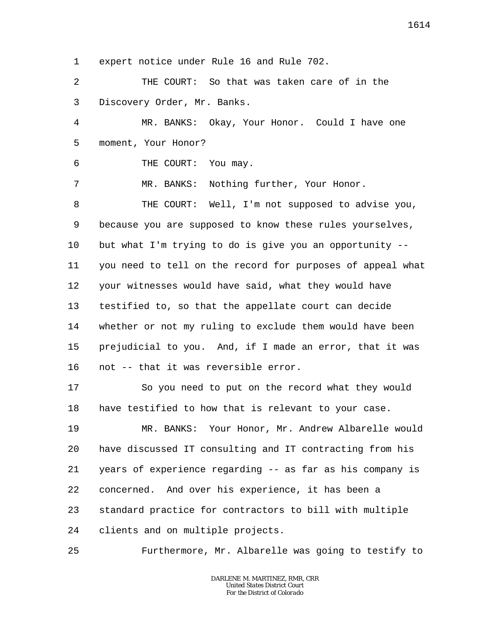1 expert notice under Rule 16 and Rule 702.

2 3 THE COURT: So that was taken care of in the Discovery Order, Mr. Banks.

4 5 MR. BANKS: Okay, Your Honor. Could I have one moment, Your Honor?

6 THE COURT: You may.

7 MR. BANKS: Nothing further, Your Honor.

8 9 10 11 12 13 14 15 16 THE COURT: Well, I'm not supposed to advise you, because you are supposed to know these rules yourselves, but what I'm trying to do is give you an opportunity - you need to tell on the record for purposes of appeal what your witnesses would have said, what they would have testified to, so that the appellate court can decide whether or not my ruling to exclude them would have been prejudicial to you. And, if I made an error, that it was not -- that it was reversible error.

17 18 So you need to put on the record what they would have testified to how that is relevant to your case.

19 20 21 22 23 24 MR. BANKS: Your Honor, Mr. Andrew Albarelle would have discussed IT consulting and IT contracting from his years of experience regarding -- as far as his company is concerned. And over his experience, it has been a standard practice for contractors to bill with multiple clients and on multiple projects.

25 Furthermore, Mr. Albarelle was going to testify to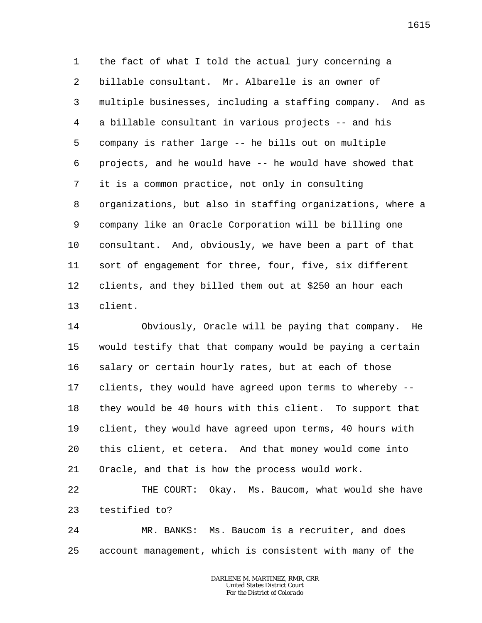1 2 3 4 5 6 7 8 9 10 11 12 13 the fact of what I told the actual jury concerning a billable consultant. Mr. Albarelle is an owner of multiple businesses, including a staffing company. And as a billable consultant in various projects -- and his company is rather large -- he bills out on multiple projects, and he would have -- he would have showed that it is a common practice, not only in consulting organizations, but also in staffing organizations, where a company like an Oracle Corporation will be billing one consultant. And, obviously, we have been a part of that sort of engagement for three, four, five, six different clients, and they billed them out at \$250 an hour each client.

14 15 16 17 18 19 20 21 Obviously, Oracle will be paying that company. He would testify that that company would be paying a certain salary or certain hourly rates, but at each of those clients, they would have agreed upon terms to whereby - they would be 40 hours with this client. To support that client, they would have agreed upon terms, 40 hours with this client, et cetera. And that money would come into Oracle, and that is how the process would work.

22 23 THE COURT: Okay. Ms. Baucom, what would she have testified to?

24 25 MR. BANKS: Ms. Baucom is a recruiter, and does account management, which is consistent with many of the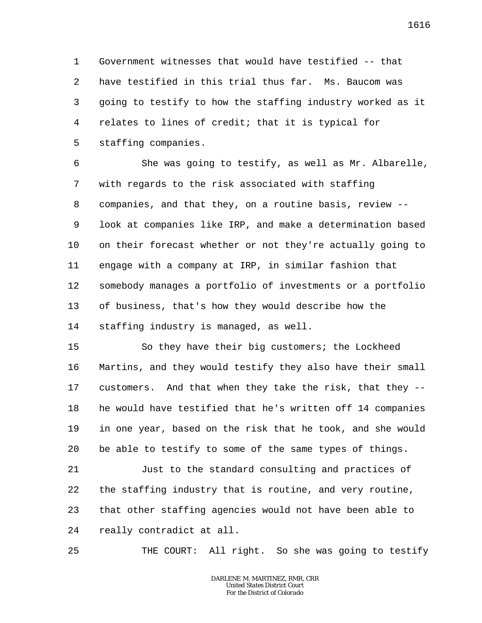1 2 3 4 5 Government witnesses that would have testified -- that have testified in this trial thus far. Ms. Baucom was going to testify to how the staffing industry worked as it relates to lines of credit; that it is typical for staffing companies.

6 7 8 9 10 11 12 13 14 She was going to testify, as well as Mr. Albarelle, with regards to the risk associated with staffing companies, and that they, on a routine basis, review - look at companies like IRP, and make a determination based on their forecast whether or not they're actually going to engage with a company at IRP, in similar fashion that somebody manages a portfolio of investments or a portfolio of business, that's how they would describe how the staffing industry is managed, as well.

15 16 17 18 19 20 So they have their big customers; the Lockheed Martins, and they would testify they also have their small customers. And that when they take the risk, that they - he would have testified that he's written off 14 companies in one year, based on the risk that he took, and she would be able to testify to some of the same types of things.

21 22 23 24 Just to the standard consulting and practices of the staffing industry that is routine, and very routine, that other staffing agencies would not have been able to really contradict at all.

25 THE COURT: All right. So she was going to testify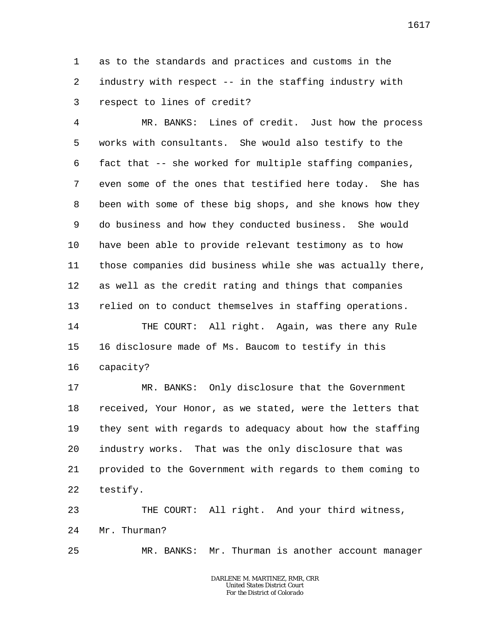1 2 3 as to the standards and practices and customs in the industry with respect -- in the staffing industry with respect to lines of credit?

4 5 6 7 8 9 10 11 12 13 14 MR. BANKS: Lines of credit. Just how the process works with consultants. She would also testify to the fact that -- she worked for multiple staffing companies, even some of the ones that testified here today. She has been with some of these big shops, and she knows how they do business and how they conducted business. She would have been able to provide relevant testimony as to how those companies did business while she was actually there, as well as the credit rating and things that companies relied on to conduct themselves in staffing operations. THE COURT: All right. Again, was there any Rule

15 16 16 disclosure made of Ms. Baucom to testify in this capacity?

17 18 19 20 21 22 MR. BANKS: Only disclosure that the Government received, Your Honor, as we stated, were the letters that they sent with regards to adequacy about how the staffing industry works. That was the only disclosure that was provided to the Government with regards to them coming to testify.

23 24 THE COURT: All right. And your third witness, Mr. Thurman?

25 MR. BANKS: Mr. Thurman is another account manager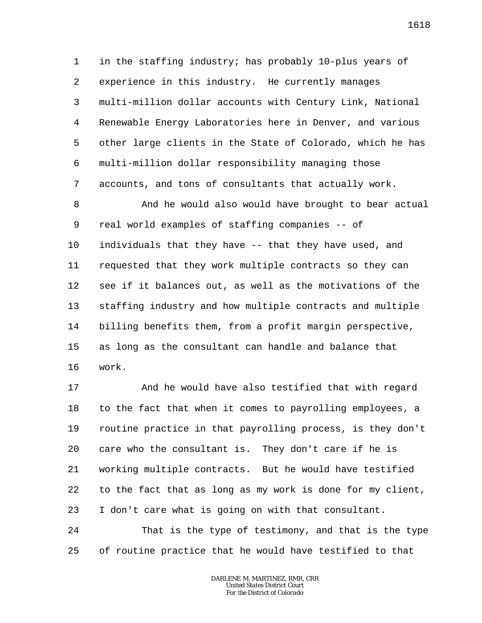1 2 3 4 5 6 7 in the staffing industry; has probably 10-plus years of experience in this industry. He currently manages multi-million dollar accounts with Century Link, National Renewable Energy Laboratories here in Denver, and various other large clients in the State of Colorado, which he has multi-million dollar responsibility managing those accounts, and tons of consultants that actually work.

8 9 10 11 12 13 14 15 16 And he would also would have brought to bear actual real world examples of staffing companies -- of individuals that they have -- that they have used, and requested that they work multiple contracts so they can see if it balances out, as well as the motivations of the staffing industry and how multiple contracts and multiple billing benefits them, from a profit margin perspective, as long as the consultant can handle and balance that work.

17 18 19 20 21 22 23 24 And he would have also testified that with regard to the fact that when it comes to payrolling employees, a routine practice in that payrolling process, is they don't care who the consultant is. They don't care if he is working multiple contracts. But he would have testified to the fact that as long as my work is done for my client, I don't care what is going on with that consultant. That is the type of testimony, and that is the type

25 of routine practice that he would have testified to that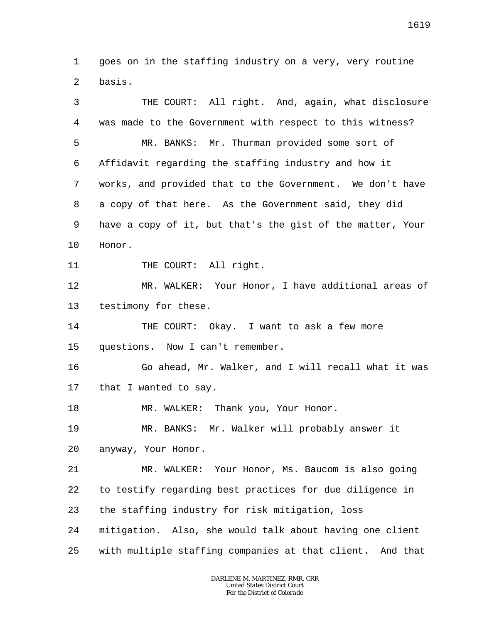1  $\overline{a}$ goes on in the staffing industry on a very, very routine basis.

3 4 5 6 7 8 9 10 11 12 13 14 15 16 17 18 19 20 21 22 23 24 25 THE COURT: All right. And, again, what disclosure was made to the Government with respect to this witness? MR. BANKS: Mr. Thurman provided some sort of Affidavit regarding the staffing industry and how it works, and provided that to the Government. We don't have a copy of that here. As the Government said, they did have a copy of it, but that's the gist of the matter, Your Honor. THE COURT: All right. MR. WALKER: Your Honor, I have additional areas of testimony for these. THE COURT: Okay. I want to ask a few more questions. Now I can't remember. Go ahead, Mr. Walker, and I will recall what it was that I wanted to say. MR. WALKER: Thank you, Your Honor. MR. BANKS: Mr. Walker will probably answer it anyway, Your Honor. MR. WALKER: Your Honor, Ms. Baucom is also going to testify regarding best practices for due diligence in the staffing industry for risk mitigation, loss mitigation. Also, she would talk about having one client with multiple staffing companies at that client. And that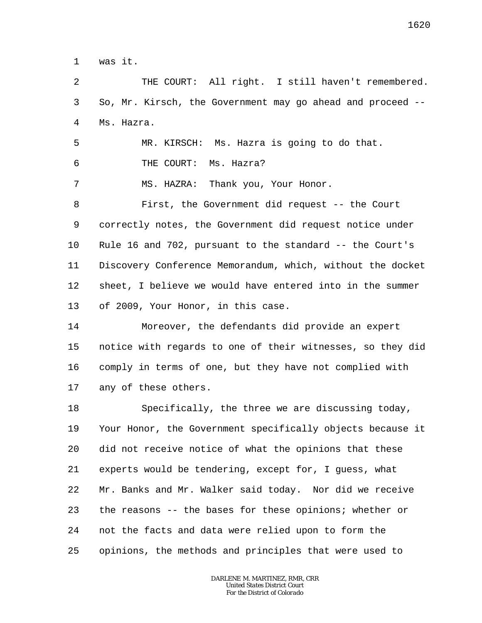1 was it.

5

2 3 4 THE COURT: All right. I still haven't remembered. So, Mr. Kirsch, the Government may go ahead and proceed -- Ms. Hazra.

6 7 8 9 10 11 12 13 MR. KIRSCH: Ms. Hazra is going to do that. THE COURT: Ms. Hazra? MS. HAZRA: Thank you, Your Honor. First, the Government did request -- the Court correctly notes, the Government did request notice under Rule 16 and 702, pursuant to the standard -- the Court's Discovery Conference Memorandum, which, without the docket sheet, I believe we would have entered into in the summer of 2009, Your Honor, in this case.

14 15 16 17 Moreover, the defendants did provide an expert notice with regards to one of their witnesses, so they did comply in terms of one, but they have not complied with any of these others.

18 19 20 21 22 23 24 25 Specifically, the three we are discussing today, Your Honor, the Government specifically objects because it did not receive notice of what the opinions that these experts would be tendering, except for, I guess, what Mr. Banks and Mr. Walker said today. Nor did we receive the reasons -- the bases for these opinions; whether or not the facts and data were relied upon to form the opinions, the methods and principles that were used to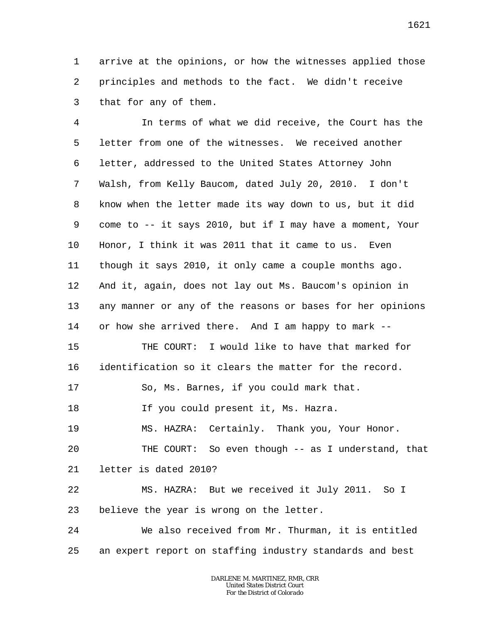1 2 3 arrive at the opinions, or how the witnesses applied those principles and methods to the fact. We didn't receive that for any of them.

4 5 6 7 8 9 10 11 12 13 14 15 16 17 18 19 20 21 22 23 24 25 In terms of what we did receive, the Court has the letter from one of the witnesses. We received another letter, addressed to the United States Attorney John Walsh, from Kelly Baucom, dated July 20, 2010. I don't know when the letter made its way down to us, but it did come to -- it says 2010, but if I may have a moment, Your Honor, I think it was 2011 that it came to us. Even though it says 2010, it only came a couple months ago. And it, again, does not lay out Ms. Baucom's opinion in any manner or any of the reasons or bases for her opinions or how she arrived there. And I am happy to mark -- THE COURT: I would like to have that marked for identification so it clears the matter for the record. So, Ms. Barnes, if you could mark that. If you could present it, Ms. Hazra. MS. HAZRA: Certainly. Thank you, Your Honor. THE COURT: So even though -- as I understand, that letter is dated 2010? MS. HAZRA: But we received it July 2011. So I believe the year is wrong on the letter. We also received from Mr. Thurman, it is entitled an expert report on staffing industry standards and best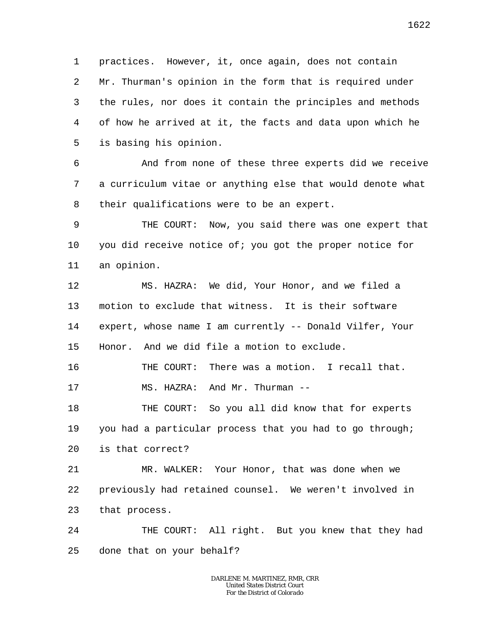1 2 3 4 5 practices. However, it, once again, does not contain Mr. Thurman's opinion in the form that is required under the rules, nor does it contain the principles and methods of how he arrived at it, the facts and data upon which he is basing his opinion.

6 7 8 And from none of these three experts did we receive a curriculum vitae or anything else that would denote what their qualifications were to be an expert.

9 10 11 THE COURT: Now, you said there was one expert that you did receive notice of; you got the proper notice for an opinion.

12 13 14 15 MS. HAZRA: We did, Your Honor, and we filed a motion to exclude that witness. It is their software expert, whose name I am currently -- Donald Vilfer, Your Honor. And we did file a motion to exclude.

16 THE COURT: There was a motion. I recall that.

17 MS. HAZRA: And Mr. Thurman --

18 19 20 THE COURT: So you all did know that for experts you had a particular process that you had to go through; is that correct?

21 22 23 MR. WALKER: Your Honor, that was done when we previously had retained counsel. We weren't involved in that process.

24 25 THE COURT: All right. But you knew that they had done that on your behalf?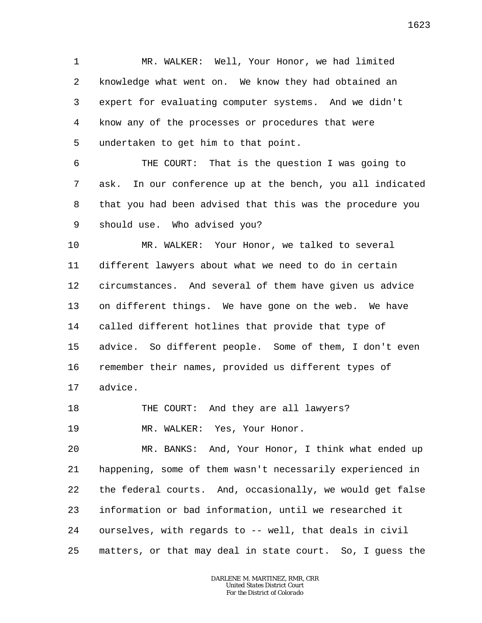1 2 3 4 5 MR. WALKER: Well, Your Honor, we had limited knowledge what went on. We know they had obtained an expert for evaluating computer systems. And we didn't know any of the processes or procedures that were undertaken to get him to that point.

6 7 8 9 THE COURT: That is the question I was going to ask. In our conference up at the bench, you all indicated that you had been advised that this was the procedure you should use. Who advised you?

10 11 12 13 14 15 16 17 MR. WALKER: Your Honor, we talked to several different lawyers about what we need to do in certain circumstances. And several of them have given us advice on different things. We have gone on the web. We have called different hotlines that provide that type of advice. So different people. Some of them, I don't even remember their names, provided us different types of advice.

18 THE COURT: And they are all lawyers?

19 MR. WALKER: Yes, Your Honor.

20 21 22 23 24 25 MR. BANKS: And, Your Honor, I think what ended up happening, some of them wasn't necessarily experienced in the federal courts. And, occasionally, we would get false information or bad information, until we researched it ourselves, with regards to -- well, that deals in civil matters, or that may deal in state court. So, I guess the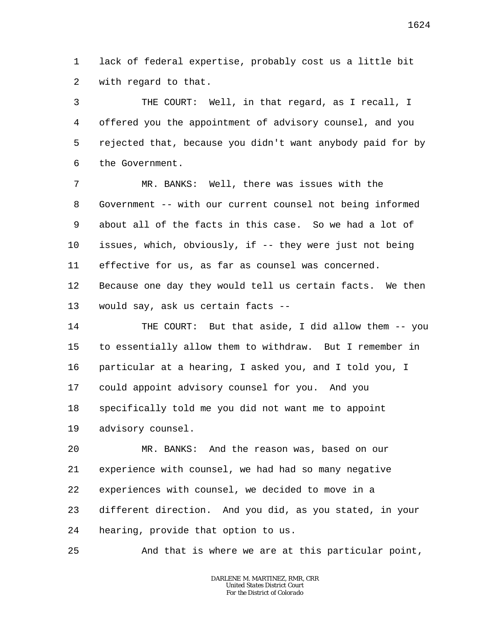1 2 lack of federal expertise, probably cost us a little bit with regard to that.

3 4 5 6 THE COURT: Well, in that regard, as I recall, I offered you the appointment of advisory counsel, and you rejected that, because you didn't want anybody paid for by the Government.

7 8 9 10 11 12 MR. BANKS: Well, there was issues with the Government -- with our current counsel not being informed about all of the facts in this case. So we had a lot of issues, which, obviously, if -- they were just not being effective for us, as far as counsel was concerned. Because one day they would tell us certain facts. We then

13 would say, ask us certain facts --

14 15 16 17 18 19 THE COURT: But that aside, I did allow them -- you to essentially allow them to withdraw. But I remember in particular at a hearing, I asked you, and I told you, I could appoint advisory counsel for you. And you specifically told me you did not want me to appoint advisory counsel.

20 21 22 23 24 MR. BANKS: And the reason was, based on our experience with counsel, we had had so many negative experiences with counsel, we decided to move in a different direction. And you did, as you stated, in your hearing, provide that option to us.

25 And that is where we are at this particular point,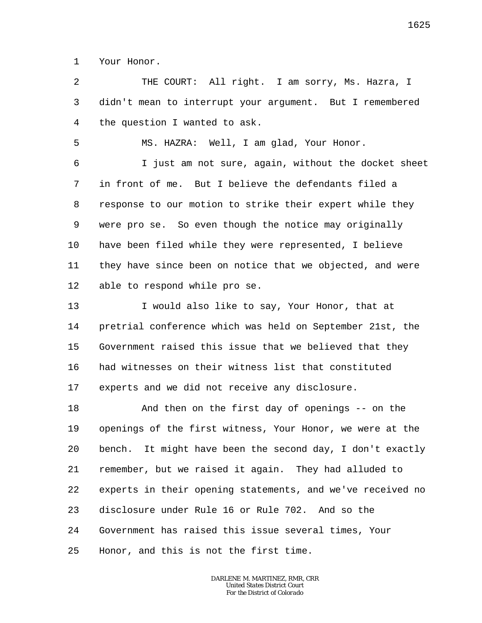1 Your Honor.

5

 $\overline{a}$ 3 4 THE COURT: All right. I am sorry, Ms. Hazra, I didn't mean to interrupt your argument. But I remembered the question I wanted to ask.

MS. HAZRA: Well, I am glad, Your Honor.

6 7 8 9 10 11 12 I just am not sure, again, without the docket sheet in front of me. But I believe the defendants filed a response to our motion to strike their expert while they were pro se. So even though the notice may originally have been filed while they were represented, I believe they have since been on notice that we objected, and were able to respond while pro se.

13 14 15 16 17 I would also like to say, Your Honor, that at pretrial conference which was held on September 21st, the Government raised this issue that we believed that they had witnesses on their witness list that constituted experts and we did not receive any disclosure.

18 19 20 21 22 23 24 25 And then on the first day of openings -- on the openings of the first witness, Your Honor, we were at the bench. It might have been the second day, I don't exactly remember, but we raised it again. They had alluded to experts in their opening statements, and we've received no disclosure under Rule 16 or Rule 702. And so the Government has raised this issue several times, Your Honor, and this is not the first time.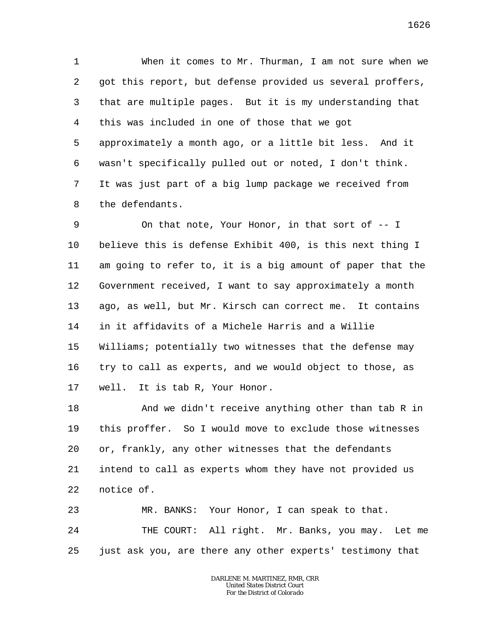1 2 3 4 5 6 7 8 When it comes to Mr. Thurman, I am not sure when we got this report, but defense provided us several proffers, that are multiple pages. But it is my understanding that this was included in one of those that we got approximately a month ago, or a little bit less. And it wasn't specifically pulled out or noted, I don't think. It was just part of a big lump package we received from the defendants.

9 10 11 12 13 14 15 16 17 On that note, Your Honor, in that sort of -- I believe this is defense Exhibit 400, is this next thing I am going to refer to, it is a big amount of paper that the Government received, I want to say approximately a month ago, as well, but Mr. Kirsch can correct me. It contains in it affidavits of a Michele Harris and a Willie Williams; potentially two witnesses that the defense may try to call as experts, and we would object to those, as well. It is tab R, Your Honor.

18 19 20 21 22 And we didn't receive anything other than tab R in this proffer. So I would move to exclude those witnesses or, frankly, any other witnesses that the defendants intend to call as experts whom they have not provided us notice of.

23 24 25 MR. BANKS: Your Honor, I can speak to that. THE COURT: All right. Mr. Banks, you may. Let me just ask you, are there any other experts' testimony that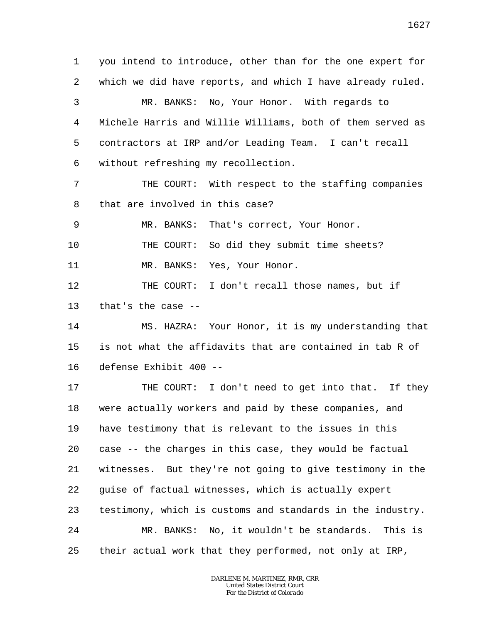1 2 3 4 5 6 7 8 9 10 11 12 13 14 15 16 you intend to introduce, other than for the one expert for which we did have reports, and which I have already ruled. MR. BANKS: No, Your Honor. With regards to Michele Harris and Willie Williams, both of them served as contractors at IRP and/or Leading Team. I can't recall without refreshing my recollection. THE COURT: With respect to the staffing companies that are involved in this case? MR. BANKS: That's correct, Your Honor. THE COURT: So did they submit time sheets? MR. BANKS: Yes, Your Honor. THE COURT: I don't recall those names, but if that's the case -- MS. HAZRA: Your Honor, it is my understanding that is not what the affidavits that are contained in tab R of defense Exhibit 400 --

17 18 19 20 21 22 23 24 25 THE COURT: I don't need to get into that. If they were actually workers and paid by these companies, and have testimony that is relevant to the issues in this case -- the charges in this case, they would be factual witnesses. But they're not going to give testimony in the guise of factual witnesses, which is actually expert testimony, which is customs and standards in the industry. MR. BANKS: No, it wouldn't be standards. This is their actual work that they performed, not only at IRP,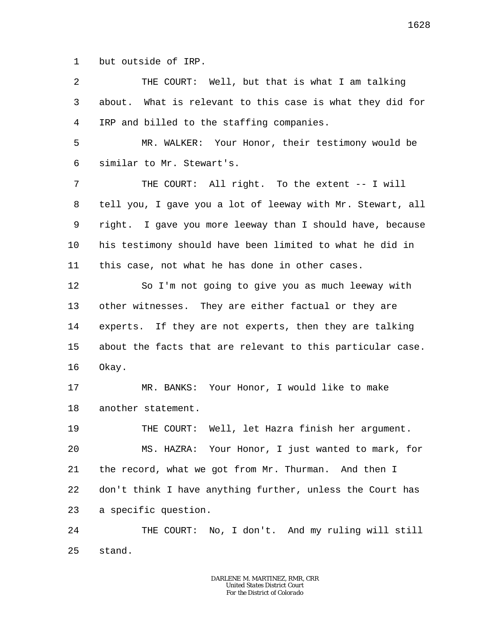1 but outside of IRP.

2 3 4 THE COURT: Well, but that is what I am talking about. What is relevant to this case is what they did for IRP and billed to the staffing companies.

5 6 MR. WALKER: Your Honor, their testimony would be similar to Mr. Stewart's.

7 8 9 10 11 THE COURT: All right. To the extent -- I will tell you, I gave you a lot of leeway with Mr. Stewart, all right. I gave you more leeway than I should have, because his testimony should have been limited to what he did in this case, not what he has done in other cases.

12 13 14 15 16 So I'm not going to give you as much leeway with other witnesses. They are either factual or they are experts. If they are not experts, then they are talking about the facts that are relevant to this particular case. Okay.

17 18 MR. BANKS: Your Honor, I would like to make another statement.

19 20 21 22 23 THE COURT: Well, let Hazra finish her argument. MS. HAZRA: Your Honor, I just wanted to mark, for the record, what we got from Mr. Thurman. And then I don't think I have anything further, unless the Court has a specific question.

24 25 THE COURT: No, I don't. And my ruling will still stand.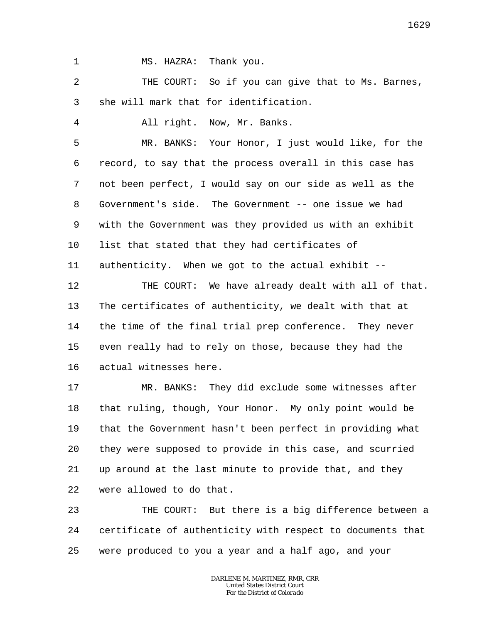1

4

MS. HAZRA: Thank you.

2 3 THE COURT: So if you can give that to Ms. Barnes, she will mark that for identification.

All right. Now, Mr. Banks.

5 6 7 8 9 10 11 MR. BANKS: Your Honor, I just would like, for the record, to say that the process overall in this case has not been perfect, I would say on our side as well as the Government's side. The Government -- one issue we had with the Government was they provided us with an exhibit list that stated that they had certificates of authenticity. When we got to the actual exhibit --

12 13 14 15 THE COURT: We have already dealt with all of that. The certificates of authenticity, we dealt with that at the time of the final trial prep conference. They never even really had to rely on those, because they had the

16 actual witnesses here.

17 18 19 20 21 22 MR. BANKS: They did exclude some witnesses after that ruling, though, Your Honor. My only point would be that the Government hasn't been perfect in providing what they were supposed to provide in this case, and scurried up around at the last minute to provide that, and they were allowed to do that.

23 24 25 THE COURT: But there is a big difference between a certificate of authenticity with respect to documents that were produced to you a year and a half ago, and your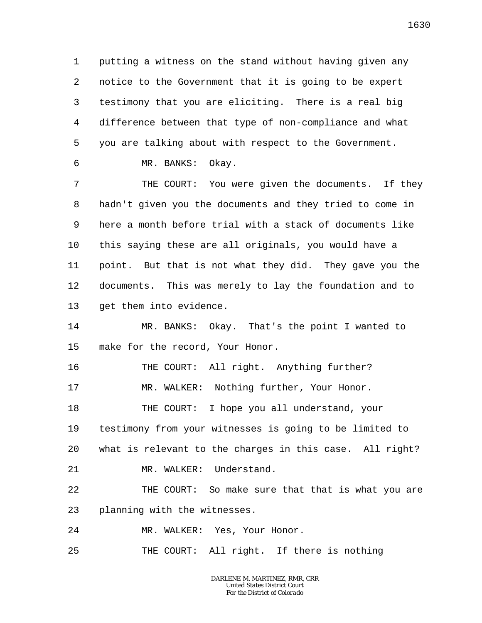1 2 3 4 5 6 putting a witness on the stand without having given any notice to the Government that it is going to be expert testimony that you are eliciting. There is a real big difference between that type of non-compliance and what you are talking about with respect to the Government.

MR. BANKS: Okay.

7 8 9 10 11 12 13 THE COURT: You were given the documents. If they hadn't given you the documents and they tried to come in here a month before trial with a stack of documents like this saying these are all originals, you would have a point. But that is not what they did. They gave you the documents. This was merely to lay the foundation and to get them into evidence.

14 15 MR. BANKS: Okay. That's the point I wanted to make for the record, Your Honor.

16 17 18 19 THE COURT: All right. Anything further? MR. WALKER: Nothing further, Your Honor. THE COURT: I hope you all understand, your testimony from your witnesses is going to be limited to

20 what is relevant to the charges in this case. All right?

21 MR. WALKER: Understand.

22 23 THE COURT: So make sure that that is what you are planning with the witnesses.

24 MR. WALKER: Yes, Your Honor.

25 THE COURT: All right. If there is nothing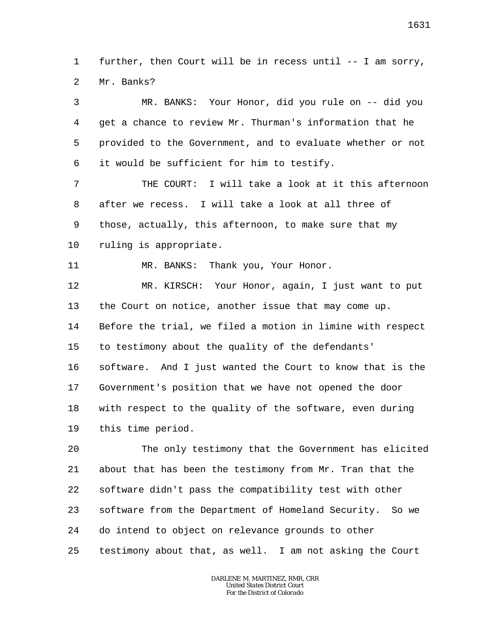1  $\overline{a}$ further, then Court will be in recess until -- I am sorry, Mr. Banks?

3 4 5 6 7 8 9 10 11 12 13 14 MR. BANKS: Your Honor, did you rule on -- did you get a chance to review Mr. Thurman's information that he provided to the Government, and to evaluate whether or not it would be sufficient for him to testify. THE COURT: I will take a look at it this afternoon after we recess. I will take a look at all three of those, actually, this afternoon, to make sure that my ruling is appropriate. MR. BANKS: Thank you, Your Honor. MR. KIRSCH: Your Honor, again, I just want to put the Court on notice, another issue that may come up. Before the trial, we filed a motion in limine with respect

15 to testimony about the quality of the defendants'

16 17 18 19 software. And I just wanted the Court to know that is the Government's position that we have not opened the door with respect to the quality of the software, even during this time period.

20 21 22 23 24 25 The only testimony that the Government has elicited about that has been the testimony from Mr. Tran that the software didn't pass the compatibility test with other software from the Department of Homeland Security. So we do intend to object on relevance grounds to other testimony about that, as well. I am not asking the Court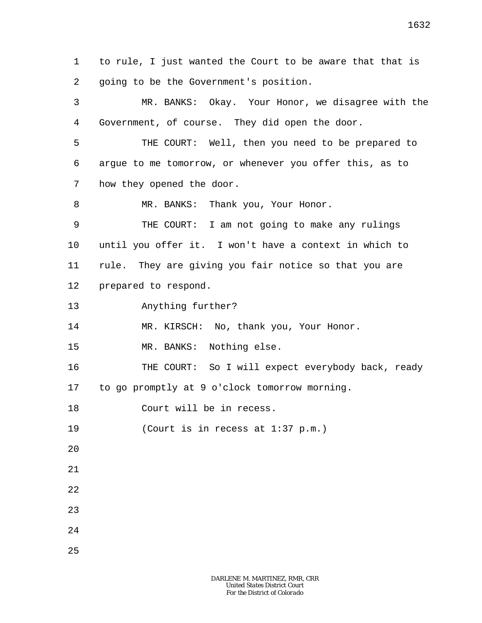1 2 to rule, I just wanted the Court to be aware that that is going to be the Government's position.

3 4 5 6 7 8 9 10 11 12 13 14 15 16 17 18 19 20 21 22 23 24 MR. BANKS: Okay. Your Honor, we disagree with the Government, of course. They did open the door. THE COURT: Well, then you need to be prepared to argue to me tomorrow, or whenever you offer this, as to how they opened the door. MR. BANKS: Thank you, Your Honor. THE COURT: I am not going to make any rulings until you offer it. I won't have a context in which to rule. They are giving you fair notice so that you are prepared to respond. Anything further? MR. KIRSCH: No, thank you, Your Honor. MR. BANKS: Nothing else. THE COURT: So I will expect everybody back, ready to go promptly at 9 o'clock tomorrow morning. Court will be in recess. (Court is in recess at 1:37 p.m.)

25